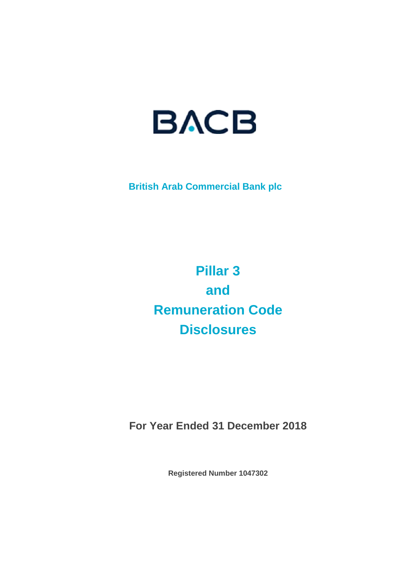

**Pillar 3 and Remuneration Code Disclosures**

**For Year Ended 31 December 2018** 

**Registered Number 1047302**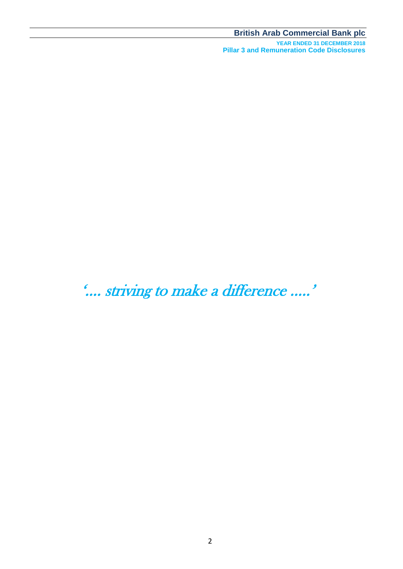**YEAR ENDED 31 DECEMBER 2018 Pillar 3 and Remuneration Code Disclosures**

'…. striving to make a difference …..'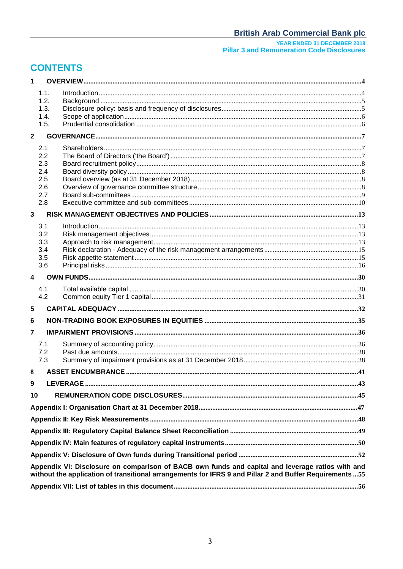YEAR ENDED 31 DECEMBER 2018 **Pillar 3 and Remuneration Code Disclosures** 

## **CONTENTS**

| 1              |            |                                                                                                                                                                                                            |  |
|----------------|------------|------------------------------------------------------------------------------------------------------------------------------------------------------------------------------------------------------------|--|
|                | 1.1.       |                                                                                                                                                                                                            |  |
|                | 1.2.       |                                                                                                                                                                                                            |  |
|                | 1.3.       |                                                                                                                                                                                                            |  |
|                | 1.4.       |                                                                                                                                                                                                            |  |
|                | 1.5.       |                                                                                                                                                                                                            |  |
| $\overline{2}$ |            |                                                                                                                                                                                                            |  |
|                | 2.1        |                                                                                                                                                                                                            |  |
|                | 2.2        |                                                                                                                                                                                                            |  |
|                | 2.3        |                                                                                                                                                                                                            |  |
|                | 2.4        |                                                                                                                                                                                                            |  |
|                | 2.5        |                                                                                                                                                                                                            |  |
|                | 2.6<br>2.7 |                                                                                                                                                                                                            |  |
|                | 2.8        |                                                                                                                                                                                                            |  |
| $\overline{3}$ |            |                                                                                                                                                                                                            |  |
|                | 3.1        |                                                                                                                                                                                                            |  |
|                | 3.2        |                                                                                                                                                                                                            |  |
|                | 3.3        |                                                                                                                                                                                                            |  |
|                | 3.4        |                                                                                                                                                                                                            |  |
|                | 3.5        |                                                                                                                                                                                                            |  |
|                | 3.6        |                                                                                                                                                                                                            |  |
| 4              |            |                                                                                                                                                                                                            |  |
|                | 4.1        |                                                                                                                                                                                                            |  |
|                | 4.2        |                                                                                                                                                                                                            |  |
| 5              |            |                                                                                                                                                                                                            |  |
| 6              |            |                                                                                                                                                                                                            |  |
| $\overline{7}$ |            |                                                                                                                                                                                                            |  |
|                | 7.1        |                                                                                                                                                                                                            |  |
|                | 7.2        |                                                                                                                                                                                                            |  |
|                | 7.3        |                                                                                                                                                                                                            |  |
| 8              |            |                                                                                                                                                                                                            |  |
| 9              |            |                                                                                                                                                                                                            |  |
| 10             |            |                                                                                                                                                                                                            |  |
|                |            |                                                                                                                                                                                                            |  |
|                |            |                                                                                                                                                                                                            |  |
|                |            |                                                                                                                                                                                                            |  |
|                |            |                                                                                                                                                                                                            |  |
|                |            |                                                                                                                                                                                                            |  |
|                |            | Appendix VI: Disclosure on comparison of BACB own funds and capital and leverage ratios with and<br>without the application of transitional arrangements for IFRS 9 and Pillar 2 and Buffer Requirements55 |  |
|                |            |                                                                                                                                                                                                            |  |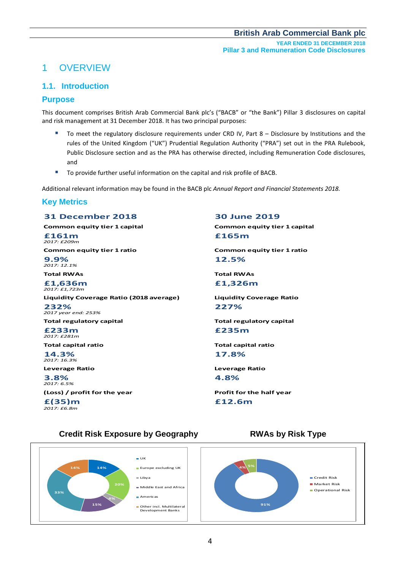**YEAR ENDED 31 DECEMBER 2018 Pillar 3 and Remuneration Code Disclosures**

## 1 OVERVIEW

## **1.1. Introduction**

### **Purpose**

This document comprises British Arab Commercial Bank plc's ("BACB" or "the Bank") Pillar 3 disclosures on capital and risk management at 31 December 2018. It has two principal purposes:

- To meet the regulatory disclosure requirements under CRD IV, Part 8 Disclosure by Institutions and the rules of the United Kingdom ("UK") Prudential Regulation Authority ("PRA") set out in the PRA Rulebook, Public Disclosure section and as the PRA has otherwise directed, including Remuneration Code disclosures, and
- To provide further useful information on the capital and risk profile of BACB.

Additional relevant information may be found in the BACB plc *Annual Report and Financial Statements 2018.*

## **Key Metrics**

#### **31 December 2018 30 June 2019**

**£161m £165m** *2017: £209m*

**9.9% 12.5%** *2017: 12.1%*

**£1,636m £1,326m** *2017: £1,723m*

**Liquidity Coverage Ratio (2018 average) Liquidity Coverage Ratio 232% 227%**

*2017 year end: 253%*

**£233m £235m** *2017: £281m*

**Total capital ratio Total capital ratio**

**14.3% 17.8%** *2017: 16.3%*

**3.8% 4.8%** *2017: 6.5%*

**(Loss) / profit for the year Profit for the half year**

**£(35)m £12.6m** *2017: £6.8m*

**Common equity tier 1 capital Common equity tier 1 capital** 

**Common equity tier 1 ratio Common equity tier 1 ratio**

**Total RWAs Total RWAs**

**Total regulatory capital Total regulatory capital**

**Leverage Ratio Leverage Ratio**

## **Credit Risk Exposure by Geography Theory RWAs by Risk Type**

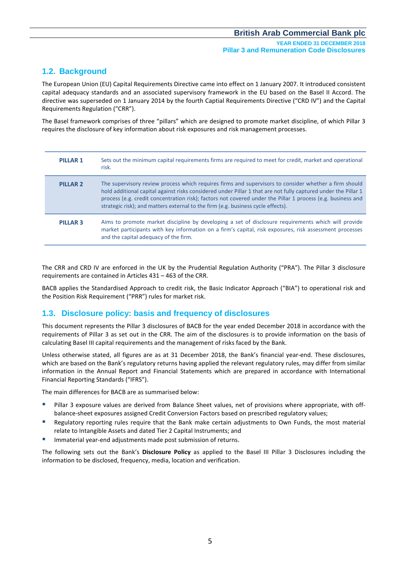## **1.2. Background**

The European Union (EU) Capital Requirements Directive came into effect on 1 January 2007. It introduced consistent capital adequacy standards and an associated supervisory framework in the EU based on the Basel II Accord. The directive was superseded on 1 January 2014 by the fourth Captial Requirements Directive ("CRD IV") and the Capital Requirements Regulation ("CRR").

The Basel framework comprises of three "pillars" which are designed to promote market discipline, of which Pillar 3 requires the disclosure of key information about risk exposures and risk management processes.

| <b>PILLAR 1</b> | Sets out the minimum capital requirements firms are required to meet for credit, market and operational<br>risk.                                                                                                                                                                                                                                                                                                           |
|-----------------|----------------------------------------------------------------------------------------------------------------------------------------------------------------------------------------------------------------------------------------------------------------------------------------------------------------------------------------------------------------------------------------------------------------------------|
| <b>PILLAR 2</b> | The supervisory review process which requires firms and supervisors to consider whether a firm should<br>hold additional capital against risks considered under Pillar 1 that are not fully captured under the Pillar 1<br>process (e.g. credit concentration risk); factors not covered under the Pillar 1 process (e.g. business and<br>strategic risk); and matters external to the firm (e.g. business cycle effects). |
| <b>PILLAR 3</b> | Aims to promote market discipline by developing a set of disclosure requirements which will provide<br>market participants with key information on a firm's capital, risk exposures, risk assessment processes<br>and the capital adequacy of the firm.                                                                                                                                                                    |

The CRR and CRD IV are enforced in the UK by the Prudential Regulation Authority ("PRA"). The Pillar 3 disclosure requirements are contained in Articles 431 – 463 of the CRR.

BACB applies the Standardised Approach to credit risk, the Basic Indicator Approach ("BIA") to operational risk and the Position Risk Requirement ("PRR") rules for market risk.

## **1.3. Disclosure policy: basis and frequency of disclosures**

This document represents the Pillar 3 disclosures of BACB for the year ended December 2018 in accordance with the requirements of Pillar 3 as set out in the CRR. The aim of the disclosures is to provide information on the basis of calculating Basel III capital requirements and the management of risks faced by the Bank.

Unless otherwise stated, all figures are as at 31 December 2018, the Bank's financial year-end. These disclosures, which are based on the Bank's regulatory returns having applied the relevant regulatory rules, may differ from similar information in the Annual Report and Financial Statements which are prepared in accordance with International Financial Reporting Standards ("IFRS").

The main differences for BACB are as summarised below:

- Pillar 3 exposure values are derived from Balance Sheet values, net of provisions where appropriate, with offbalance-sheet exposures assigned Credit Conversion Factors based on prescribed regulatory values;
- Regulatory reporting rules require that the Bank make certain adjustments to Own Funds, the most material relate to Intangible Assets and dated Tier 2 Capital Instruments; and
- Immaterial year-end adjustments made post submission of returns.

The following sets out the Bank's **Disclosure Policy** as applied to the Basel III Pillar 3 Disclosures including the information to be disclosed, frequency, media, location and verification.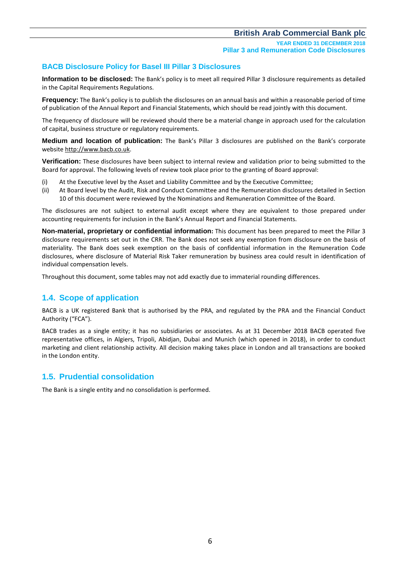**YEAR ENDED 31 DECEMBER 2018 Pillar 3 and Remuneration Code Disclosures**

## **BACB Disclosure Policy for Basel III Pillar 3 Disclosures**

**Information to be disclosed:** The Bank's policy is to meet all required Pillar 3 disclosure requirements as detailed in the Capital Requirements Regulations.

**Frequency:** The Bank's policy is to publish the disclosures on an annual basis and within a reasonable period of time of publication of the Annual Report and Financial Statements, which should be read jointly with this document.

The frequency of disclosure will be reviewed should there be a material change in approach used for the calculation of capital, business structure or regulatory requirements.

**Medium and location of publication:** The Bank's Pillar 3 disclosures are published on the Bank's corporate website http://www.bacb.co.uk.

**Verification:** These disclosures have been subject to internal review and validation prior to being submitted to the Board for approval. The following levels of review took place prior to the granting of Board approval:

- (i) At the Executive level by the Asset and Liability Committee and by the Executive Committee;
- (ii) At Board level by the Audit, Risk and Conduct Committee and the Remuneration disclosures detailed in Section 10 of this document were reviewed by the Nominations and Remuneration Committee of the Board.

The disclosures are not subject to external audit except where they are equivalent to those prepared under accounting requirements for inclusion in the Bank's Annual Report and Financial Statements.

**Non-material, proprietary or confidential information:** This document has been prepared to meet the Pillar 3 disclosure requirements set out in the CRR. The Bank does not seek any exemption from disclosure on the basis of materiality. The Bank does seek exemption on the basis of confidential information in the Remuneration Code disclosures, where disclosure of Material Risk Taker remuneration by business area could result in identification of individual compensation levels.

Throughout this document, some tables may not add exactly due to immaterial rounding differences.

## **1.4. Scope of application**

BACB is a UK registered Bank that is authorised by the PRA, and regulated by the PRA and the Financial Conduct Authority ("FCA").

BACB trades as a single entity; it has no subsidiaries or associates. As at 31 December 2018 BACB operated five representative offices, in Algiers, Tripoli, Abidjan, Dubai and Munich (which opened in 2018), in order to conduct marketing and client relationship activity. All decision making takes place in London and all transactions are booked in the London entity.

## **1.5. Prudential consolidation**

The Bank is a single entity and no consolidation is performed.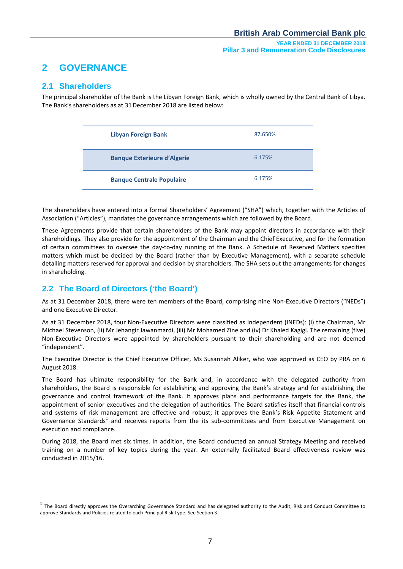## **2 GOVERNANCE**

## **2.1 Shareholders**

<u>.</u>

The principal shareholder of the Bank is the Libyan Foreign Bank, which is wholly owned by the Central Bank of Libya. The Bank's shareholders as at 31December 2018 are listed below:

| <b>Libyan Foreign Bank</b>         | 87.650% |
|------------------------------------|---------|
| <b>Banque Exterieure d'Algerie</b> | 6.175%  |
| <b>Banque Centrale Populaire</b>   | 6.175%  |

The shareholders have entered into a formal Shareholders' Agreement ("SHA") which, together with the Articles of Association ("Articles"), mandates the governance arrangements which are followed by the Board.

These Agreements provide that certain shareholders of the Bank may appoint directors in accordance with their shareholdings. They also provide for the appointment of the Chairman and the Chief Executive, and for the formation of certain committees to oversee the day-to-day running of the Bank. A Schedule of Reserved Matters specifies matters which must be decided by the Board (rather than by Executive Management), with a separate schedule detailing matters reserved for approval and decision by shareholders. The SHA sets out the arrangements for changes in shareholding.

## **2.2 The Board of Directors ('the Board')**

As at 31 December 2018, there were ten members of the Board, comprising nine Non-Executive Directors ("NEDs") and one Executive Director.

As at 31 December 2018, four Non-Executive Directors were classified as Independent (INEDs): (i) the Chairman, Mr Michael Stevenson, (ii) Mr Jehangir Jawanmardi, (iii) Mr Mohamed Zine and (iv) Dr Khaled Kagigi. The remaining (five) Non-Executive Directors were appointed by shareholders pursuant to their shareholding and are not deemed "independent".

The Executive Director is the Chief Executive Officer, Ms Susannah Aliker, who was approved as CEO by PRA on 6 August 2018.

The Board has ultimate responsibility for the Bank and, in accordance with the delegated authority from shareholders, the Board is responsible for establishing and approving the Bank's strategy and for establishing the governance and control framework of the Bank. It approves plans and performance targets for the Bank, the appointment of senior executives and the delegation of authorities. The Board satisfies itself that financial controls and systems of risk management are effective and robust; it approves the Bank's Risk Appetite Statement and Governance Standards<sup>1</sup> and receives reports from the its sub-committees and from Executive Management on execution and compliance.

During 2018, the Board met six times. In addition, the Board conducted an annual Strategy Meeting and received training on a number of key topics during the year. An externally facilitated Board effectiveness review was conducted in 2015/16.

<sup>1</sup> The Board directly approves the Overarching Governance Standard and has delegated authority to the Audit, Risk and Conduct Committee to approve Standards and Policies related to each Principal Risk Type. See Section 3.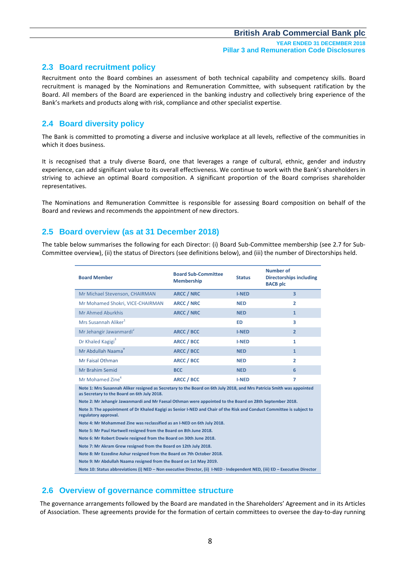**YEAR ENDED 31 DECEMBER 2018 Pillar 3 and Remuneration Code Disclosures**

## **2.3 Board recruitment policy**

Recruitment onto the Board combines an assessment of both technical capability and competency skills. Board recruitment is managed by the Nominations and Remuneration Committee, with subsequent ratification by the Board. All members of the Board are experienced in the banking industry and collectively bring experience of the Bank's markets and products along with risk, compliance and other specialist expertise.

## **2.4 Board diversity policy**

The Bank is committed to promoting a diverse and inclusive workplace at all levels, reflective of the communities in which it does business.

It is recognised that a truly diverse Board, one that leverages a range of cultural, ethnic, gender and industry experience, can add significant value to its overall effectiveness. We continue to work with the Bank's shareholders in striving to achieve an optimal Board composition. A significant proportion of the Board comprises shareholder representatives.

The Nominations and Remuneration Committee is responsible for assessing Board composition on behalf of the Board and reviews and recommends the appointment of new directors.

## **2.5 Board overview (as at 31 December 2018)**

The table below summarises the following for each Director: (i) Board Sub-Committee membership (see 2.7 for Sub-Committee overview), (ii) the status of Directors (see definitions below), and (iii) the number of Directorships held.

| <b>Board Member</b>                                                                                                                                                  | <b>Board Sub-Committee</b><br><b>Membership</b> | <b>Status</b> | <b>Number of</b><br><b>Directorships including</b><br><b>BACB</b> plc |  |  |  |  |
|----------------------------------------------------------------------------------------------------------------------------------------------------------------------|-------------------------------------------------|---------------|-----------------------------------------------------------------------|--|--|--|--|
| Mr Michael Stevenson, CHAIRMAN                                                                                                                                       | <b>ARCC / NRC</b>                               | <b>I-NED</b>  | $\overline{\mathbf{3}}$                                               |  |  |  |  |
| Mr Mohamed Shokri, VICE-CHAIRMAN                                                                                                                                     | <b>ARCC / NRC</b>                               | <b>NED</b>    | $\overline{2}$                                                        |  |  |  |  |
| Mr Ahmed Aburkhis                                                                                                                                                    | <b>ARCC / NRC</b>                               | <b>NED</b>    | $\mathbf{1}$                                                          |  |  |  |  |
| Mrs Susannah Aliker <sup>1</sup>                                                                                                                                     |                                                 | <b>ED</b>     | 3                                                                     |  |  |  |  |
| Mr Jehangir Jawanmardi <sup>2</sup>                                                                                                                                  | <b>ARCC / BCC</b>                               | <b>I-NED</b>  | $\overline{2}$                                                        |  |  |  |  |
| Dr Khaled Kagigi <sup>3</sup>                                                                                                                                        | <b>ARCC / BCC</b>                               | <b>I-NED</b>  | 1                                                                     |  |  |  |  |
| Mr Abdullah Naama <sup>9</sup>                                                                                                                                       | <b>ARCC / BCC</b>                               | <b>NED</b>    | $\mathbf{1}$                                                          |  |  |  |  |
| <b>Mr Faisal Othman</b>                                                                                                                                              | <b>ARCC / BCC</b>                               | <b>NED</b>    | $\overline{2}$                                                        |  |  |  |  |
| <b>Mr Brahim Semid</b>                                                                                                                                               | <b>BCC</b>                                      | <b>NED</b>    | 6                                                                     |  |  |  |  |
| Mr Mohamed Zine <sup>4</sup>                                                                                                                                         | <b>ARCC / BCC</b>                               | <b>I-NED</b>  | $\overline{7}$                                                        |  |  |  |  |
| Note 1: Mrs Susannah Aliker resigned as Secretary to the Board on 6th July 2018, and Mrs Patricia Smith was appointed<br>as Secretary to the Board on 6th July 2018. |                                                 |               |                                                                       |  |  |  |  |
| Note 2: Mr Jehangir Jawanmardi and Mr Faesal Othman were appointed to the Board on 28th September 2018.                                                              |                                                 |               |                                                                       |  |  |  |  |
| Note 3: The appointment of Dr Khaled Kagigi as Senior I-NED and Chair of the Risk and Conduct Committee is subject to<br>regulatory approval.                        |                                                 |               |                                                                       |  |  |  |  |
| Note 4: Mr Mohammed Zine was reclassified as an I-NED on 6th July 2018.                                                                                              |                                                 |               |                                                                       |  |  |  |  |
| Note 5: Mr Paul Hartwell resigned from the Board on 8th June 2018.                                                                                                   |                                                 |               |                                                                       |  |  |  |  |
| Note 6: Mr Robert Dowie resigned from the Board on 30th June 2018.                                                                                                   |                                                 |               |                                                                       |  |  |  |  |
| Note 7: Mr Akram Grew resigned from the Board on 12th July 2018.                                                                                                     |                                                 |               |                                                                       |  |  |  |  |
| Note 8: Mr Ezzedine Ashur resigned from the Board on 7th October 2018.                                                                                               |                                                 |               |                                                                       |  |  |  |  |
| Note 9: Mr Abdullah Naama resigned from the Board on 1st May 2019.                                                                                                   |                                                 |               |                                                                       |  |  |  |  |
| Note 10: Status abbreviations (i) NED - Non executive Director, (ii) I-NED - Independent NED, (iii) ED - Executive Director                                          |                                                 |               |                                                                       |  |  |  |  |

## **2.6 Overview of governance committee structure**

The governance arrangements followed by the Board are mandated in the Shareholders' Agreement and in its Articles of Association. These agreements provide for the formation of certain committees to oversee the day-to-day running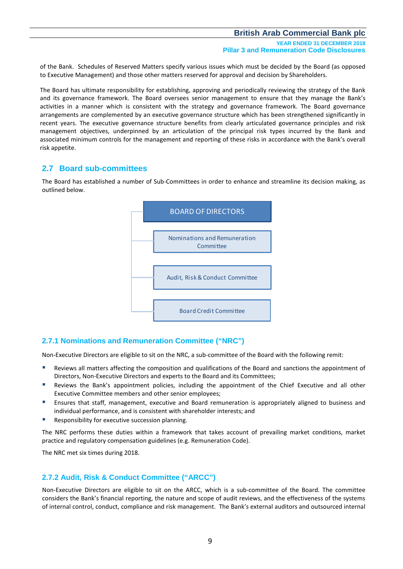**YEAR ENDED 31 DECEMBER 2018 Pillar 3 and Remuneration Code Disclosures**

of the Bank. Schedules of Reserved Matters specify various issues which must be decided by the Board (as opposed to Executive Management) and those other matters reserved for approval and decision by Shareholders.

The Board has ultimate responsibility for establishing, approving and periodically reviewing the strategy of the Bank and its governance framework. The Board oversees senior management to ensure that they manage the Bank's activities in a manner which is consistent with the strategy and governance framework. The Board governance arrangements are complemented by an executive governance structure which has been strengthened significantly in recent years. The executive governance structure benefits from clearly articulated governance principles and risk management objectives, underpinned by an articulation of the principal risk types incurred by the Bank and associated minimum controls for the management and reporting of these risks in accordance with the Bank's overall risk appetite.

## **2.7 Board sub-committees**

The Board has established a number of Sub-Committees in order to enhance and streamline its decision making, as outlined below.



## **2.7.1 Nominations and Remuneration Committee ("NRC")**

Non-Executive Directors are eligible to sit on the NRC, a sub-committee of the Board with the following remit:

- Reviews all matters affecting the composition and qualifications of the Board and sanctions the appointment of Directors, Non-Executive Directors and experts to the Board and its Committees;
- Reviews the Bank's appointment policies, including the appointment of the Chief Executive and all other Executive Committee members and other senior employees;
- Ensures that staff, management, executive and Board remuneration is appropriately aligned to business and individual performance, and is consistent with shareholder interests; and
- Responsibility for executive succession planning.

The NRC performs these duties within a framework that takes account of prevailing market conditions, market practice and regulatory compensation guidelines (e.g. Remuneration Code).

The NRC met six times during 2018.

#### **2.7.2 Audit, Risk & Conduct Committee ("ARCC")**

Non-Executive Directors are eligible to sit on the ARCC, which is a sub-committee of the Board. The committee considers the Bank's financial reporting, the nature and scope of audit reviews, and the effectiveness of the systems of internal control, conduct, compliance and risk management. The Bank's external auditors and outsourced internal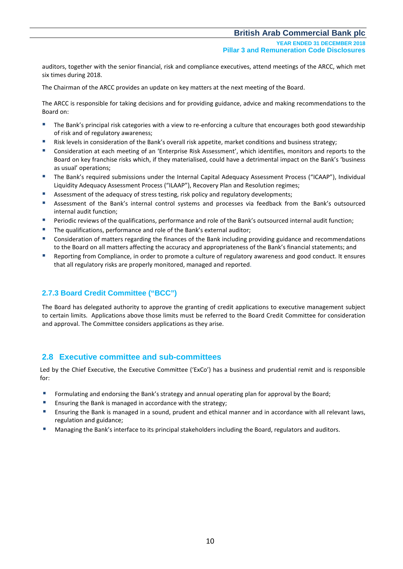auditors, together with the senior financial, risk and compliance executives, attend meetings of the ARCC, which met six times during 2018.

The Chairman of the ARCC provides an update on key matters at the next meeting of the Board.

The ARCC is responsible for taking decisions and for providing guidance, advice and making recommendations to the Board on:

- The Bank's principal risk categories with a view to re-enforcing a culture that encourages both good stewardship of risk and of regulatory awareness;
- Risk levels in consideration of the Bank's overall risk appetite, market conditions and business strategy;
- Consideration at each meeting of an 'Enterprise Risk Assessment', which identifies, monitors and reports to the Board on key franchise risks which, if they materialised, could have a detrimental impact on the Bank's 'business as usual' operations;
- The Bank's required submissions under the Internal Capital Adequacy Assessment Process ("ICAAP"), Individual Liquidity Adequacy Assessment Process ("ILAAP"), Recovery Plan and Resolution regimes;
- Assessment of the adequacy of stress testing, risk policy and regulatory developments;
- Assessment of the Bank's internal control systems and processes via feedback from the Bank's outsourced internal audit function;
- Periodic reviews of the qualifications, performance and role of the Bank's outsourced internal audit function;
- The qualifications, performance and role of the Bank's external auditor;
- Consideration of matters regarding the finances of the Bank including providing guidance and recommendations to the Board on all matters affecting the accuracy and appropriateness of the Bank's financial statements; and
- Reporting from Compliance, in order to promote a culture of regulatory awareness and good conduct. It ensures that all regulatory risks are properly monitored, managed and reported.

## **2.7.3 Board Credit Committee ("BCC")**

The Board has delegated authority to approve the granting of credit applications to executive management subject to certain limits. Applications above those limits must be referred to the Board Credit Committee for consideration and approval. The Committee considers applications as they arise.

## **2.8 Executive committee and sub-committees**

Led by the Chief Executive, the Executive Committee ('ExCo') has a business and prudential remit and is responsible for:

- **Formulating and endorsing the Bank's strategy and annual operating plan for approval by the Board;**
- Ensuring the Bank is managed in accordance with the strategy;
- Ensuring the Bank is managed in a sound, prudent and ethical manner and in accordance with all relevant laws, regulation and guidance;
- Managing the Bank's interface to its principal stakeholders including the Board, regulators and auditors.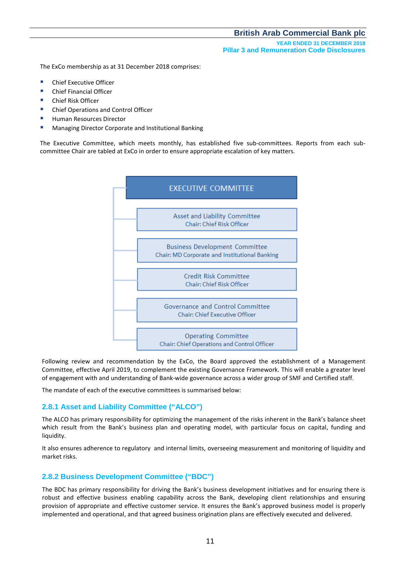**YEAR ENDED 31 DECEMBER 2018 Pillar 3 and Remuneration Code Disclosures**

The ExCo membership as at 31 December 2018 comprises:

- Chief Executive Officer
- Chief Financial Officer
- **E** Chief Risk Officer
- Chief Operations and Control Officer
- **Human Resources Director**
- Managing Director Corporate and Institutional Banking

The Executive Committee, which meets monthly, has established five sub-committees. Reports from each subcommittee Chair are tabled at ExCo in order to ensure appropriate escalation of key matters.



Following review and recommendation by the ExCo, the Board approved the establishment of a Management Committee, effective April 2019, to complement the existing Governance Framework. This will enable a greater level of engagement with and understanding of Bank-wide governance across a wider group of SMF and Certified staff.

The mandate of each of the executive committees is summarised below:

## **2.8.1 Asset and Liability Committee ("ALCO")**

The ALCO has primary responsibility for optimizing the management of the risks inherent in the Bank's balance sheet which result from the Bank's business plan and operating model, with particular focus on capital, funding and liquidity.

It also ensures adherence to regulatory and internal limits, overseeing measurement and monitoring of liquidity and market risks.

## **2.8.2 Business Development Committee ("BDC")**

The BDC has primary responsibility for driving the Bank's business development initiatives and for ensuring there is robust and effective business enabling capability across the Bank, developing client relationships and ensuring provision of appropriate and effective customer service. It ensures the Bank's approved business model is properly implemented and operational, and that agreed business origination plans are effectively executed and delivered.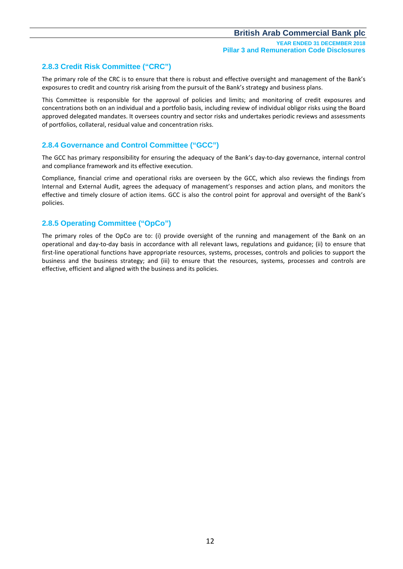## **2.8.3 Credit Risk Committee ("CRC")**

The primary role of the CRC is to ensure that there is robust and effective oversight and management of the Bank's exposures to credit and country risk arising from the pursuit of the Bank's strategy and business plans.

This Committee is responsible for the approval of policies and limits; and monitoring of credit exposures and concentrations both on an individual and a portfolio basis, including review of individual obligor risks using the Board approved delegated mandates. It oversees country and sector risks and undertakes periodic reviews and assessments of portfolios, collateral, residual value and concentration risks.

## **2.8.4 Governance and Control Committee ("GCC")**

The GCC has primary responsibility for ensuring the adequacy of the Bank's day-to-day governance, internal control and compliance framework and its effective execution.

Compliance, financial crime and operational risks are overseen by the GCC, which also reviews the findings from Internal and External Audit, agrees the adequacy of management's responses and action plans, and monitors the effective and timely closure of action items. GCC is also the control point for approval and oversight of the Bank's policies.

## **2.8.5 Operating Committee ("OpCo")**

The primary roles of the OpCo are to: (i) provide oversight of the running and management of the Bank on an operational and day-to-day basis in accordance with all relevant laws, regulations and guidance; (ii) to ensure that first-line operational functions have appropriate resources, systems, processes, controls and policies to support the business and the business strategy; and (iii) to ensure that the resources, systems, processes and controls are effective, efficient and aligned with the business and its policies.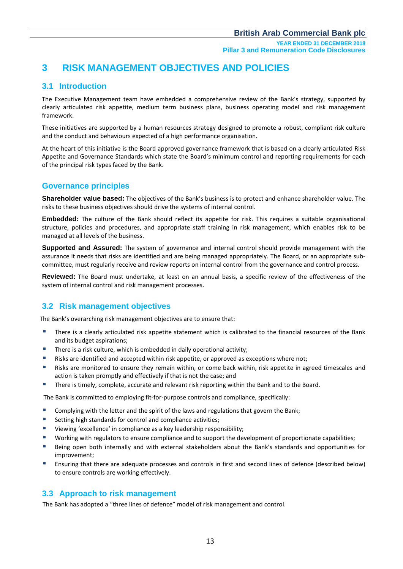## **3****RISK MANAGEMENT OBJECTIVES AND POLICIES**

## **3.1 Introduction**

The Executive Management team have embedded a comprehensive review of the Bank's strategy, supported by clearly articulated risk appetite, medium term business plans, business operating model and risk management framework.

These initiatives are supported by a human resources strategy designed to promote a robust, compliant risk culture and the conduct and behaviours expected of a high performance organisation.

At the heart of this initiative is the Board approved governance framework that is based on a clearly articulated Risk Appetite and Governance Standards which state the Board's minimum control and reporting requirements for each of the principal risk types faced by the Bank.

## **Governance principles**

**Shareholder value based:** The objectives of the Bank's business is to protect and enhance shareholder value. The risks to these business objectives should drive the systems of internal control.

**Embedded:** The culture of the Bank should reflect its appetite for risk. This requires a suitable organisational structure, policies and procedures, and appropriate staff training in risk management, which enables risk to be managed at all levels of the business.

**Supported and Assured:** The system of governance and internal control should provide management with the assurance it needs that risks are identified and are being managed appropriately. The Board, or an appropriate subcommittee, must regularly receive and review reports on internal control from the governance and control process.

**Reviewed:** The Board must undertake, at least on an annual basis, a specific review of the effectiveness of the system of internal control and risk management processes.

## **3.2 Risk management objectives**

The Bank's overarching risk management objectives are to ensure that:

- **There is a clearly articulated risk appetite statement which is calibrated to the financial resources of the Bank** and its budget aspirations;
- **There is a risk culture, which is embedded in daily operational activity;**
- **BUDE A** Risks are identified and accepted within risk appetite, or approved as exceptions where not;
- Risks are monitored to ensure they remain within, or come back within, risk appetite in agreed timescales and action is taken promptly and effectively if that is not the case; and
- There is timely, complete, accurate and relevant risk reporting within the Bank and to the Board.

The Bank is committed to employing fit-for-purpose controls and compliance, specifically:

- **Complying with the letter and the spirit of the laws and regulations that govern the Bank;**
- Setting high standards for control and compliance activities;
- **U** Viewing 'excellence' in compliance as a key leadership responsibility;
- Working with regulators to ensure compliance and to support the development of proportionate capabilities;
- Being open both internally and with external stakeholders about the Bank's standards and opportunities for improvement;
- Ensuring that there are adequate processes and controls in first and second lines of defence (described below) to ensure controls are working effectively.

## **3.3 Approach to risk management**

The Bank has adopted a "three lines of defence" model of risk management and control.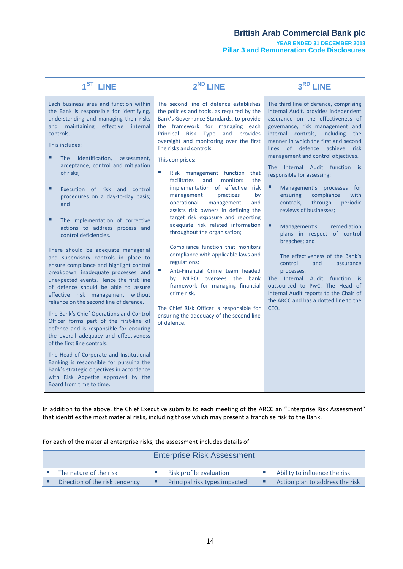#### **YEAR ENDED 31 DECEMBER 2018 Pillar 3 and Remuneration Code Disclosures**

| 1 <sup>ST</sup> LINE                                                                                                                                                                                                                                                                                                                                                                                                                                                                                                                                                                                                                                                                                                                                                                                                                                                                                                                                                                                                                                                                                                                                                                                                                       | <sup>2ND</sup> LINE                                                                                                                                                                                                                                                                                                                                                                                                                                                                                                                                                                                                                                                                                                                                                                                                                                                                                                                                                   | 3RD LINE                                                                                                                                                                                                                                                                                                                                                                                                                                                                                                                                                                                                                                                                                                                                                                                                                                                             |
|--------------------------------------------------------------------------------------------------------------------------------------------------------------------------------------------------------------------------------------------------------------------------------------------------------------------------------------------------------------------------------------------------------------------------------------------------------------------------------------------------------------------------------------------------------------------------------------------------------------------------------------------------------------------------------------------------------------------------------------------------------------------------------------------------------------------------------------------------------------------------------------------------------------------------------------------------------------------------------------------------------------------------------------------------------------------------------------------------------------------------------------------------------------------------------------------------------------------------------------------|-----------------------------------------------------------------------------------------------------------------------------------------------------------------------------------------------------------------------------------------------------------------------------------------------------------------------------------------------------------------------------------------------------------------------------------------------------------------------------------------------------------------------------------------------------------------------------------------------------------------------------------------------------------------------------------------------------------------------------------------------------------------------------------------------------------------------------------------------------------------------------------------------------------------------------------------------------------------------|----------------------------------------------------------------------------------------------------------------------------------------------------------------------------------------------------------------------------------------------------------------------------------------------------------------------------------------------------------------------------------------------------------------------------------------------------------------------------------------------------------------------------------------------------------------------------------------------------------------------------------------------------------------------------------------------------------------------------------------------------------------------------------------------------------------------------------------------------------------------|
| Each business area and function within<br>the Bank is responsible for identifying,<br>understanding and managing their risks<br>effective<br>maintaining<br>internal<br>and<br>controls.<br>This includes:<br>п<br>identification,<br>The<br>assessment,<br>acceptance, control and mitigation<br>of risks;<br>Execution of risk and control<br>procedures on a day-to-day basis;<br>and<br>The implementation of corrective<br>actions to address process and<br>control deficiencies.<br>There should be adequate managerial<br>and supervisory controls in place to<br>ensure compliance and highlight control<br>breakdown, inadequate processes, and<br>unexpected events. Hence the first line<br>of defence should be able to assure<br>effective risk management without<br>reliance on the second line of defence.<br>The Bank's Chief Operations and Control<br>Officer forms part of the first-line of<br>defence and is responsible for ensuring<br>the overall adequacy and effectiveness<br>of the first line controls.<br>The Head of Corporate and Institutional<br>Banking is responsible for pursuing the<br>Bank's strategic objectives in accordance<br>with Risk Appetite approved by the<br>Board from time to time. | The second line of defence establishes<br>the policies and tools, as required by the<br>Bank's Governance Standards, to provide<br>the framework for managing each<br>Principal Risk Type<br>and provides<br>oversight and monitoring over the first<br>line risks and controls.<br>This comprises:<br>п<br>Risk management function that<br>facilitates<br>and<br>monitors<br>the<br>implementation of effective risk<br>management<br>practices<br>by<br>operational<br>management<br>and<br>assists risk owners in defining the<br>target risk exposure and reporting<br>adequate risk related information<br>throughout the organisation;<br>Compliance function that monitors<br>compliance with applicable laws and<br>regulations;<br>Anti-Financial Crime team headed<br>by MLRO oversees the bank<br>framework for managing financial<br>crime risk.<br>The Chief Risk Officer is responsible for<br>ensuring the adequacy of the second line<br>of defence. | The third line of defence, comprising<br>Internal Audit, provides independent<br>assurance on the effectiveness of<br>governance, risk management and<br>internal controls, including<br>the<br>manner in which the first and second<br>lines of defence<br>achieve<br>risk<br>management and control objectives.<br>The Internal Audit function<br>is is<br>responsible for assessing:<br>ш<br>Management's processes for<br>ensuring<br>compliance<br>with<br>controls,<br>through<br>periodic<br>reviews of businesses;<br>٠<br>Management's<br>remediation<br>plans in respect of control<br>breaches; and<br>The effectiveness of the Bank's<br>control<br>and<br>assurance<br>processes.<br>The Internal<br>Audit function<br>is.<br>outsourced to PwC. The Head of<br>Internal Audit reports to the Chair of<br>the ARCC and has a dotted line to the<br>CEO. |

In addition to the above, the Chief Executive submits to each meeting of the ARCC an "Enterprise Risk Assessment" that identifies the most material risks, including those which may present a franchise risk to the Bank.

For each of the material enterprise risks, the assessment includes details of:

|                                | <b>Enterprise Risk Assessment</b> |                               |   |                                 |
|--------------------------------|-----------------------------------|-------------------------------|---|---------------------------------|
| The nature of the risk         | ш                                 | Risk profile evaluation       | ш | Ability to influence the risk   |
| Direction of the risk tendency | ■                                 | Principal risk types impacted | ■ | Action plan to address the risk |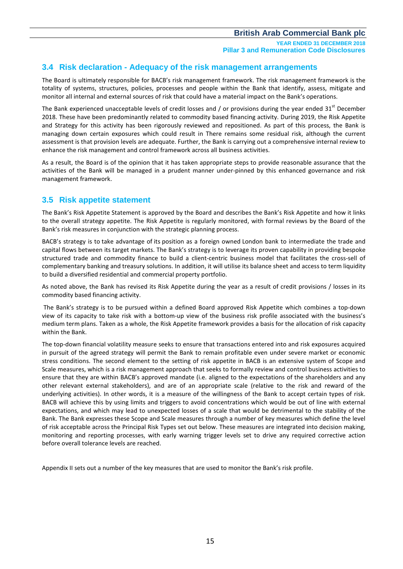**YEAR ENDED 31 DECEMBER 2018 Pillar 3 and Remuneration Code Disclosures**

## **3.4 Risk declaration - Adequacy of the risk management arrangements**

The Board is ultimately responsible for BACB's risk management framework. The risk management framework is the totality of systems, structures, policies, processes and people within the Bank that identify, assess, mitigate and monitor all internal and external sources of risk that could have a material impact on the Bank's operations.

The Bank experienced unacceptable levels of credit losses and / or provisions during the year ended  $31<sup>st</sup>$  December 2018. These have been predominantly related to commodity based financing activity. During 2019, the Risk Appetite and Strategy for this activity has been rigorously reviewed and repositioned. As part of this process, the Bank is managing down certain exposures which could result in There remains some residual risk, although the current assessment is that provision levels are adequate. Further, the Bank is carrying out a comprehensive internal review to enhance the risk management and control framework across all business activities.

As a result, the Board is of the opinion that it has taken appropriate steps to provide reasonable assurance that the activities of the Bank will be managed in a prudent manner under-pinned by this enhanced governance and risk management framework.

## **3.5 Risk appetite statement**

The Bank's Risk Appetite Statement is approved by the Board and describes the Bank's Risk Appetite and how it links to the overall strategy appetite. The Risk Appetite is regularly monitored, with formal reviews by the Board of the Bank's risk measures in conjunction with the strategic planning process.

BACB's strategy is to take advantage of its position as a foreign owned London bank to intermediate the trade and capital flows between its target markets. The Bank's strategy is to leverage its proven capability in providing bespoke structured trade and commodity finance to build a client-centric business model that facilitates the cross-sell of complementary banking and treasury solutions. In addition, it will utilise its balance sheet and access to term liquidity to build a diversified residential and commercial property portfolio.

As noted above, the Bank has revised its Risk Appetite during the year as a result of credit provisions / losses in its commodity based financing activity.

The Bank's strategy is to be pursued within a defined Board approved Risk Appetite which combines a top-down view of its capacity to take risk with a bottom-up view of the business risk profile associated with the business's medium term plans. Taken as a whole, the Risk Appetite framework provides a basis for the allocation of risk capacity within the Bank.

The top-down financial volatility measure seeks to ensure that transactions entered into and risk exposures acquired in pursuit of the agreed strategy will permit the Bank to remain profitable even under severe market or economic stress conditions. The second element to the setting of risk appetite in BACB is an extensive system of Scope and Scale measures, which is a risk management approach that seeks to formally review and control business activities to ensure that they are within BACB's approved mandate (i.e. aligned to the expectations of the shareholders and any other relevant external stakeholders), and are of an appropriate scale (relative to the risk and reward of the underlying activities). In other words, it is a measure of the willingness of the Bank to accept certain types of risk. BACB will achieve this by using limits and triggers to avoid concentrations which would be out of line with external expectations, and which may lead to unexpected losses of a scale that would be detrimental to the stability of the Bank. The Bank expresses these Scope and Scale measures through a number of key measures which define the level of risk acceptable across the Principal Risk Types set out below. These measures are integrated into decision making, monitoring and reporting processes, with early warning trigger levels set to drive any required corrective action before overall tolerance levels are reached.

Appendix II sets out a number of the key measures that are used to monitor the Bank's risk profile.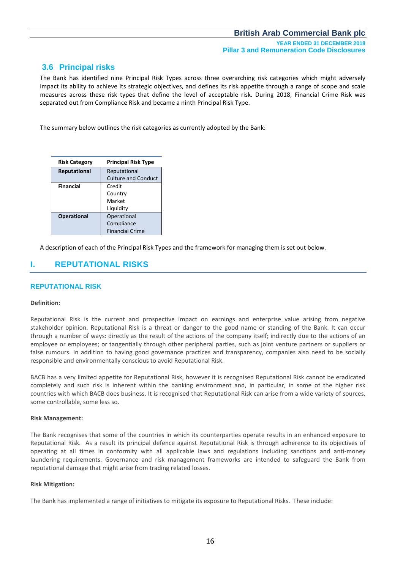#### **YEAR ENDED 31 DECEMBER 2018 Pillar 3 and Remuneration Code Disclosures**

## **3.6 Principal risks**

The Bank has identified nine Principal Risk Types across three overarching risk categories which might adversely impact its ability to achieve its strategic objectives, and defines its risk appetite through a range of scope and scale measures across these risk types that define the level of acceptable risk. During 2018, Financial Crime Risk was separated out from Compliance Risk and became a ninth Principal Risk Type.

The summary below outlines the risk categories as currently adopted by the Bank:

| <b>Risk Category</b> | <b>Principal Risk Type</b> |
|----------------------|----------------------------|
| <b>Reputational</b>  | Reputational               |
|                      | <b>Culture and Conduct</b> |
| <b>Financial</b>     | Credit                     |
|                      | Country                    |
|                      | Market                     |
|                      | Liquidity                  |
| <b>Operational</b>   | Operational                |
|                      | Compliance                 |
|                      | <b>Financial Crime</b>     |

A description of each of the Principal Risk Types and the framework for managing them is set out below.

## **I. REPUTATIONAL RISKS**

#### **REPUTATIONAL RISK**

#### **Definition:**

Reputational Risk is the current and prospective impact on earnings and enterprise value arising from negative stakeholder opinion. Reputational Risk is a threat or danger to the good name or standing of the Bank. It can occur through a number of ways: directly as the result of the actions of the company itself; indirectly due to the actions of an employee or employees; or tangentially through other peripheral parties, such as joint venture partners or suppliers or false rumours. In addition to having good governance practices and transparency, companies also need to be socially responsible and environmentally conscious to avoid Reputational Risk.

BACB has a very limited appetite for Reputational Risk, however it is recognised Reputational Risk cannot be eradicated completely and such risk is inherent within the banking environment and, in particular, in some of the higher risk countries with which BACB does business. It is recognised that Reputational Risk can arise from a wide variety of sources, some controllable, some less so.

#### **Risk Management:**

The Bank recognises that some of the countries in which its counterparties operate results in an enhanced exposure to Reputational Risk. As a result its principal defence against Reputational Risk is through adherence to its objectives of operating at all times in conformity with all applicable laws and regulations including sanctions and anti-money laundering requirements. Governance and risk management frameworks are intended to safeguard the Bank from reputational damage that might arise from trading related losses.

#### **Risk Mitigation:**

The Bank has implemented a range of initiatives to mitigate its exposure to Reputational Risks. These include: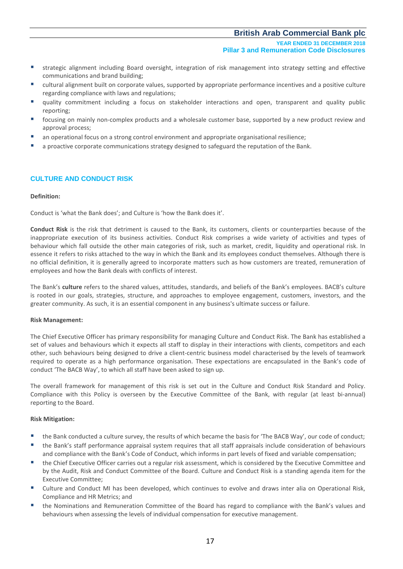**YEAR ENDED 31 DECEMBER 2018 Pillar 3 and Remuneration Code Disclosures**

- **strategic alignment including Board oversight, integration of risk management into strategy setting and effective** communications and brand building;
- cultural alignment built on corporate values, supported by appropriate performance incentives and a positive culture regarding compliance with laws and regulations;
- quality commitment including a focus on stakeholder interactions and open, transparent and quality public reporting;
- **F** focusing on mainly non-complex products and a wholesale customer base, supported by a new product review and approval process;
- an operational focus on a strong control environment and appropriate organisational resilience;
- **•** a proactive corporate communications strategy designed to safeguard the reputation of the Bank.

#### **CULTURE AND CONDUCT RISK**

#### **Definition:**

Conduct is 'what the Bank does'; and Culture is 'how the Bank does it'.

**Conduct Risk** is the risk that detriment is caused to the Bank, its customers, clients or counterparties because of the inappropriate execution of its business activities. Conduct Risk comprises a wide variety of activities and types of behaviour which fall outside the other main categories of risk, such as market, credit, liquidity and operational risk. In essence it refers to risks attached to the way in which the Bank and its employees conduct themselves. Although there is no official definition, it is generally agreed to incorporate matters such as how customers are treated, remuneration of employees and how the Bank deals with conflicts of interest.

The Bank's **culture** refers to the shared values, attitudes, standards, and beliefs of the Bank's employees. BACB's culture is rooted in our goals, strategies, structure, and approaches to employee engagement, customers, investors, and the greater community. As such, it is an essential component in any business's ultimate success or failure.

#### **Risk Management:**

The Chief Executive Officer has primary responsibility for managing Culture and Conduct Risk. The Bank has established a set of values and behaviours which it expects all staff to display in their interactions with clients, competitors and each other, such behaviours being designed to drive a client-centric business model characterised by the levels of teamwork required to operate as a high performance organisation. These expectations are encapsulated in the Bank's code of conduct 'The BACB Way', to which all staff have been asked to sign up.

The overall framework for management of this risk is set out in the Culture and Conduct Risk Standard and Policy. Compliance with this Policy is overseen by the Executive Committee of the Bank, with regular (at least bi-annual) reporting to the Board.

#### **Risk Mitigation:**

- the Bank conducted a culture survey, the results of which became the basis for 'The BACB Way', our code of conduct;
- the Bank's staff performance appraisal system requires that all staff appraisals include consideration of behaviours and compliance with the Bank's Code of Conduct, which informs in part levels of fixed and variable compensation;
- the Chief Executive Officer carries out a regular risk assessment, which is considered by the Executive Committee and by the Audit, Risk and Conduct Committee of the Board. Culture and Conduct Risk is a standing agenda item for the Executive Committee;
- Culture and Conduct MI has been developed, which continues to evolve and draws inter alia on Operational Risk, Compliance and HR Metrics; and
- the Nominations and Remuneration Committee of the Board has regard to compliance with the Bank's values and behaviours when assessing the levels of individual compensation for executive management.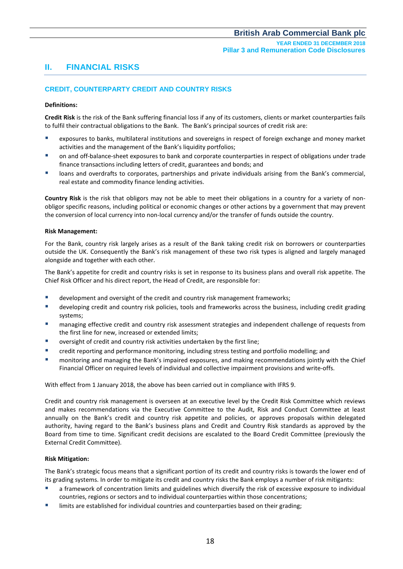## **II. FINANCIAL RISKS**

## **CREDIT, COUNTERPARTY CREDIT AND COUNTRY RISKS**

#### **Definitions:**

**Credit Risk** is the risk of the Bank suffering financial loss if any of its customers, clients or market counterparties fails to fulfil their contractual obligations to the Bank. The Bank's principal sources of credit risk are:

- exposures to banks, multilateral institutions and sovereigns in respect of foreign exchange and money market activities and the management of the Bank's liquidity portfolios;
- on and off-balance-sheet exposures to bank and corporate counterparties in respect of obligations under trade finance transactions including letters of credit, guarantees and bonds; and
- loans and overdrafts to corporates, partnerships and private individuals arising from the Bank's commercial, real estate and commodity finance lending activities.

**Country Risk** is the risk that obligors may not be able to meet their obligations in a country for a variety of nonobligor specific reasons, including political or economic changes or other actions by a government that may prevent the conversion of local currency into non-local currency and/or the transfer of funds outside the country.

#### **Risk Management:**

For the Bank, country risk largely arises as a result of the Bank taking credit risk on borrowers or counterparties outside the UK. Consequently the Bank's risk management of these two risk types is aligned and largely managed alongside and together with each other.

The Bank's appetite for credit and country risks is set in response to its business plans and overall risk appetite. The Chief Risk Officer and his direct report, the Head of Credit, are responsible for:

- development and oversight of the credit and country risk management frameworks;
- developing credit and country risk policies, tools and frameworks across the business, including credit grading systems;
- managing effective credit and country risk assessment strategies and independent challenge of requests from the first line for new, increased or extended limits;
- oversight of credit and country risk activities undertaken by the first line;
- credit reporting and performance monitoring, including stress testing and portfolio modelling; and
- monitoring and managing the Bank's impaired exposures, and making recommendations jointly with the Chief Financial Officer on required levels of individual and collective impairment provisions and write-offs.

With effect from 1 January 2018, the above has been carried out in compliance with IFRS 9.

Credit and country risk management is overseen at an executive level by the Credit Risk Committee which reviews and makes recommendations via the Executive Committee to the Audit, Risk and Conduct Committee at least annually on the Bank's credit and country risk appetite and policies, or approves proposals within delegated authority, having regard to the Bank's business plans and Credit and Country Risk standards as approved by the Board from time to time. Significant credit decisions are escalated to the Board Credit Committee (previously the External Credit Committee).

#### **Risk Mitigation:**

The Bank's strategic focus means that a significant portion of its credit and country risks is towards the lower end of its grading systems. In order to mitigate its credit and country risks the Bank employs a number of risk mitigants:

- a framework of concentration limits and guidelines which diversify the risk of excessive exposure to individual countries, regions or sectors and to individual counterparties within those concentrations;
- limits are established for individual countries and counterparties based on their grading;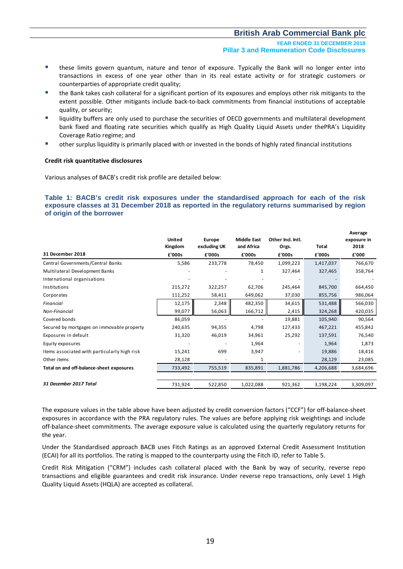**YEAR ENDED 31 DECEMBER 2018 Pillar 3 and Remuneration Code Disclosures**

- these limits govern quantum, nature and tenor of exposure. Typically the Bank will no longer enter into transactions in excess of one year other than in its real estate activity or for strategic customers or counterparties of appropriate credit quality;
- the Bank takes cash collateral for a significant portion of its exposures and employs other risk mitigants to the extent possible. Other mitigants include back-to-back commitments from financial institutions of acceptable quality, or security;
- liquidity buffers are only used to purchase the securities of OECD governments and multilateral development bank fixed and floating rate securities which qualify as High Quality Liquid Assets under thePRA's Liquidity Coverage Ratio regime; and
- other surplus liquidity is primarily placed with or invested in the bonds of highly rated financial institutions

#### **Credit risk quantitative disclosures**

Various analyses of BACB's credit risk profile are detailed below:

**Table 1: BACB's credit risk exposures under the standardised approach for each of the risk exposure classes at 31 December 2018 as reported in the regulatory returns summarised by region of origin of the borrower**

|               |              |                    |                   |           | Average     |
|---------------|--------------|--------------------|-------------------|-----------|-------------|
| <b>United</b> | Europe       | <b>Middle East</b> | Other Incl. Intl. |           | exposure in |
| Kingdom       | excluding UK | and Africa         | Orgs.             | Total     | 2018        |
| £'000s        | £'000s       | £'000s             | £'000s            | £'000s    | £'000       |
| 5,586         | 233,778      | 78,450             | 1,099,223         | 1,417,037 | 766,670     |
|               |              | 1                  | 327,464           | 327,465   | 358,764     |
|               |              |                    |                   |           |             |
| 215,272       | 322,257      | 62,706             | 245,464           | 845,700   | 664,450     |
| 111,252       | 58,411       | 649,062            | 37,030            | 855,756   | 986,064     |
| 12,175        | 2,348        | 482,350            | 34,615            | 531,488   | 566,030     |
| 99,077        | 56,063       | 166,712            | 2,415             | 324,268   | 420,035     |
| 86,059        |              |                    | 19,881            | 105,940   | 90,564      |
| 240,635       | 94,355       | 4,798              | 127,433           | 467,221   | 455,842     |
| 31,320        | 46,019       | 34,961             | 25,292            | 137,591   | 76,540      |
|               |              | 1,964              |                   | 1,964     | 1,873       |
| 15,241        | 699          | 3,947              |                   | 19,886    | 18,416      |
| 28,128        |              | 1                  |                   | 28,129    | 23,085      |
| 733,492       | 755,519      | 835,891            | 1,881,786         | 4,206,688 | 3,684,696   |
|               |              |                    |                   |           |             |
| 731,924       | 522,850      | 1,022,088          | 921,362           | 3,198,224 | 3,309,097   |
|               |              |                    |                   |           |             |

The exposure values in the table above have been adjusted by credit conversion factors ("CCF") for off-balance-sheet exposures in accordance with the PRA regulatory rules. The values are before applying risk weightings and include off-balance-sheet commitments. The average exposure value is calculated using the quarterly regulatory returns for the year.

Under the Standardised approach BACB uses Fitch Ratings as an approved External Credit Assessment Institution (ECAI) for all its portfolios. The rating is mapped to the counterparty using the Fitch ID, refer to Table 5.

Credit Risk Mitigation ("CRM") includes cash collateral placed with the Bank by way of security, reverse repo transactions and eligible guarantees and credit risk insurance. Under reverse repo transactions, only Level 1 High Quality Liquid Assets (HQLA) are accepted as collateral.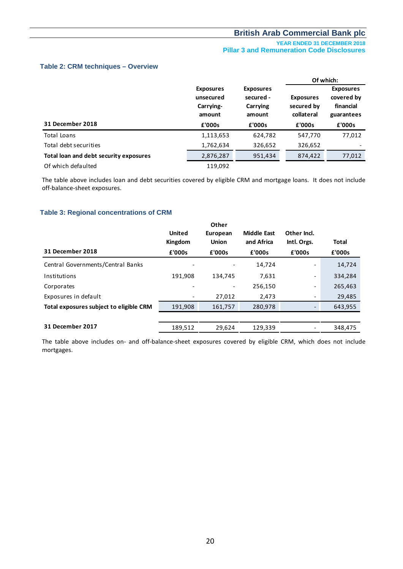**YEAR ENDED 31 DECEMBER 2018 Pillar 3 and Remuneration Code Disclosures**

#### **Table 2: CRM techniques – Overview**

|                                        |                                                      |                                                     | Of which:                                    |                                                                     |  |
|----------------------------------------|------------------------------------------------------|-----------------------------------------------------|----------------------------------------------|---------------------------------------------------------------------|--|
|                                        | <b>Exposures</b><br>unsecured<br>Carrying-<br>amount | <b>Exposures</b><br>secured -<br>Carrying<br>amount | <b>Exposures</b><br>secured by<br>collateral | <b>Exposures</b><br>covered by<br>financial<br>guarantees<br>£'000s |  |
| 31 December 2018                       | £'000s                                               | £'000s                                              | £'000s                                       |                                                                     |  |
| Total Loans                            | 1,113,653                                            | 624,782                                             | 547,770                                      | 77,012                                                              |  |
| Total debt securities                  | 1,762,634                                            | 326,652                                             | 326,652                                      |                                                                     |  |
| Total loan and debt security exposures | 2,876,287                                            | 951,434                                             | 874,422                                      | 77,012                                                              |  |
| Of which defaulted                     | 119,092                                              |                                                     |                                              |                                                                     |  |

The table above includes loan and debt securities covered by eligible CRM and mortgage loans. It does not include off-balance-sheet exposures.

#### **Table 3: Regional concentrations of CRM**

| 31 December 2018                        | <b>United</b><br>Kingdom<br>£'000s | Other<br>European<br><b>Union</b><br>£'000s | <b>Middle East</b><br>and Africa<br>£'000s | Other Incl.<br>Intl. Orgs.<br>£'000s | Total<br>£'000s |
|-----------------------------------------|------------------------------------|---------------------------------------------|--------------------------------------------|--------------------------------------|-----------------|
| Central Governments/Central Banks       |                                    |                                             | 14,724                                     |                                      | 14,724          |
| Institutions                            | 191,908                            | 134,745                                     | 7,631                                      | -                                    | 334,284         |
| Corporates                              | $\overline{\phantom{0}}$           |                                             | 256,150                                    | -                                    | 265,463         |
| Exposures in default                    | $\overline{\phantom{a}}$           | 27,012                                      | 2,473                                      |                                      | 29,485          |
| Total exposures subject to eligible CRM | 191,908                            | 161,757                                     | 280,978                                    |                                      | 643,955         |
|                                         |                                    |                                             |                                            |                                      |                 |
| 31 December 2017                        | 189,512                            | 29,624                                      | 129,339                                    |                                      | 348,475         |

The table above includes on- and off-balance-sheet exposures covered by eligible CRM, which does not include mortgages.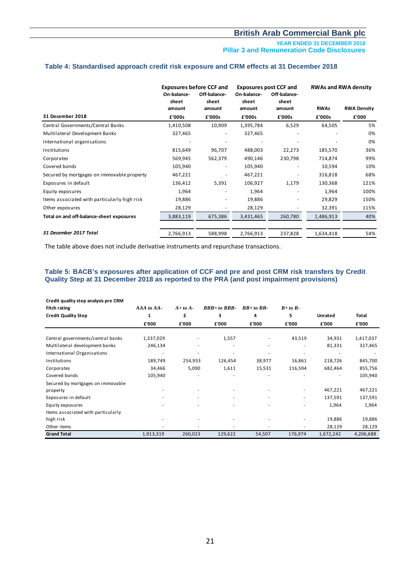**YEAR ENDED 31 DECEMBER 2018 Pillar 3 and Remuneration Code Disclosures**

#### **Table 4: Standardised approach credit risk exposure and CRM effects at 31 December 2018**

|                                              |                                | <b>Exposures before CCF and</b> |                                | <b>Exposures post CCF and</b>   | <b>RWAs and RWA density</b> |                    |
|----------------------------------------------|--------------------------------|---------------------------------|--------------------------------|---------------------------------|-----------------------------|--------------------|
|                                              | On-balance-<br>sheet<br>amount | Off-balance-<br>sheet<br>amount | On-balance-<br>sheet<br>amount | Off-balance-<br>sheet<br>amount | <b>RWAs</b>                 | <b>RWA Density</b> |
| 31 December 2018                             | £'000s                         | £'000s                          | £'000s                         | £'000s                          | £'000s                      | £'000              |
| Central Governments/Central Banks            | 1,410,508                      | 10,909                          | 1,395,784                      | 6,529                           | 64,505                      | 5%                 |
| Multilateral Development Banks               | 327,465                        |                                 | 327,465                        |                                 |                             | 0%                 |
| International organisations                  |                                |                                 |                                |                                 |                             | 0%                 |
| Institutions                                 | 815,649                        | 96,707                          | 488,003                        | 22,273                          | 185,570                     | 36%                |
| Corporates                                   | 569,945                        | 562,379                         | 490,146                        | 230,798                         | 714,874                     | 99%                |
| Covered bonds                                | 105,940                        |                                 | 105,940                        |                                 | 10,594                      | 10%                |
| Secured by mortgages on immovable property   | 467,221                        |                                 | 467,221                        |                                 | 316,818                     | 68%                |
| Exposures in default                         | 136,412                        | 5,391                           | 106,927                        | 1,179                           | 130,368                     | 121%               |
| Equity exposures                             | 1,964                          |                                 | 1,964                          |                                 | 1,964                       | 100%               |
| Items associated with particularly high risk | 19,886                         |                                 | 19,886                         |                                 | 29,829                      | 150%               |
| Other exposures                              | 28,129                         |                                 | 28,129                         |                                 | 32,391                      | 115%               |
| Total on and off-balance-sheet exposures     | 3,883,119                      | 675,386                         | 3,431,465                      | 260,780                         | 1,486,913                   | 40%                |
| 31 December 2017 Total                       | 2,766,913                      | 588,998                         | 2,766,913                      | 237,828                         | 1,634,418                   | 54%                |

The table above does not include derivative instruments and repurchase transactions.

#### **Table 5: BACB's exposures after application of CCF and pre and post CRM risk transfers by Credit Quality Step at 31 December 2018 as reported to the PRA (and post impairment provisions)**

| Credit quality step analysis pre CRM |                          |              |               |            |           |           |           |
|--------------------------------------|--------------------------|--------------|---------------|------------|-----------|-----------|-----------|
| <b>Fitch rating</b>                  | AAA to AA-               | $A + to A -$ | $BBB+to BBB-$ | $BB+toBB-$ | $B+to B-$ |           |           |
| <b>Credit Quality Step</b>           | 1                        | 2            | 3             | 4          | 5         | Unrated   | Total     |
|                                      | £'000                    | £'000        | £'000         | £'000      | £'000     | £'000     | £'000     |
|                                      |                          |              |               |            |           |           |           |
| Central governments/central banks    | 1,337,029                | ٠            | 1,557         |            | 43,519    | 34,931    | 1,417,037 |
| Multilateral development banks       | 246,134                  | ٠            | ٠             |            |           | 81,331    | 327,465   |
| International Organisations          |                          |              |               |            |           |           |           |
| Institutions                         | 189,749                  | 254,933      | 126,454       | 38,977     | 16,861    | 218,726   | 845,700   |
| Corporates                           | 34,466                   | 5,090        | 1,611         | 15,531     | 116,594   | 682,464   | 855,756   |
| Covered bonds                        | 105,940                  |              |               |            |           |           | 105,940   |
| Secured by mortgages on immovable    |                          |              |               |            |           |           |           |
| property                             |                          |              |               |            |           | 467,221   | 467,221   |
| Exposures in default                 |                          | ٠            | ٠             | ٠          | $\sim$    | 137,591   | 137,591   |
| Equity exposures                     |                          |              |               |            |           | 1,964     | 1,964     |
| Items associated with particularly   |                          |              |               |            |           |           |           |
| high risk                            | $\overline{\phantom{a}}$ | ۰            |               |            |           | 19,886    | 19,886    |
| Other items                          |                          | ٠            |               |            |           | 28,129    | 28,129    |
| <b>Grand Total</b>                   | 1,913,319                | 260,023      | 129,622       | 54,507     | 176,974   | 1,672,242 | 4,206,688 |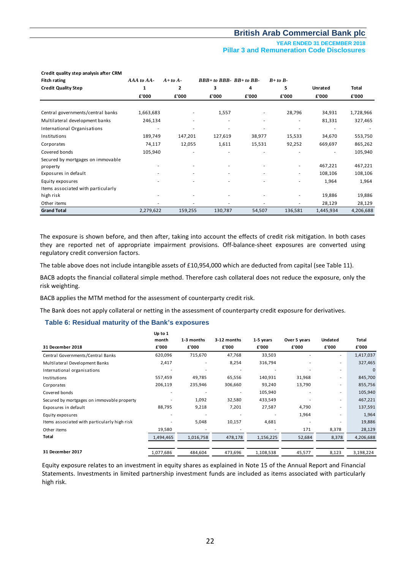#### **YEAR ENDED 31 DECEMBER 2018 Pillar 3 and Remuneration Code Disclosures**

| Fitch rating                       | AAA to AA- | $A + to A -$ | $BBB+to BBB-BB+to BB-$ |        | $B+to B-$ |           |           |
|------------------------------------|------------|--------------|------------------------|--------|-----------|-----------|-----------|
| <b>Credit Quality Step</b>         |            | 2            | 3                      | 4      | 5         | Unrated   | Total     |
|                                    | £'000      | £'000        | £'000                  | £'000  | £'000     | £'000     | £'000     |
|                                    |            |              |                        |        |           |           |           |
| Central governments/central banks  | 1,663,683  |              | 1,557                  |        | 28,796    | 34,931    | 1,728,966 |
| Multilateral development banks     | 246,134    | ۰            |                        |        |           | 81,331    | 327,465   |
| International Organisations        |            |              |                        |        |           |           |           |
| Institutions                       | 189,749    | 147,201      | 127,619                | 38,977 | 15,533    | 34,670    | 553,750   |
| Corporates                         | 74,117     | 12,055       | 1,611                  | 15,531 | 92,252    | 669,697   | 865,262   |
| Covered bonds                      | 105,940    |              |                        |        |           |           | 105,940   |
| Secured by mortgages on immovable  |            |              |                        |        |           |           |           |
| property                           |            |              |                        |        | ٠         | 467,221   | 467,221   |
| Exposures in default               |            | ٠            |                        |        | ۰         | 108,106   | 108,106   |
| Equity exposures                   |            |              |                        |        |           | 1,964     | 1,964     |
| Items associated with particularly |            |              |                        |        |           |           |           |
| high risk                          |            |              |                        |        |           | 19,886    | 19,886    |
| Other items                        |            |              |                        |        |           | 28,129    | 28,129    |
| <b>Grand Total</b>                 | 2,279,622  | 159,255      | 130,787                | 54,507 | 136,581   | 1,445,934 | 4,206,688 |

The exposure is shown before, and then after, taking into account the effects of credit risk mitigation. In both cases they are reported net of appropriate impairment provisions. Off-balance-sheet exposures are converted using regulatory credit conversion factors.

The table above does not include intangible assets of £10,954,000 which are deducted from capital (see Table 11).

BACB adopts the financial collateral simple method. Therefore cash collateral does not reduce the exposure, only the risk weighting.

BACB applies the MTM method for the assessment of counterparty credit risk.

**Up to 1** 

The Bank does not apply collateral or netting in the assessment of counterparty credit exposure for derivatives.

#### **Table 6: Residual maturity of the Bank's exposures**

**Credit quality step analysis after CRM**

| 31 December 2018                             | op to t<br>month<br>£'000 | 1-3 months<br>£'000      | 3-12 months<br>£'000     | 1-5 years<br>£'000 | Over 5 years<br>£'000 | <b>Undated</b><br>£'000  | Total<br>£'000 |
|----------------------------------------------|---------------------------|--------------------------|--------------------------|--------------------|-----------------------|--------------------------|----------------|
| Central Governments/Central Banks            | 620,096                   | 715,670                  | 47,768                   | 33,503             |                       | $\overline{a}$           | 1,417,037      |
| Multilateral Development Banks               | 2,417                     |                          | 8,254                    | 316,794            |                       | $\overline{a}$           | 327,465        |
| International organisations                  | ۰                         |                          | $\overline{\phantom{a}}$ | ۰.                 |                       | ۰                        | $\mathbf{0}$   |
| Institutions                                 | 557,459                   | 49,785                   | 65,556                   | 140,931            | 31,968                | $\overline{a}$           | 845,700        |
| Corporates                                   | 206,119                   | 235,946                  | 306,660                  | 93,240             | 13,790                | -                        | 855,756        |
| Covered bonds                                | $\overline{\phantom{a}}$  | $\overline{\phantom{a}}$ | $\overline{\phantom{a}}$ | 105,940            |                       | $\overline{a}$           | 105,940        |
| Secured by mortgages on immovable property   |                           | 1,092                    | 32,580                   | 433,549            |                       | $\overline{\phantom{a}}$ | 467,221        |
| Exposures in default                         | 88,795                    | 9,218                    | 7,201                    | 27,587             | 4,790                 | $\overline{a}$           | 137,591        |
| Equity exposures                             |                           |                          |                          |                    | 1,964                 |                          | 1,964          |
| Items associated with particularly high risk |                           | 5,048                    | 10,157                   | 4,681              |                       | $\overline{a}$           | 19,886         |
| Other items                                  | 19,580                    |                          |                          |                    | 171                   | 8,378                    | 28,129         |
| Total                                        | 1,494,465                 | 1,016,758                | 478,178                  | 1,156,225          | 52,684                | 8,378                    | 4,206,688      |
| 31 December 2017                             | 1,077,686                 | 484,604                  | 473,696                  | 1,108,538          | 45,577                | 8,123                    | 3,198,224      |

Equity exposure relates to an investment in equity shares as explained in Note 15 of the Annual Report and Financial Statements. Investments in limited partnership investment funds are included as items associated with particularly high risk.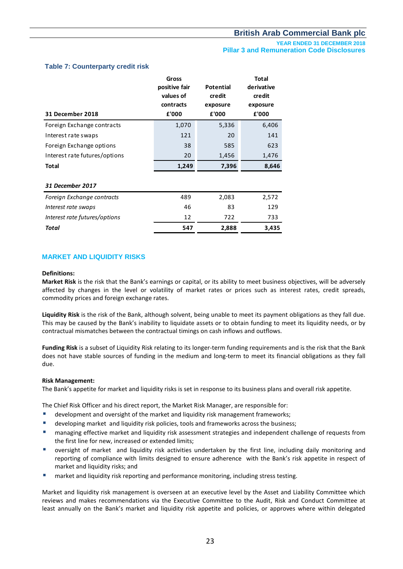#### **Table 7: Counterparty credit risk**

| <b>31 December 2018</b>       | Gross<br>positive fair<br>values of<br>contracts<br>£'000 | <b>Potential</b><br>credit<br>exposure<br>£'000 | <b>Total</b><br>derivative<br>credit<br>exposure<br>£'000 |
|-------------------------------|-----------------------------------------------------------|-------------------------------------------------|-----------------------------------------------------------|
| Foreign Exchange contracts    | 1,070                                                     | 5,336                                           | 6,406                                                     |
| Interest rate swaps           | 121                                                       | 20                                              | 141                                                       |
| Foreign Exchange options      | 38                                                        | 585                                             | 623                                                       |
| Interest rate futures/options | 20                                                        | 1,456                                           | 1,476                                                     |
| <b>Total</b>                  | 1,249                                                     | 7,396                                           | 8,646                                                     |
| 31 December 2017              |                                                           |                                                 |                                                           |
| Foreign Exchange contracts    | 489                                                       | 2,083                                           | 2,572                                                     |
| Interest rate swaps           | 46                                                        | 83                                              | 129                                                       |
| Interest rate futures/options | 12                                                        | 722                                             | 733                                                       |
| Total                         | 547                                                       | 2,888                                           | 3,435                                                     |

#### **MARKET AND LIQUIDITY RISKS**

#### **Definitions:**

**Market Risk** is the risk that the Bank's earnings or capital, or its ability to meet business objectives, will be adversely affected by changes in the level or volatility of market rates or prices such as interest rates, credit spreads, commodity prices and foreign exchange rates.

**Liquidity Risk** is the risk of the Bank, although solvent, being unable to meet its payment obligations as they fall due. This may be caused by the Bank's inability to liquidate assets or to obtain funding to meet its liquidity needs, or by contractual mismatches between the contractual timings on cash inflows and outflows.

**Funding Risk** is a subset of Liquidity Risk relating to its longer-term funding requirements and is the risk that the Bank does not have stable sources of funding in the medium and long-term to meet its financial obligations as they fall due.

#### **Risk Management:**

The Bank's appetite for market and liquidity risks is set in response to its business plans and overall risk appetite.

The Chief Risk Officer and his direct report, the Market Risk Manager, are responsible for:

- **EXEDENT** development and oversight of the market and liquidity risk management frameworks;
- developing market and liquidity risk policies, tools and frameworks across the business;
- managing effective market and liquidity risk assessment strategies and independent challenge of requests from the first line for new, increased or extended limits;
- oversight of market and liquidity risk activities undertaken by the first line, including daily monitoring and reporting of compliance with limits designed to ensure adherence with the Bank's risk appetite in respect of market and liquidity risks; and
- market and liquidity risk reporting and performance monitoring, including stress testing.

Market and liquidity risk management is overseen at an executive level by the Asset and Liability Committee which reviews and makes recommendations via the Executive Committee to the Audit, Risk and Conduct Committee at least annually on the Bank's market and liquidity risk appetite and policies, or approves where within delegated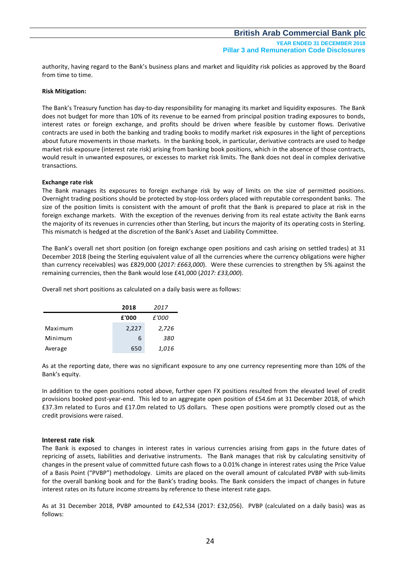authority, having regard to the Bank's business plans and market and liquidity risk policies as approved by the Board from time to time.

#### **Risk Mitigation:**

The Bank's Treasury function has day-to-day responsibility for managing its market and liquidity exposures. The Bank does not budget for more than 10% of its revenue to be earned from principal position trading exposures to bonds, interest rates or foreign exchange, and profits should be driven where feasible by customer flows. Derivative contracts are used in both the banking and trading books to modify market risk exposures in the light of perceptions about future movements in those markets. In the banking book, in particular, derivative contracts are used to hedge market risk exposure (interest rate risk) arising from banking book positions, which in the absence of those contracts, would result in unwanted exposures, or excesses to market risk limits. The Bank does not deal in complex derivative transactions.

#### **Exchange rate risk**

The Bank manages its exposures to foreign exchange risk by way of limits on the size of permitted positions. Overnight trading positions should be protected by stop-loss orders placed with reputable correspondent banks. The size of the position limits is consistent with the amount of profit that the Bank is prepared to place at risk in the foreign exchange markets. With the exception of the revenues deriving from its real estate activity the Bank earns the majority of its revenues in currencies other than Sterling, but incurs the majority of its operating costs in Sterling. This mismatch is hedged at the discretion of the Bank's Asset and Liability Committee.

The Bank's overall net short position (on foreign exchange open positions and cash arising on settled trades) at 31 December 2018 (being the Sterling equivalent value of all the currencies where the currency obligations were higher than currency receivables) was £829,000 (*2017: £663,000*). Were these currencies to strengthen by 5% against the remaining currencies, then the Bank would lose £41,000 (*2017: £33,000*).

Overall net short positions as calculated on a daily basis were as follows:

|         | 2018  | 2017  |
|---------|-------|-------|
|         | £'000 | £'000 |
| Maximum | 2,227 | 2,726 |
| Minimum | 6     | 380   |
| Average | 650   | 1,016 |

As at the reporting date, there was no significant exposure to any one currency representing more than 10% of the Bank's equity.

In addition to the open positions noted above, further open FX positions resulted from the elevated level of credit provisions booked post-year-end. This led to an aggregate open position of £54.6m at 31 December 2018, of which £37.3m related to Euros and £17.0m related to US dollars. These open positions were promptly closed out as the credit provisions were raised.

#### **Interest rate risk**

The Bank is exposed to changes in interest rates in various currencies arising from gaps in the future dates of repricing of assets, liabilities and derivative instruments. The Bank manages that risk by calculating sensitivity of changes in the present value of committed future cash flows to a 0.01% change in interest rates using the Price Value of a Basis Point ("PVBP") methodology. Limits are placed on the overall amount of calculated PVBP with sub-limits for the overall banking book and for the Bank's trading books. The Bank considers the impact of changes in future interest rates on its future income streams by reference to these interest rate gaps.

As at 31 December 2018, PVBP amounted to £42,534 (2017: £32,056). PVBP (calculated on a daily basis) was as follows: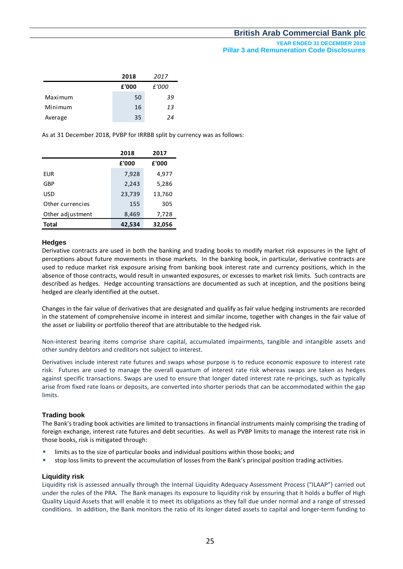#### **YEAR ENDED 31 DECEMBER 2018 Pillar 3 and Remuneration Code Disclosures**

|         | 2018  | 2017  |
|---------|-------|-------|
|         | £'000 | £'000 |
| Maximum | 50    | 39    |
| Minimum | 16    | 13    |
| Average | 35    | 24    |

As at 31 December 2018, PVBP for IRRBB split by currency was as follows:

|                  | 2018   | 2017   |
|------------------|--------|--------|
|                  | £'000  | £'000  |
| eur              | 7,928  | 4,977  |
| GBP              | 2,243  | 5,286  |
| <b>USD</b>       | 23,739 | 13,760 |
| Other currencies | 155    | 305    |
| Other adjustment | 8,469  | 7,728  |
| <b>Total</b>     | 42,534 | 32,056 |

#### **Hedges**

Derivative contracts are used in both the banking and trading books to modify market risk exposures in the light of perceptions about future movements in those markets. In the banking book, in particular, derivative contracts are used to reduce market risk exposure arising from banking book interest rate and currency positions, which in the absence of those contracts, would result in unwanted exposures, or excesses to market risk limits. Such contracts are described as hedges. Hedge accounting transactions are documented as such at inception, and the positions being hedged are clearly identified at the outset.

Changes in the fair value of derivatives that are designated and qualify as fair value hedging instruments are recorded in the statement of comprehensive income in interest and similar income, together with changes in the fair value of the asset or liability or portfolio thereof that are attributable to the hedged risk.

Non-interest bearing items comprise share capital, accumulated impairments, tangible and intangible assets and other sundry debtors and creditors not subject to interest.

Derivatives include interest rate futures and swaps whose purpose is to reduce economic exposure to interest rate risk. Futures are used to manage the overall quantum of interest rate risk whereas swaps are taken as hedges against specific transactions. Swaps are used to ensure that longer dated interest rate re-pricings, such as typically arise from fixed rate loans or deposits, are converted into shorter periods that can be accommodated within the gap limits.

#### **Trading book**

The Bank's trading book activities are limited to transactions in financial instruments mainly comprising the trading of foreign exchange, interest rate futures and debt securities. As well as PVBP limits to manage the interest rate risk in those books, risk is mitigated through:

- limits as to the size of particular books and individual positions within those books; and
- stop loss limits to prevent the accumulation of losses from the Bank's principal position trading activities.

#### **Liquidity risk**

Liquidity risk is assessed annually through the Internal Liquidity Adequacy Assessment Process ("ILAAP") carried out under the rules of the PRA. The Bank manages its exposure to liquidity risk by ensuring that it holds a buffer of High Quality Liquid Assets that will enable it to meet its obligations as they fall due under normal and a range of stressed conditions. In addition, the Bank monitors the ratio of its longer dated assets to capital and longer-term funding to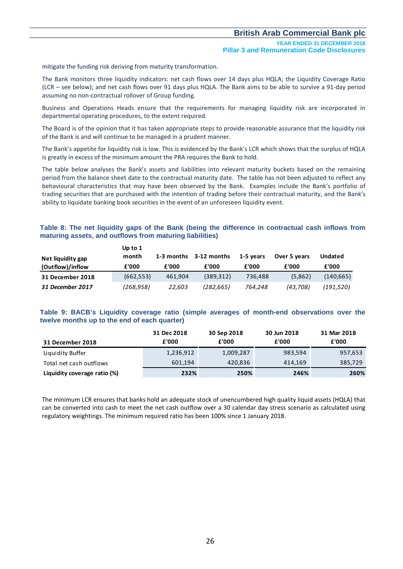**YEAR ENDED 31 DECEMBER 2018 Pillar 3 and Remuneration Code Disclosures**

mitigate the funding risk deriving from maturity transformation.

The Bank monitors three liquidity indicators: net cash flows over 14 days plus HQLA; the Liquidity Coverage Ratio (LCR – see below); and net cash flows over 91 days plus HQLA. The Bank aims to be able to survive a 91-day period assuming no non-contractual rollover of Group funding.

Business and Operations Heads ensure that the requirements for managing liquidity risk are incorporated in departmental operating procedures, to the extent required.

The Board is of the opinion that it has taken appropriate steps to provide reasonable assurance that the liquidity risk of the Bank is and will continue to be managed in a prudent manner.

The Bank's appetite for liquidity risk is low. This is evidenced by the Bank's LCR which shows that the surplus of HQLA is greatly in excess of the minimum amount the PRA requires the Bank to hold.

The table below analyses the Bank's assets and liabilities into relevant maturity buckets based on the remaining period from the balance sheet date to the contractual maturity date. The table has not been adjusted to reflect any behavioural characteristics that may have been observed by the Bank. Examples include the Bank's portfolio of trading securities that are purchased with the intention of trading before their contractual maturity, and the Bank's ability to liquidate banking book securities in the event of an unforeseen liquidity event.

#### **Table 8: The net liquidity gaps of the Bank (being the difference in contractual cash inflows from maturing assets, and outflows from maturing liabilities)**

| Net liquidity gap<br>(Outflow)/inflow | Up to $1$<br>month<br>£'000 | 1-3 months<br>£'000 | 3-12 months<br>£'000 | 1-5 vears<br>£'000 | Over 5 years<br>£'000 | <b>Undated</b><br>£'000 |
|---------------------------------------|-----------------------------|---------------------|----------------------|--------------------|-----------------------|-------------------------|
| 31 December 2018                      | (662, 553)                  | 461.904             | (389, 312)           | 736,488            | (5,862)               | (140, 665)              |
| 31 December 2017                      | (268,958)                   | 22,603              | (282, 665)           | 764.248            | (43, 708)             | (191,520)               |

#### **Table 9: BACB's Liquidity coverage ratio (simple averages of month-end observations over the twelve months up to the end of each quarter)**

|                              | 31 Dec 2018 | 30 Sep 2018 | 30 Jun 2018 | 31 Mar 2018 |
|------------------------------|-------------|-------------|-------------|-------------|
| 31 December 2018             | £'000       | £'000       | £'000       | £'000       |
| Liquidity Buffer             | 1,236,912   | 1,009,287   | 983,594     | 957,653     |
| Total net cash outflows      | 601,194     | 420,836     | 414,169     | 385,729     |
| Liquidity coverage ratio (%) | 232%        | 250%        | 246%        | 260%        |

The minimum LCR ensures that banks hold an adequate stock of unencumbered high quality liquid assets (HQLA) that can be converted into cash to meet the net cash outflow over a 30 calendar day stress scenario as calculated using regulatory weightings. The minimum required ratio has been 100% since 1 January 2018.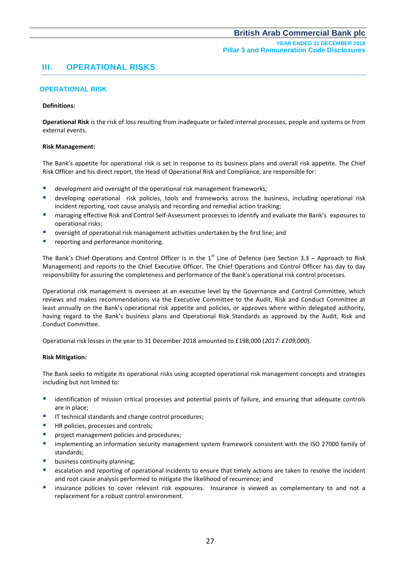## **III. OPERATIONAL RISKS**

### **OPERATIONAL RISK**

#### **Definitions:**

**Operational Risk** is the risk of loss resulting from inadequate or failed internal processes, people and systems or from external events.

#### **Risk Management:**

The Bank's appetite for operational risk is set in response to its business plans and overall risk appetite. The Chief Risk Officer and his direct report, the Head of Operational Risk and Compliance, are responsible for:

- **E** development and oversight of the operational risk management frameworks;
- developing operational risk policies, tools and frameworks across the business, including operational risk incident reporting, root cause analysis and recording and remedial action tracking;
- managing effective Risk and Control Self-Assessment processes to identify and evaluate the Bank's exposures to operational risks;
- oversight of operational risk management activities undertaken by the first line; and
- reporting and performance monitoring.

The Bank's Chief Operations and Control Officer is in the  $1<sup>st</sup>$  Line of Defence (see Section 3.3 – Approach to Risk Management) and reports to the Chief Executive Officer. The Chief Operations and Control Officer has day to day responsibility for assuring the completeness and performance of the Bank's operational risk control processes.

Operational risk management is overseen at an executive level by the Governance and Control Committee, which reviews and makes recommendations via the Executive Committee to the Audit, Risk and Conduct Committee at least annually on the Bank's operational risk appetite and policies, or approves where within delegated authority, having regard to the Bank's business plans and Operational Risk Standards as approved by the Audit, Risk and Conduct Committee.

Operational risk losses in the year to 31 December 2018 amounted to £198,000 (*2017: £109,000*).

#### **Risk Mitigation:**

The Bank seeks to mitigate its operational risks using accepted operational risk management concepts and strategies including but not limited to:

- **Indentification of mission critical processes and potential points of failure, and ensuring that adequate controls** are in place;
- **IF IT technical standards and change control procedures;**
- HR policies, processes and controls;
- project management policies and procedures;
- **Inmallementing an information security management system framework consistent with the ISO 27000 family of** standards;
- business continuity planning;
- escalation and reporting of operational incidents to ensure that timely actions are taken to resolve the incident and root cause analysis performed to mitigate the likelihood of recurrence; and
- **E** insurance policies to cover relevant risk exposures. Insurance is viewed as complementary to and not a replacement for a robust control environment.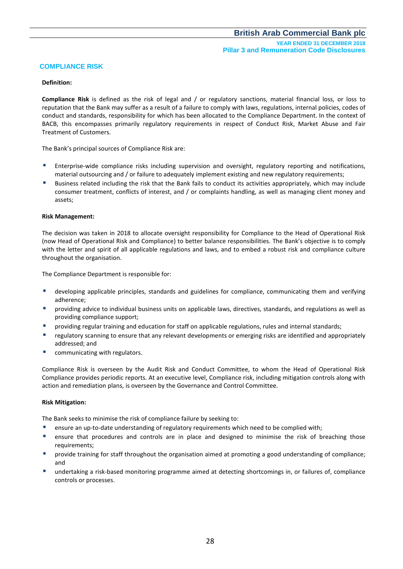#### **COMPLIANCE RISK**

#### **Definition:**

**Compliance Risk** is defined as the risk of legal and / or regulatory sanctions, material financial loss, or loss to reputation that the Bank may suffer as a result of a failure to comply with laws, regulations, internal policies, codes of conduct and standards, responsibility for which has been allocated to the Compliance Department. In the context of BACB, this encompasses primarily regulatory requirements in respect of Conduct Risk, Market Abuse and Fair Treatment of Customers.

The Bank's principal sources of Compliance Risk are:

- Enterprise-wide compliance risks including supervision and oversight, regulatory reporting and notifications, material outsourcing and / or failure to adequately implement existing and new regulatory requirements;
- Business related including the risk that the Bank fails to conduct its activities appropriately, which may include consumer treatment, conflicts of interest, and / or complaints handling, as well as managing client money and assets;

#### **Risk Management:**

The decision was taken in 2018 to allocate oversight responsibility for Compliance to the Head of Operational Risk (now Head of Operational Risk and Compliance) to better balance responsibilities. The Bank's objective is to comply with the letter and spirit of all applicable regulations and laws, and to embed a robust risk and compliance culture throughout the organisation.

The Compliance Department is responsible for:

- developing applicable principles, standards and guidelines for compliance, communicating them and verifying adherence;
- providing advice to individual business units on applicable laws, directives, standards, and regulations as well as providing compliance support;
- providing regular training and education for staff on applicable regulations, rules and internal standards;
- **•** regulatory scanning to ensure that any relevant developments or emerging risks are identified and appropriately addressed; and
- communicating with regulators.

Compliance Risk is overseen by the Audit Risk and Conduct Committee, to whom the Head of Operational Risk Compliance provides periodic reports. At an executive level, Compliance risk, including mitigation controls along with action and remediation plans, is overseen by the Governance and Control Committee.

#### **Risk Mitigation:**

The Bank seeks to minimise the risk of compliance failure by seeking to:

- ensure an up-to-date understanding of regulatory requirements which need to be complied with;
- ensure that procedures and controls are in place and designed to minimise the risk of breaching those requirements;
- provide training for staff throughout the organisation aimed at promoting a good understanding of compliance; and
- undertaking a risk-based monitoring programme aimed at detecting shortcomings in, or failures of, compliance controls or processes.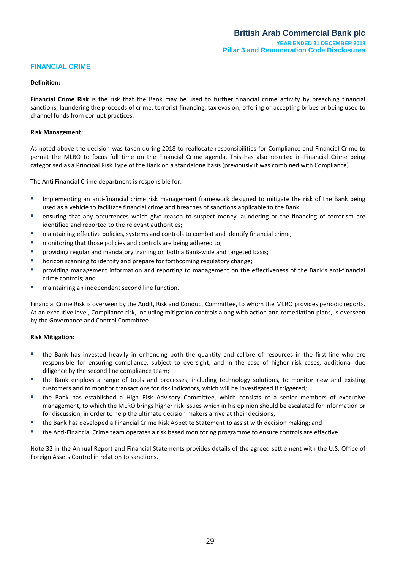#### **FINANCIAL CRIME**

#### **Definition:**

**Financial Crime Risk** is the risk that the Bank may be used to further financial crime activity by breaching financial sanctions, laundering the proceeds of crime, terrorist financing, tax evasion, offering or accepting bribes or being used to channel funds from corrupt practices.

#### **Risk Management:**

As noted above the decision was taken during 2018 to reallocate responsibilities for Compliance and Financial Crime to permit the MLRO to focus full time on the Financial Crime agenda. This has also resulted in Financial Crime being categorised as a Principal Risk Type of the Bank on a standalone basis (previously it was combined with Compliance).

The Anti Financial Crime department is responsible for:

- Implementing an anti-financial crime risk management framework designed to mitigate the risk of the Bank being used as a vehicle to facilitate financial crime and breaches of sanctions applicable to the Bank.
- ensuring that any occurrences which give reason to suspect money laundering or the financing of terrorism are identified and reported to the relevant authorities;
- maintaining effective policies, systems and controls to combat and identify financial crime;
- **E** monitoring that those policies and controls are being adhered to;
- **P** providing regular and mandatory training on both a Bank-wide and targeted basis;
- **horizon scanning to identify and prepare for forthcoming regulatory change;**
- providing management information and reporting to management on the effectiveness of the Bank's anti-financial crime controls; and
- **naintaining an independent second line function.**

Financial Crime Risk is overseen by the Audit, Risk and Conduct Committee, to whom the MLRO provides periodic reports. At an executive level, Compliance risk, including mitigation controls along with action and remediation plans, is overseen by the Governance and Control Committee.

#### **Risk Mitigation:**

- the Bank has invested heavily in enhancing both the quantity and calibre of resources in the first line who are responsible for ensuring compliance, subject to oversight, and in the case of higher risk cases, additional due diligence by the second line compliance team;
- the Bank employs a range of tools and processes, including technology solutions, to monitor new and existing customers and to monitor transactions for risk indicators, which will be investigated if triggered;
- the Bank has established a High Risk Advisory Committee, which consists of a senior members of executive management, to which the MLRO brings higher risk issues which in his opinion should be escalated for information or for discussion, in order to help the ultimate decision makers arrive at their decisions;
- the Bank has developed a Financial Crime Risk Appetite Statement to assist with decision making; and
- the Anti-Financial Crime team operates a risk based monitoring programme to ensure controls are effective

Note 32 in the Annual Report and Financial Statements provides details of the agreed settlement with the U.S. Office of Foreign Assets Control in relation to sanctions.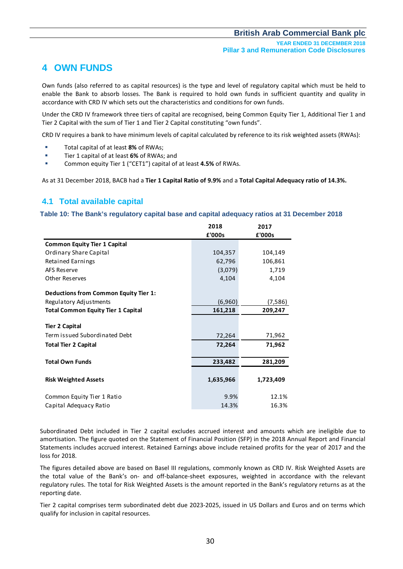## **4 OWN FUNDS**

Own funds (also referred to as capital resources) is the type and level of regulatory capital which must be held to enable the Bank to absorb losses. The Bank is required to hold own funds in sufficient quantity and quality in accordance with CRD IV which sets out the characteristics and conditions for own funds.

Under the CRD IV framework three tiers of capital are recognised, being Common Equity Tier 1, Additional Tier 1 and Tier 2 Capital with the sum of Tier 1 and Tier 2 Capital constituting "own funds".

CRD IV requires a bank to have minimum levels of capital calculated by reference to its risk weighted assets (RWAs):

- Total capital of at least **8%** of RWAs;
- Tier 1 capital of at least **6%** of RWAs; and
- Common equity Tier 1 ("CET1") capital of at least **4.5%** of RWAs.

As at 31 December 2018, BACB had a **Tier 1 Capital Ratio of 9.9%** and a **Total Capital Adequacy ratio of 14.3%.**

## **4.1 Total available capital**

#### **Table 10: The Bank's regulatory capital base and capital adequacy ratios at 31 December 2018**

|                                              | 2018      | 2017      |
|----------------------------------------------|-----------|-----------|
|                                              | £'000s    | £'000s    |
| <b>Common Equity Tier 1 Capital</b>          |           |           |
| Ordinary Share Capital                       | 104,357   | 104,149   |
| Retained Earnings                            | 62,796    | 106,861   |
| AFS Reserve                                  | (3,079)   | 1,719     |
| Other Reserves                               | 4,104     | 4,104     |
| <b>Deductions from Common Equity Tier 1:</b> |           |           |
| Regulatory Adjustments                       | (6,960)   | (7,586)   |
| <b>Total Common Equity Tier 1 Capital</b>    | 161,218   | 209,247   |
| <b>Tier 2 Capital</b>                        |           |           |
| Term issued Subordinated Debt                | 72,264    | 71,962    |
| <b>Total Tier 2 Capital</b>                  | 72,264    | 71,962    |
|                                              |           |           |
| <b>Total Own Funds</b>                       | 233,482   | 281,209   |
| <b>Risk Weighted Assets</b>                  | 1,635,966 | 1,723,409 |
| Common Equity Tier 1 Ratio                   | 9.9%      | 12.1%     |
| Capital Adequacy Ratio                       | 14.3%     | 16.3%     |

Subordinated Debt included in Tier 2 capital excludes accrued interest and amounts which are ineligible due to amortisation. The figure quoted on the Statement of Financial Position (SFP) in the 2018 Annual Report and Financial Statements includes accrued interest. Retained Earnings above include retained profits for the year of 2017 and the loss for 2018.

The figures detailed above are based on Basel III regulations, commonly known as CRD IV. Risk Weighted Assets are the total value of the Bank's on- and off-balance-sheet exposures, weighted in accordance with the relevant regulatory rules. The total for Risk Weighted Assets is the amount reported in the Bank's regulatory returns as at the reporting date.

Tier 2 capital comprises term subordinated debt due 2023-2025, issued in US Dollars and Euros and on terms which qualify for inclusion in capital resources.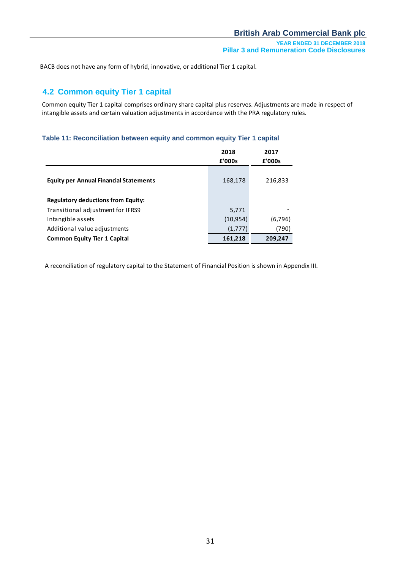**YEAR ENDED 31 DECEMBER 2018 Pillar 3 and Remuneration Code Disclosures**

BACB does not have any form of hybrid, innovative, or additional Tier 1 capital.

## **4.2 Common equity Tier 1 capital**

Common equity Tier 1 capital comprises ordinary share capital plus reserves. Adjustments are made in respect of intangible assets and certain valuation adjustments in accordance with the PRA regulatory rules.

#### **Table 11: Reconciliation between equity and common equity Tier 1 capital**

|                                               | 2018<br>£'000s | 2017<br>£'000s |
|-----------------------------------------------|----------------|----------------|
| <b>Equity per Annual Financial Statements</b> | 168,178        | 216,833        |
| <b>Regulatory deductions from Equity:</b>     |                |                |
| Transitional adjustment for IFRS9             | 5,771          |                |
| Intangible assets                             | (10, 954)      | (6, 796)       |
| Additional value adjustments                  | (1,777)        | (790)          |
| <b>Common Equity Tier 1 Capital</b>           | 161,218        | 209,247        |

A reconciliation of regulatory capital to the Statement of Financial Position is shown in Appendix III.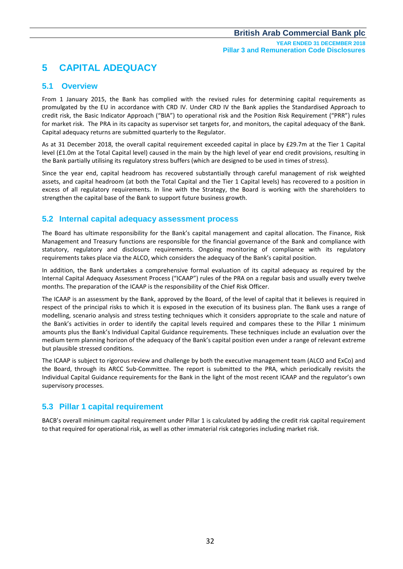## **5 CAPITAL ADEQUACY**

## **5.1 Overview**

From 1 January 2015, the Bank has complied with the revised rules for determining capital requirements as promulgated by the EU in accordance with CRD IV. Under CRD IV the Bank applies the Standardised Approach to credit risk, the Basic Indicator Approach ("BIA") to operational risk and the Position Risk Requirement ("PRR") rules for market risk. The PRA in its capacity as supervisor set targets for, and monitors, the capital adequacy of the Bank. Capital adequacy returns are submitted quarterly to the Regulator.

As at 31 December 2018, the overall capital requirement exceeded capital in place by £29.7m at the Tier 1 Capital level (£1.0m at the Total Capital level) caused in the main by the high level of year end credit provisions, resulting in the Bank partially utilising its regulatory stress buffers (which are designed to be used in times of stress).

Since the year end, capital headroom has recovered substantially through careful management of risk weighted assets, and capital headroom (at both the Total Capital and the Tier 1 Capital levels) has recovered to a position in excess of all regulatory requirements. In line with the Strategy, the Board is working with the shareholders to strengthen the capital base of the Bank to support future business growth.

## **5.2 Internal capital adequacy assessment process**

The Board has ultimate responsibility for the Bank's capital management and capital allocation. The Finance, Risk Management and Treasury functions are responsible for the financial governance of the Bank and compliance with statutory, regulatory and disclosure requirements. Ongoing monitoring of compliance with its regulatory requirements takes place via the ALCO, which considers the adequacy of the Bank's capital position.

In addition, the Bank undertakes a comprehensive formal evaluation of its capital adequacy as required by the Internal Capital Adequacy Assessment Process ("ICAAP") rules of the PRA on a regular basis and usually every twelve months. The preparation of the ICAAP is the responsibility of the Chief Risk Officer.

The ICAAP is an assessment by the Bank, approved by the Board, of the level of capital that it believes is required in respect of the principal risks to which it is exposed in the execution of its business plan. The Bank uses a range of modelling, scenario analysis and stress testing techniques which it considers appropriate to the scale and nature of the Bank's activities in order to identify the capital levels required and compares these to the Pillar 1 minimum amounts plus the Bank's Individual Capital Guidance requirements. These techniques include an evaluation over the medium term planning horizon of the adequacy of the Bank's capital position even under a range of relevant extreme but plausible stressed conditions.

The ICAAP is subject to rigorous review and challenge by both the executive management team (ALCO and ExCo) and the Board, through its ARCC Sub-Committee. The report is submitted to the PRA, which periodically revisits the Individual Capital Guidance requirements for the Bank in the light of the most recent ICAAP and the regulator's own supervisory processes.

## **5.3 Pillar 1 capital requirement**

BACB's overall minimum capital requirement under Pillar 1 is calculated by adding the credit risk capital requirement to that required for operational risk, as well as other immaterial risk categories including market risk.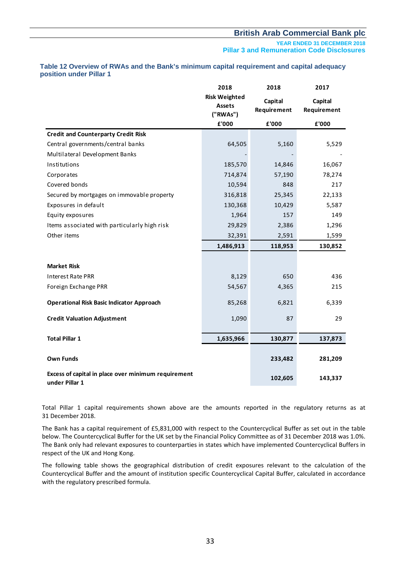**YEAR ENDED 31 DECEMBER 2018 Pillar 3 and Remuneration Code Disclosures**

#### **Table 12 Overview of RWAs and the Bank's minimum capital requirement and capital adequacy position under Pillar 1**

|                                                                       | 2018                                              | 2018                   | 2017                   |
|-----------------------------------------------------------------------|---------------------------------------------------|------------------------|------------------------|
|                                                                       | <b>Risk Weighted</b><br><b>Assets</b><br>("RWAs") | Capital<br>Requirement | Capital<br>Requirement |
|                                                                       | £'000                                             | £'000                  | £'000                  |
| <b>Credit and Counterparty Credit Risk</b>                            |                                                   |                        |                        |
| Central governments/central banks                                     | 64,505                                            | 5,160                  | 5,529                  |
| Multilateral Development Banks                                        |                                                   |                        |                        |
| Institutions                                                          | 185,570                                           | 14,846                 | 16,067                 |
| Corporates                                                            | 714,874                                           | 57,190                 | 78,274                 |
| Covered bonds                                                         | 10,594                                            | 848                    | 217                    |
| Secured by mortgages on immovable property                            | 316,818                                           | 25,345                 | 22,133                 |
| Exposures in default                                                  | 130,368                                           | 10,429                 | 5,587                  |
| Equity exposures                                                      | 1,964                                             | 157                    | 149                    |
| Items associated with particularly high risk                          | 29,829                                            | 2,386                  | 1,296                  |
| Other items                                                           | 32,391                                            | 2,591                  | 1,599                  |
|                                                                       | 1,486,913                                         | 118,953                | 130,852                |
|                                                                       |                                                   |                        |                        |
| <b>Market Risk</b>                                                    |                                                   |                        |                        |
| <b>Interest Rate PRR</b>                                              | 8,129                                             | 650                    | 436                    |
| Foreign Exchange PRR                                                  | 54,567                                            | 4,365                  | 215                    |
| <b>Operational Risk Basic Indicator Approach</b>                      | 85,268                                            | 6,821                  | 6,339                  |
| <b>Credit Valuation Adjustment</b>                                    | 1,090                                             | 87                     | 29                     |
| <b>Total Pillar 1</b>                                                 | 1,635,966                                         | 130,877                | 137,873                |
| <b>Own Funds</b>                                                      |                                                   | 233,482                | 281,209                |
| Excess of capital in place over minimum requirement<br>under Pillar 1 |                                                   | 102,605                | 143,337                |

Total Pillar 1 capital requirements shown above are the amounts reported in the regulatory returns as at 31 December 2018.

The Bank has a capital requirement of £5,831,000 with respect to the Countercyclical Buffer as set out in the table below. The Countercyclical Buffer for the UK set by the Financial Policy Committee as of 31 December 2018 was 1.0%. The Bank only had relevant exposures to counterparties in states which have implemented Countercyclical Buffers in respect of the UK and Hong Kong.

The following table shows the geographical distribution of credit exposures relevant to the calculation of the Countercyclical Buffer and the amount of institution specific Countercyclical Capital Buffer, calculated in accordance with the regulatory prescribed formula.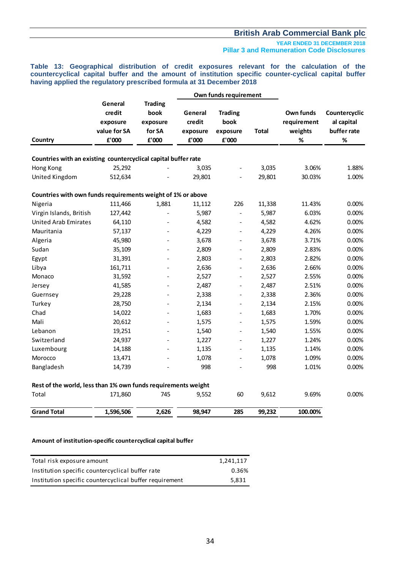#### **YEAR ENDED 31 DECEMBER 2018 Pillar 3 and Remuneration Code Disclosures**

**Table 13: Geographical distribution of credit exposures relevant for the calculation of the countercyclical capital buffer and the amount of institution specific counter-cyclical capital buffer having applied the regulatory prescribed formula at 31 December 2018**

|                                                                | Own funds requirement                                  |                                                       |                                        |                                             |              |                                             |                                                 |
|----------------------------------------------------------------|--------------------------------------------------------|-------------------------------------------------------|----------------------------------------|---------------------------------------------|--------------|---------------------------------------------|-------------------------------------------------|
| Country                                                        | General<br>credit<br>exposure<br>value for SA<br>£'000 | <b>Trading</b><br>book<br>exposure<br>for SA<br>£'000 | General<br>credit<br>exposure<br>£'000 | <b>Trading</b><br>book<br>exposure<br>£'000 | <b>Total</b> | Own funds<br>requirement<br>weights<br>$\%$ | Countercyclic<br>al capital<br>buffer rate<br>% |
| Countries with an existing countercyclical capital buffer rate |                                                        |                                                       |                                        |                                             |              |                                             |                                                 |
| Hong Kong                                                      | 25,292                                                 |                                                       | 3,035                                  |                                             | 3,035        | 3.06%                                       | 1.88%                                           |
| United Kingdom                                                 | 512,634                                                |                                                       | 29,801                                 |                                             | 29,801       | 30.03%                                      | 1.00%                                           |
| Countries with own funds requirements weight of 1% or above    |                                                        |                                                       |                                        |                                             |              |                                             |                                                 |
| Nigeria                                                        | 111,466                                                | 1,881                                                 | 11,112                                 | 226                                         | 11,338       | 11.43%                                      | 0.00%                                           |
| Virgin Islands, British                                        | 127,442                                                |                                                       | 5,987                                  | $\overline{a}$                              | 5,987        | 6.03%                                       | 0.00%                                           |
| <b>United Arab Emirates</b>                                    | 64,110                                                 | $\overline{\phantom{a}}$                              | 4,582                                  | $\overline{\phantom{0}}$                    | 4,582        | 4.62%                                       | 0.00%                                           |
| Mauritania                                                     | 57,137                                                 | $\overline{\phantom{a}}$                              | 4,229                                  | $\overline{\phantom{0}}$                    | 4,229        | 4.26%                                       | 0.00%                                           |
| Algeria                                                        | 45,980                                                 | $\overline{a}$                                        | 3,678                                  | $\overline{\phantom{0}}$                    | 3,678        | 3.71%                                       | 0.00%                                           |
| Sudan                                                          | 35,109                                                 | $\overline{\phantom{a}}$                              | 2,809                                  | $\qquad \qquad -$                           | 2,809        | 2.83%                                       | 0.00%                                           |
| Egypt                                                          | 31,391                                                 | $\qquad \qquad \blacksquare$                          | 2,803                                  | $\qquad \qquad -$                           | 2,803        | 2.82%                                       | 0.00%                                           |
| Libya                                                          | 161,711                                                | $\overline{\phantom{a}}$                              | 2,636                                  | $\overline{\phantom{0}}$                    | 2,636        | 2.66%                                       | 0.00%                                           |
| Monaco                                                         | 31,592                                                 | $\overline{\phantom{a}}$                              | 2,527                                  | $\qquad \qquad \blacksquare$                | 2,527        | 2.55%                                       | 0.00%                                           |
| Jersey                                                         | 41,585                                                 | $\qquad \qquad \blacksquare$                          | 2,487                                  | $\qquad \qquad \blacksquare$                | 2,487        | 2.51%                                       | 0.00%                                           |
| Guernsey                                                       | 29,228                                                 | $\overline{\phantom{a}}$                              | 2,338                                  | $\overline{\phantom{0}}$                    | 2,338        | 2.36%                                       | 0.00%                                           |
| Turkey                                                         | 28,750                                                 |                                                       | 2,134                                  | $\qquad \qquad \blacksquare$                | 2,134        | 2.15%                                       | 0.00%                                           |
| Chad                                                           | 14,022                                                 |                                                       | 1,683                                  | $\overline{\phantom{a}}$                    | 1,683        | 1.70%                                       | 0.00%                                           |
| Mali                                                           | 20,612                                                 |                                                       | 1,575                                  | $\overline{\phantom{0}}$                    | 1,575        | 1.59%                                       | 0.00%                                           |
| Lebanon                                                        | 19,251                                                 |                                                       | 1,540                                  | $\overline{\phantom{a}}$                    | 1,540        | 1.55%                                       | 0.00%                                           |
| Switzerland                                                    | 24,937                                                 |                                                       | 1,227                                  | $\frac{1}{2}$                               | 1,227        | 1.24%                                       | 0.00%                                           |
| Luxembourg                                                     | 14,188                                                 |                                                       | 1,135                                  | $\overline{\phantom{0}}$                    | 1,135        | 1.14%                                       | 0.00%                                           |
| Morocco                                                        | 13,471                                                 |                                                       | 1,078                                  | $\qquad \qquad \blacksquare$                | 1,078        | 1.09%                                       | 0.00%                                           |
| Bangladesh                                                     | 14,739                                                 |                                                       | 998                                    |                                             | 998          | 1.01%                                       | 0.00%                                           |
| Rest of the world, less than 1% own funds requirements weight  |                                                        |                                                       |                                        |                                             |              |                                             |                                                 |
| Total                                                          | 171,860                                                | 745                                                   | 9,552                                  | 60                                          | 9,612        | 9.69%                                       | 0.00%                                           |
| <b>Grand Total</b>                                             | 1,596,506                                              | 2,626                                                 | 98,947                                 | 285                                         | 99,232       | 100.00%                                     |                                                 |

#### **Amount of institution-specific countercyclical capital buffer**

| Total risk exposure amount                              | 1,241,117 |
|---------------------------------------------------------|-----------|
| Institution specific countercyclical buffer rate        | 0.36%     |
| Institution specific countercyclical buffer requirement | 5.831     |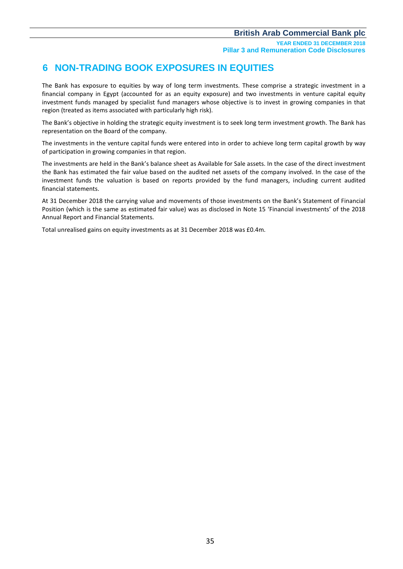**YEAR ENDED 31 DECEMBER 2018 Pillar 3 and Remuneration Code Disclosures**

## **6 NON-TRADING BOOK EXPOSURES IN EQUITIES**

The Bank has exposure to equities by way of long term investments. These comprise a strategic investment in a financial company in Egypt (accounted for as an equity exposure) and two investments in venture capital equity investment funds managed by specialist fund managers whose objective is to invest in growing companies in that region (treated as items associated with particularly high risk).

The Bank's objective in holding the strategic equity investment is to seek long term investment growth. The Bank has representation on the Board of the company.

The investments in the venture capital funds were entered into in order to achieve long term capital growth by way of participation in growing companies in that region.

The investments are held in the Bank's balance sheet as Available for Sale assets. In the case of the direct investment the Bank has estimated the fair value based on the audited net assets of the company involved. In the case of the investment funds the valuation is based on reports provided by the fund managers, including current audited financial statements.

At 31 December 2018 the carrying value and movements of those investments on the Bank's Statement of Financial Position (which is the same as estimated fair value) was as disclosed in Note 15 'Financial investments' of the 2018 Annual Report and Financial Statements.

Total unrealised gains on equity investments as at 31 December 2018 was £0.4m.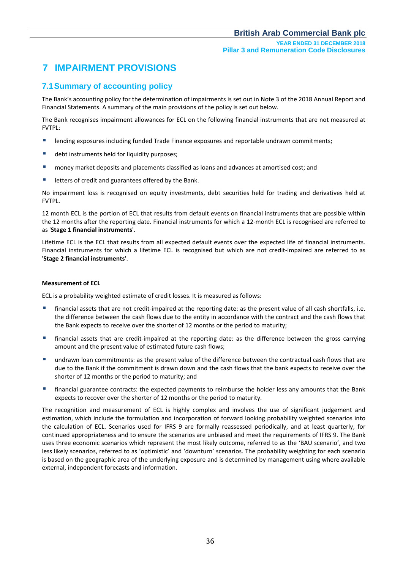## **7 IMPAIRMENT PROVISIONS**

## **7.1Summary of accounting policy**

The Bank's accounting policy for the determination of impairments is set out in Note 3 of the 2018 Annual Report and Financial Statements. A summary of the main provisions of the policy is set out below.

The Bank recognises impairment allowances for ECL on the following financial instruments that are not measured at FVTPL:

- **Inding exposures including funded Trade Finance exposures and reportable undrawn commitments;**
- debt instruments held for liquidity purposes;
- money market deposits and placements classified as loans and advances at amortised cost; and
- letters of credit and guarantees offered by the Bank.

No impairment loss is recognised on equity investments, debt securities held for trading and derivatives held at FVTPL.

12 month ECL is the portion of ECL that results from default events on financial instruments that are possible within the 12 months after the reporting date. Financial instruments for which a 12-month ECL is recognised are referred to as '**Stage 1 financial instruments**'.

Lifetime ECL is the ECL that results from all expected default events over the expected life of financial instruments. Financial instruments for which a lifetime ECL is recognised but which are not credit-impaired are referred to as '**Stage 2 financial instruments**'.

#### **Measurement of ECL**

ECL is a probability weighted estimate of credit losses. It is measured as follows:

- financial assets that are not credit-impaired at the reporting date: as the present value of all cash shortfalls, i.e. the difference between the cash flows due to the entity in accordance with the contract and the cash flows that the Bank expects to receive over the shorter of 12 months or the period to maturity;
- financial assets that are credit-impaired at the reporting date: as the difference between the gross carrying amount and the present value of estimated future cash flows;
- undrawn loan commitments: as the present value of the difference between the contractual cash flows that are due to the Bank if the commitment is drawn down and the cash flows that the bank expects to receive over the shorter of 12 months or the period to maturity; and
- financial guarantee contracts: the expected payments to reimburse the holder less any amounts that the Bank expects to recover over the shorter of 12 months or the period to maturity.

The recognition and measurement of ECL is highly complex and involves the use of significant judgement and estimation, which include the formulation and incorporation of forward looking probability weighted scenarios into the calculation of ECL. Scenarios used for IFRS 9 are formally reassessed periodically, and at least quarterly, for continued appropriateness and to ensure the scenarios are unbiased and meet the requirements of IFRS 9. The Bank uses three economic scenarios which represent the most likely outcome, referred to as the 'BAU scenario', and two less likely scenarios, referred to as 'optimistic' and 'downturn' scenarios. The probability weighting for each scenario is based on the geographic area of the underlying exposure and is determined by management using where available external, independent forecasts and information.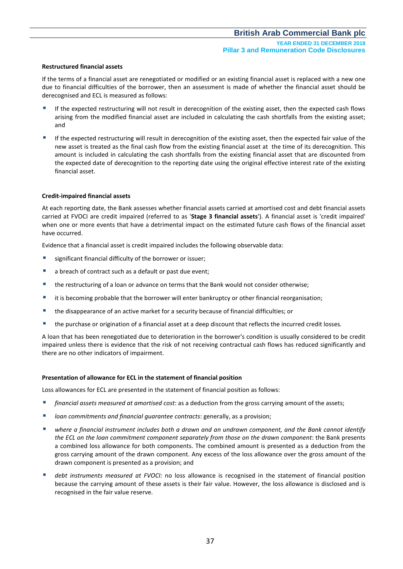**YEAR ENDED 31 DECEMBER 2018 Pillar 3 and Remuneration Code Disclosures**

#### **Restructured financial assets**

If the terms of a financial asset are renegotiated or modified or an existing financial asset is replaced with a new one due to financial difficulties of the borrower, then an assessment is made of whether the financial asset should be derecognised and ECL is measured as follows:

- If the expected restructuring will not result in derecognition of the existing asset, then the expected cash flows arising from the modified financial asset are included in calculating the cash shortfalls from the existing asset; and
- If the expected restructuring will result in derecognition of the existing asset, then the expected fair value of the new asset is treated as the final cash flow from the existing financial asset at the time of its derecognition. This amount is included in calculating the cash shortfalls from the existing financial asset that are discounted from the expected date of derecognition to the reporting date using the original effective interest rate of the existing financial asset.

#### **Credit-impaired financial assets**

At each reporting date, the Bank assesses whether financial assets carried at amortised cost and debt financial assets carried at FVOCI are credit impaired (referred to as '**Stage 3 financial assets**'). A financial asset is 'credit impaired' when one or more events that have a detrimental impact on the estimated future cash flows of the financial asset have occurred.

Evidence that a financial asset is credit impaired includes the following observable data:

- significant financial difficulty of the borrower or issuer;
- a breach of contract such as a default or past due event;
- the restructuring of a loan or advance on terms that the Bank would not consider otherwise;
- it is becoming probable that the borrower will enter bankruptcy or other financial reorganisation;
- the disappearance of an active market for a security because of financial difficulties; or
- the purchase or origination of a financial asset at a deep discount that reflects the incurred credit losses.

A loan that has been renegotiated due to deterioration in the borrower's condition is usually considered to be credit impaired unless there is evidence that the risk of not receiving contractual cash flows has reduced significantly and there are no other indicators of impairment.

#### **Presentation of allowance for ECL in the statement of financial position**

Loss allowances for ECL are presented in the statement of financial position as follows:

- *financial assets measured at amortised cost*: as a deduction from the gross carrying amount of the assets;
- *loan commitments and financial guarantee contracts*: generally, as a provision;
- *where a financial instrument includes both a drawn and an undrawn component, and the Bank cannot identify the ECL on the loan commitment component separately from those on the drawn component*: the Bank presents a combined loss allowance for both components. The combined amount is presented as a deduction from the gross carrying amount of the drawn component. Any excess of the loss allowance over the gross amount of the drawn component is presented as a provision; and
- *debt instruments measured at FVOCI:* no loss allowance is recognised in the statement of financial position because the carrying amount of these assets is their fair value. However, the loss allowance is disclosed and is recognised in the fair value reserve.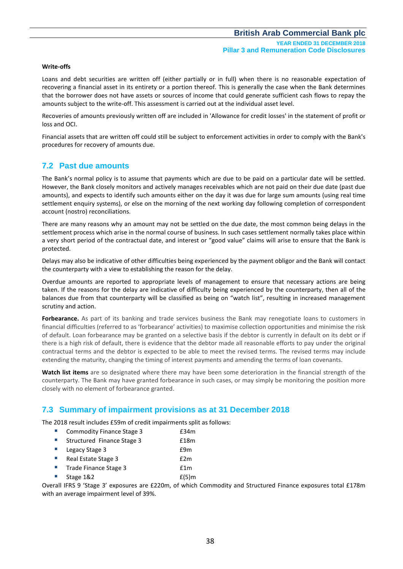#### **Write-offs**

Loans and debt securities are written off (either partially or in full) when there is no reasonable expectation of recovering a financial asset in its entirety or a portion thereof. This is generally the case when the Bank determines that the borrower does not have assets or sources of income that could generate sufficient cash flows to repay the amounts subject to the write-off. This assessment is carried out at the individual asset level.

Recoveries of amounts previously written off are included in 'Allowance for credit losses' in the statement of profit or loss and OCI.

Financial assets that are written off could still be subject to enforcement activities in order to comply with the Bank's procedures for recovery of amounts due.

## **7.2 Past due amounts**

The Bank's normal policy is to assume that payments which are due to be paid on a particular date will be settled. However, the Bank closely monitors and actively manages receivables which are not paid on their due date (past due amounts), and expects to identify such amounts either on the day it was due for large sum amounts (using real time settlement enquiry systems), or else on the morning of the next working day following completion of correspondent account (nostro) reconciliations.

There are many reasons why an amount may not be settled on the due date, the most common being delays in the settlement process which arise in the normal course of business. In such cases settlement normally takes place within a very short period of the contractual date, and interest or "good value" claims will arise to ensure that the Bank is protected.

Delays may also be indicative of other difficulties being experienced by the payment obligor and the Bank will contact the counterparty with a view to establishing the reason for the delay.

Overdue amounts are reported to appropriate levels of management to ensure that necessary actions are being taken. If the reasons for the delay are indicative of difficulty being experienced by the counterparty, then all of the balances due from that counterparty will be classified as being on "watch list", resulting in increased management scrutiny and action.

**Forbearance.** As part of its banking and trade services business the Bank may renegotiate loans to customers in financial difficulties (referred to as 'forbearance' activities) to maximise collection opportunities and minimise the risk of default. Loan forbearance may be granted on a selective basis if the debtor is currently in default on its debt or if there is a high risk of default, there is evidence that the debtor made all reasonable efforts to pay under the original contractual terms and the debtor is expected to be able to meet the revised terms. The revised terms may include extending the maturity, changing the timing of interest payments and amending the terms of loan covenants.

**Watch list items** are so designated where there may have been some deterioration in the financial strength of the counterparty. The Bank may have granted forbearance in such cases, or may simply be monitoring the position more closely with no element of forbearance granted.

## **7.3 Summary of impairment provisions as at 31 December 2018**

The 2018 result includes £59m of credit impairments split as follows:

| Commodity Finance Stage 3  | £34m     |
|----------------------------|----------|
| Structured Finance Stage 3 | £18m     |
| Legacy Stage 3             | f9m      |
| Real Estate Stage 3        | f2m      |
| Trade Finance Stage 3      | f1m      |
| Stage 1&2                  | $f(5)$ m |

Overall IFRS 9 'Stage 3' exposures are £220m, of which Commodity and Structured Finance exposures total £178m with an average impairment level of 39%.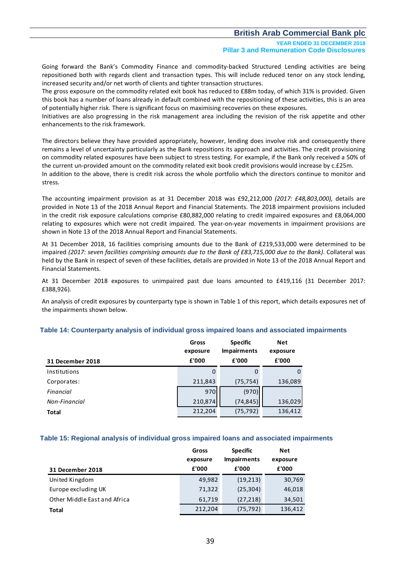**YEAR ENDED 31 DECEMBER 2018 Pillar 3 and Remuneration Code Disclosures**

Going forward the Bank's Commodity Finance and commodity-backed Structured Lending activities are being repositioned both with regards client and transaction types. This will include reduced tenor on any stock lending, increased security and/or net worth of clients and tighter transaction structures.

The gross exposure on the commodity related exit book has reduced to £88m today, of which 31% is provided. Given this book has a number of loans already in default combined with the repositioning of these activities, this is an area of potentially higher risk. There is significant focus on maximising recoveries on these exposures.

Initiatives are also progressing in the risk management area including the revision of the risk appetite and other enhancements to the risk framework.

The directors believe they have provided appropriately, however, lending does involve risk and consequently there remains a level of uncertainty particularly as the Bank repositions its approach and activities. The credit provisioning on commodity related exposures have been subject to stress testing. For example, if the Bank only received a 50% of the current un-provided amount on the commodity related exit book credit provisions would increase by c.£25m. In addition to the above, there is credit risk across the whole portfolio which the directors continue to monitor and stress.

The accounting impairment provision as at 31 December 2018 was £92,212,000 *(2017: £48,803,000),* details are provided in Note 13 of the 2018 Annual Report and Financial Statements. The 2018 impairment provisions included in the credit risk exposure calculations comprise £80,882,000 relating to credit impaired exposures and £8,064,000 relating to exposures which were not credit impaired. The year-on-year movements in impairment provisions are shown in Note 13 of the 2018 Annual Report and Financial Statements.

At 31 December 2018, 16 facilities comprising amounts due to the Bank of £219,533,000 were determined to be impaired *(2017: seven facilities comprising amounts due to the Bank of £83,715,000 due to the Bank)*. Collateral was held by the Bank in respect of seven of these facilities, details are provided in Note 13 of the 2018 Annual Report and Financial Statements.

At 31 December 2018 exposures to unimpaired past due loans amounted to £419,116 (31 December 2017: £388,926).

An analysis of credit exposures by counterparty type is shown in Table 1 of this report, which details exposures net of the impairments shown below.

| 31 December 2018 | Gross<br>exposure<br>£'000 | <b>Specific</b><br><b>Impairments</b><br>£'000 | <b>Net</b><br>exposure<br>£'000 |
|------------------|----------------------------|------------------------------------------------|---------------------------------|
| Institutions     | 0                          | 0                                              | 0                               |
| Corporates:      | 211,843                    | (75, 754)                                      | 136,089                         |
| Financial        | 970                        | (970)                                          |                                 |
| Non-Financial    | 210,874                    | (74, 845)                                      | 136,029                         |
| <b>Total</b>     | 212,204                    | (75, 792)                                      | 136,412                         |

#### **Table 14: Counterparty analysis of individual gross impaired loans and associated impairments**

#### **Table 15: Regional analysis of individual gross impaired loans and associated impairments**

|                              | Gross<br>exposure | <b>Specific</b><br><b>Impairments</b> | Net<br>exposure |
|------------------------------|-------------------|---------------------------------------|-----------------|
| 31 December 2018             | £'000             | £'000                                 | £'000           |
| United Kingdom               | 49,982            | (19,213)                              | 30,769          |
| Europe excluding UK          | 71,322            | (25, 304)                             | 46,018          |
| Other Middle East and Africa | 61,719            | (27, 218)                             | 34,501          |
| Total                        | 212,204           | (75, 792)                             | 136,412         |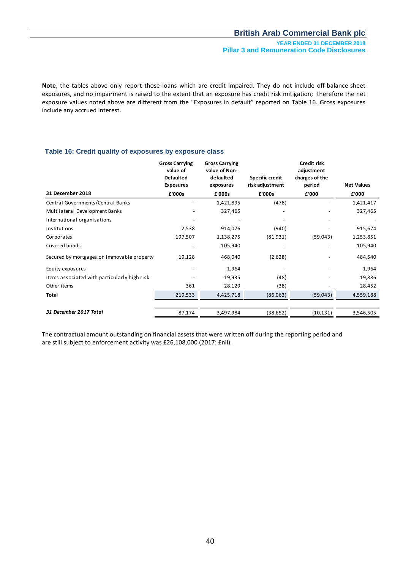**Note**, the tables above only report those loans which are credit impaired. They do not include off-balance-sheet exposures, and no impairment is raised to the extent that an exposure has credit risk mitigation; therefore the net exposure values noted above are different from the "Exposures in default" reported on Table 16. Gross exposures include any accrued interest.

#### **Table 16: Credit quality of exposures by exposure class**

|                                              | <b>Gross Carrying</b><br>value of<br><b>Defaulted</b><br><b>Exposures</b> | <b>Gross Carrying</b><br>value of Non-<br>defaulted<br>exposures | Specific credit<br>risk adjustment | <b>Credit risk</b><br>adjustment<br>charges of the<br>period | <b>Net Values</b> |
|----------------------------------------------|---------------------------------------------------------------------------|------------------------------------------------------------------|------------------------------------|--------------------------------------------------------------|-------------------|
| 31 December 2018                             | £'000s                                                                    | £'000s                                                           | £'000s                             | £'000                                                        | £'000             |
| Central Governments/Central Banks            |                                                                           | 1,421,895                                                        | (478)                              |                                                              | 1,421,417         |
| Multilateral Development Banks               |                                                                           | 327,465                                                          |                                    |                                                              | 327,465           |
| International organisations                  |                                                                           |                                                                  |                                    |                                                              |                   |
| Institutions                                 | 2,538                                                                     | 914,076                                                          | (940)                              |                                                              | 915,674           |
| Corporates                                   | 197,507                                                                   | 1,138,275                                                        | (81, 931)                          | (59, 043)                                                    | 1,253,851         |
| Covered bonds                                |                                                                           | 105,940                                                          |                                    |                                                              | 105,940           |
| Secured by mortgages on immovable property   | 19,128                                                                    | 468,040                                                          | (2,628)                            |                                                              | 484,540           |
| Equity exposures                             |                                                                           | 1,964                                                            |                                    |                                                              | 1,964             |
| Items associated with particularly high risk |                                                                           | 19,935                                                           | (48)                               |                                                              | 19,886            |
| Other items                                  | 361                                                                       | 28,129                                                           | (38)                               |                                                              | 28,452            |
| Total                                        | 219,533                                                                   | 4,425,718                                                        | (86,063)                           | (59, 043)                                                    | 4,559,188         |
|                                              |                                                                           |                                                                  |                                    |                                                              |                   |
| 31 December 2017 Total                       | 87,174                                                                    | 3,497,984                                                        | (38, 652)                          | (10, 131)                                                    | 3,546,505         |

The contractual amount outstanding on financial assets that were written off during the reporting period and are still subject to enforcement activity was £26,108,000 (2017: £nil).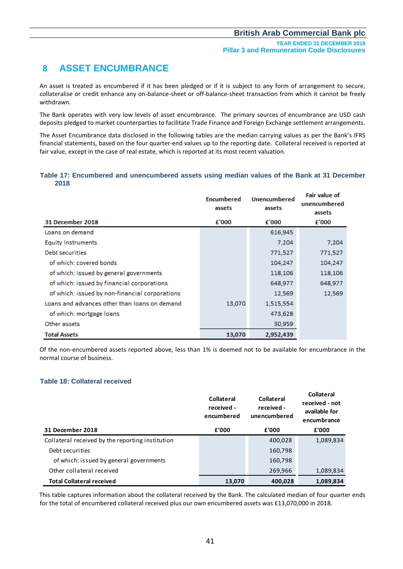## **8 ASSET ENCUMBRANCE**

An asset is treated as encumbered if it has been pledged or if it is subject to any form of arrangement to secure, collateralise or credit enhance any on-balance-sheet or off-balance-sheet transaction from which it cannot be freely withdrawn.

The Bank operates with very low levels of asset encumbrance. The primary sources of encumbrance are USD cash deposits pledged to market counterparties to facilitate Trade Finance and Foreign Exchange settlement arrangements.

The Asset Encumbrance data disclosed in the following tables are the median carrying values as per the Bank's IFRS financial statements, based on the four quarter-end values up to the reporting date. Collateral received is reported at fair value, except in the case of real estate, which is reported at its most recent valuation.

#### **Table 17: Encumbered and unencumbered assets using median values of the Bank at 31 December 2018**

|                                                | <b>Encumbered</b><br>assets | <b>Unencumbered</b><br>assets | <b>Fair value of</b><br>unencumbered<br>assets |
|------------------------------------------------|-----------------------------|-------------------------------|------------------------------------------------|
| 31 December 2018                               | £'000                       | £'000                         | £'000                                          |
| Loans on demand                                |                             | 616,945                       |                                                |
| Equity instruments                             |                             | 7,204                         | 7,204                                          |
| Debt securities                                |                             | 771,527                       | 771,527                                        |
| of which: covered bonds                        |                             | 104,247                       | 104,247                                        |
| of which: issued by general governments        |                             | 118,106                       | 118,106                                        |
| of which: issued by financial corporations     |                             | 648,977                       | 648,977                                        |
| of which: issued by non-financial corporations |                             | 12.569                        | 12,569                                         |
| Loans and advances other than loans on demand  | 13,070                      | 1,515,554                     |                                                |
| of which: mortgage loans                       |                             | 473,628                       |                                                |
| Other assets                                   |                             | 30,959                        |                                                |
| <b>Total Assets</b>                            | 13,070                      | 2,952,439                     |                                                |

Of the non-encumbered assets reported above, less than 1% is deemed not to be available for encumbrance in the normal course of business.

#### **Table 18: Collateral received**

|                                                  | Collateral<br>received -<br>encumbered | Collateral<br>received -<br>unencumbered | Collateral<br>received - not<br>available for<br>encumbrance |
|--------------------------------------------------|----------------------------------------|------------------------------------------|--------------------------------------------------------------|
| 31 December 2018                                 | £'000                                  | £'000                                    | £'000                                                        |
| Collateral received by the reporting institution |                                        | 400,028                                  | 1,089,834                                                    |
| Debt securities                                  |                                        | 160,798                                  |                                                              |
| of which: issued by general governments          |                                        | 160,798                                  |                                                              |
| Other collateral received                        |                                        | 269,966                                  | 1,089,834                                                    |
| <b>Total Collateral received</b>                 | 13,070                                 | 400,028                                  | 1,089,834                                                    |

This table captures information about the collateral received by the Bank. The calculated median of four quarter ends for the total of encumbered collateral received plus our own encumbered assets was £13,070,000 in 2018.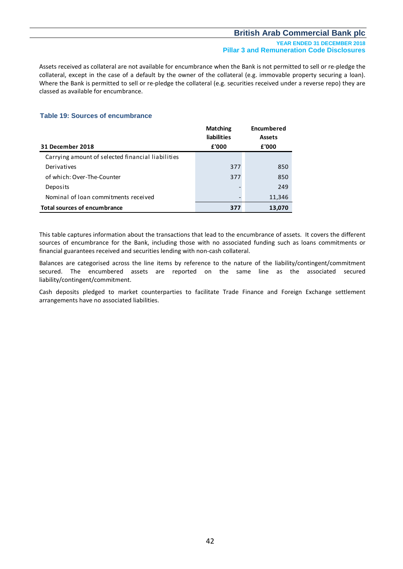#### **YEAR ENDED 31 DECEMBER 2018 Pillar 3 and Remuneration Code Disclosures**

Assets received as collateral are not available for encumbrance when the Bank is not permitted to sell or re-pledge the collateral, except in the case of a default by the owner of the collateral (e.g. immovable property securing a loan). Where the Bank is permitted to sell or re-pledge the collateral (e.g. securities received under a reverse repo) they are classed as available for encumbrance.

#### **Table 19: Sources of encumbrance**

|                                                   | <b>Matching</b><br><b>liabilities</b> | <b>Encumbered</b><br><b>Assets</b> |
|---------------------------------------------------|---------------------------------------|------------------------------------|
| 31 December 2018                                  | £'000                                 | £'000                              |
| Carrying amount of selected financial liabilities |                                       |                                    |
| Derivatives                                       | 377                                   | 850                                |
| of which: Over-The-Counter                        | 377                                   | 850                                |
| Deposits                                          |                                       | 249                                |
| Nominal of loan commitments received              |                                       | 11,346                             |
| <b>Total sources of encumbrance</b>               | 377                                   | 13,070                             |

This table captures information about the transactions that lead to the encumbrance of assets. It covers the different sources of encumbrance for the Bank, including those with no associated funding such as loans commitments or financial guarantees received and securities lending with non-cash collateral.

Balances are categorised across the line items by reference to the nature of the liability/contingent/commitment secured. The encumbered assets are reported on the same line as the associated secured liability/contingent/commitment.

Cash deposits pledged to market counterparties to facilitate Trade Finance and Foreign Exchange settlement arrangements have no associated liabilities.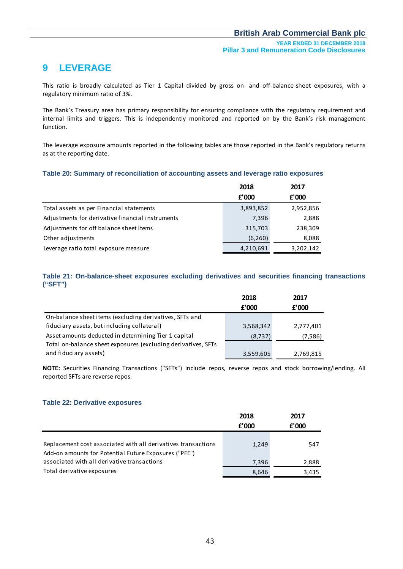## **9 LEVERAGE**

This ratio is broadly calculated as Tier 1 Capital divided by gross on- and off-balance-sheet exposures, with a regulatory minimum ratio of 3%.

The Bank's Treasury area has primary responsibility for ensuring compliance with the regulatory requirement and internal limits and triggers. This is independently monitored and reported on by the Bank's risk management function.

The leverage exposure amounts reported in the following tables are those reported in the Bank's regulatory returns as at the reporting date.

#### **Table 20: Summary of reconciliation of accounting assets and leverage ratio exposures**

|                                                  | 2018      | 2017      |
|--------------------------------------------------|-----------|-----------|
|                                                  | £'000     | f'000     |
| Total assets as per Financial statements         | 3,893,852 | 2,952,856 |
| Adjustments for derivative financial instruments | 7,396     | 2,888     |
| Adjustments for off balance sheet items          | 315,703   | 238,309   |
| Other adjustments                                | (6, 260)  | 8,088     |
| Leverage ratio total exposure measure            | 4,210,691 | 3,202,142 |

#### **Table 21: On-balance-sheet exposures excluding derivatives and securities financing transactions ("SFT")**

|                                                               | 2018      | 2017      |
|---------------------------------------------------------------|-----------|-----------|
|                                                               | f'000     | f'000     |
| On-balance sheet items (excluding derivatives, SFTs and       |           |           |
| fiduciary assets, but including collateral)                   | 3,568,342 | 2,777,401 |
| Asset amounts deducted in determining Tier 1 capital          | (8, 737)  | (7,586)   |
| Total on-balance sheet exposures (excluding derivatives, SFTs |           |           |
| and fiduciary assets)                                         | 3,559,605 | 2,769,815 |

**NOTE:** Securities Financing Transactions ("SFTs") include repos, reverse repos and stock borrowing/lending. All reported SFTs are reverse repos.

#### **Table 22: Derivative exposures**

|                                                               | 2018  | 2017  |
|---------------------------------------------------------------|-------|-------|
|                                                               | £'000 | f'000 |
|                                                               |       |       |
| Replacement cost associated with all derivatives transactions | 1,249 | 547   |
| Add-on amounts for Potential Future Exposures ("PFE")         |       |       |
| associated with all derivative transactions                   | 7,396 | 2,888 |
| Total derivative exposures                                    | 8,646 | 3,435 |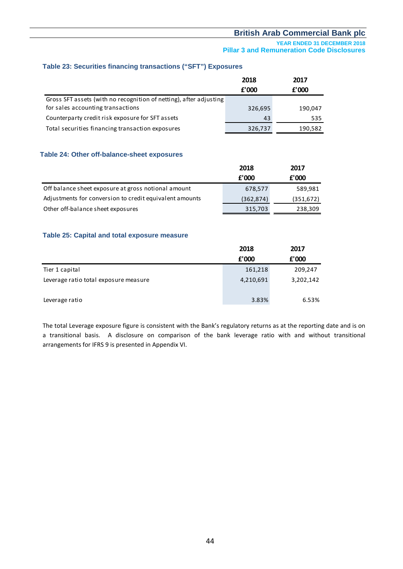**YEAR ENDED 31 DECEMBER 2018 Pillar 3 and Remuneration Code Disclosures**

### **Table 23: Securities financing transactions ("SFT") Exposures**

|                                                                    | 2018    | 2017    |
|--------------------------------------------------------------------|---------|---------|
|                                                                    | f'000   | f'000   |
| Gross SFT assets (with no recognition of netting), after adjusting |         |         |
| for sales accounting transactions                                  | 326,695 | 190,047 |
| Counterparty credit risk exposure for SFT assets                   | 43      | 535     |
| Total securities financing transaction exposures                   | 326,737 | 190,582 |

#### **Table 24: Other off-balance-sheet exposures**

|                                                         | 2018       | 2017       |
|---------------------------------------------------------|------------|------------|
|                                                         | f'000      | f'000      |
| Off balance sheet exposure at gross notional amount     | 678,577    | 589,981    |
| Adjustments for conversion to credit equivalent amounts | (362, 874) | (351, 672) |
| Other off-balance sheet exposures                       | 315,703    | 238,309    |

#### **Table 25: Capital and total exposure measure**

|                                       | 2018      | 2017      |
|---------------------------------------|-----------|-----------|
|                                       | £'000     | f'000     |
| Tier 1 capital                        | 161,218   | 209,247   |
| Leverage ratio total exposure measure | 4,210,691 | 3,202,142 |
|                                       |           |           |
| Leverage ratio                        | 3.83%     | 6.53%     |

The total Leverage exposure figure is consistent with the Bank's regulatory returns as at the reporting date and is on a transitional basis. A disclosure on comparison of the bank leverage ratio with and without transitional arrangements for IFRS 9 is presented in Appendix VI.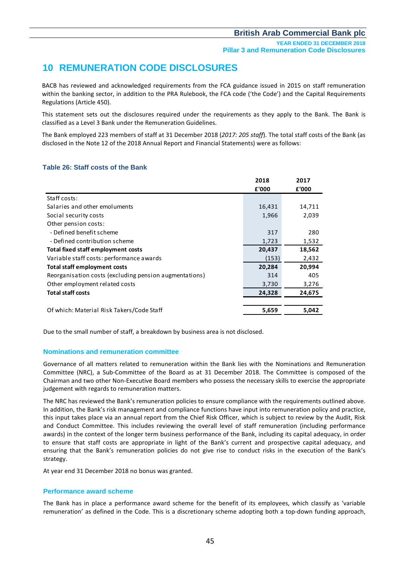## **10 REMUNERATION CODE DISCLOSURES**

BACB has reviewed and acknowledged requirements from the FCA guidance issued in 2015 on staff remuneration within the banking sector, in addition to the PRA Rulebook, the FCA code ('the Code') and the Capital Requirements Regulations (Article 450).

This statement sets out the disclosures required under the requirements as they apply to the Bank. The Bank is classified as a Level 3 Bank under the Remuneration Guidelines.

The Bank employed 223 members of staff at 31 December 2018 (*2017: 205 staff*). The total staff costs of the Bank (as disclosed in the Note 12 of the 2018 Annual Report and Financial Statements) were as follows:

#### **Table 26: Staff costs of the Bank**

|                                                        | 2018   | 2017   |
|--------------------------------------------------------|--------|--------|
|                                                        | £'000  | £'000  |
| Staff costs:                                           |        |        |
| Salaries and other emoluments                          | 16,431 | 14,711 |
| Social security costs                                  | 1,966  | 2,039  |
| Other pension costs:                                   |        |        |
| - Defined benefit scheme                               | 317    | 280    |
| - Defined contribution scheme                          | 1,723  | 1,532  |
| Total fixed staff employment costs                     | 20,437 | 18,562 |
| Variable staff costs: performance awards               | (153)  | 2,432  |
| <b>Total staff employment costs</b>                    | 20,284 | 20,994 |
| Reorganisation costs (excluding pension augmentations) | 314    | 405    |
| Other employment related costs                         | 3,730  | 3,276  |
| <b>Total staff costs</b>                               | 24,328 | 24,675 |
|                                                        |        |        |
| Of which: Material Risk Takers/Code Staff              | 5,659  | 5,042  |

Due to the small number of staff, a breakdown by business area is not disclosed.

#### **Nominations and remuneration committee**

Governance of all matters related to remuneration within the Bank lies with the Nominations and Remuneration Committee (NRC), a Sub-Committee of the Board as at 31 December 2018. The Committee is composed of the Chairman and two other Non-Executive Board members who possess the necessary skills to exercise the appropriate judgement with regards to remuneration matters.

The NRC has reviewed the Bank's remuneration policies to ensure compliance with the requirements outlined above. In addition, the Bank's risk management and compliance functions have input into remuneration policy and practice, this input takes place via an annual report from the Chief Risk Officer, which is subject to review by the Audit, Risk and Conduct Committee. This includes reviewing the overall level of staff remuneration (including performance awards) in the context of the longer term business performance of the Bank, including its capital adequacy, in order to ensure that staff costs are appropriate in light of the Bank's current and prospective capital adequacy, and ensuring that the Bank's remuneration policies do not give rise to conduct risks in the execution of the Bank's strategy.

At year end 31 December 2018 no bonus was granted.

#### **Performance award scheme**

The Bank has in place a performance award scheme for the benefit of its employees, which classify as 'variable remuneration' as defined in the Code. This is a discretionary scheme adopting both a top-down funding approach,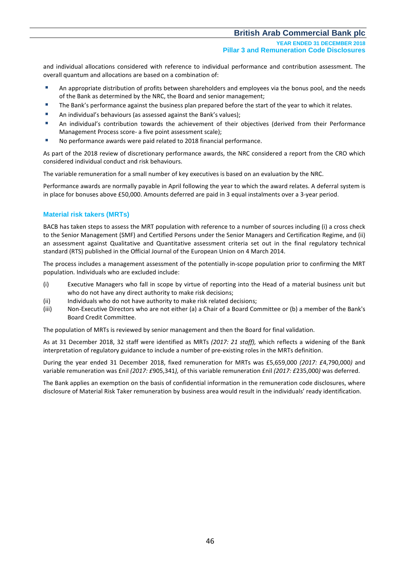**YEAR ENDED 31 DECEMBER 2018 Pillar 3 and Remuneration Code Disclosures**

and individual allocations considered with reference to individual performance and contribution assessment. The overall quantum and allocations are based on a combination of:

- An appropriate distribution of profits between shareholders and employees via the bonus pool, and the needs of the Bank as determined by the NRC, the Board and senior management;
- The Bank's performance against the business plan prepared before the start of the year to which it relates.
- An individual's behaviours (as assessed against the Bank's values);
- An individual's contribution towards the achievement of their objectives (derived from their Performance Management Process score- a five point assessment scale);
- No performance awards were paid related to 2018 financial performance.

As part of the 2018 review of discretionary performance awards, the NRC considered a report from the CRO which considered individual conduct and risk behaviours.

The variable remuneration for a small number of key executives is based on an evaluation by the NRC.

Performance awards are normally payable in April following the year to which the award relates. A deferral system is in place for bonuses above £50,000. Amounts deferred are paid in 3 equal instalments over a 3-year period.

#### **Material risk takers (MRTs)**

BACB has taken steps to assess the MRT population with reference to a number of sources including (i) a cross check to the Senior Management (SMF) and Certified Persons under the Senior Managers and Certification Regime, and (ii) an assessment against Qualitative and Quantitative assessment criteria set out in the final regulatory technical standard (RTS) published in the Official Journal of the European Union on 4 March 2014.

The process includes a management assessment of the potentially in-scope population prior to confirming the MRT population. Individuals who are excluded include:

- (i) Executive Managers who fall in scope by virtue of reporting into the Head of a material business unit but who do not have any direct authority to make risk decisions;
- (ii) Individuals who do not have authority to make risk related decisions;
- (iii) Non-Executive Directors who are not either (a) a Chair of a Board Committee or (b) a member of the Bank's Board Credit Committee.

The population of MRTs is reviewed by senior management and then the Board for final validation.

As at 31 December 2018, 32 staff were identified as MRTs *(2017: 21 staff),* which reflects a widening of the Bank interpretation of regulatory guidance to include a number of pre-existing roles in the MRTs definition.

During the year ended 31 December 2018, fixed remuneration for MRTs was £5,659,000 *(2017: £*4,790,000*)* and variable remuneration was £nil *(2017: £*905,341*),* of this variable remuneration £nil *(2017: £*235,000*)* was deferred.

The Bank applies an exemption on the basis of confidential information in the remuneration code disclosures, where disclosure of Material Risk Taker remuneration by business area would result in the individuals' ready identification.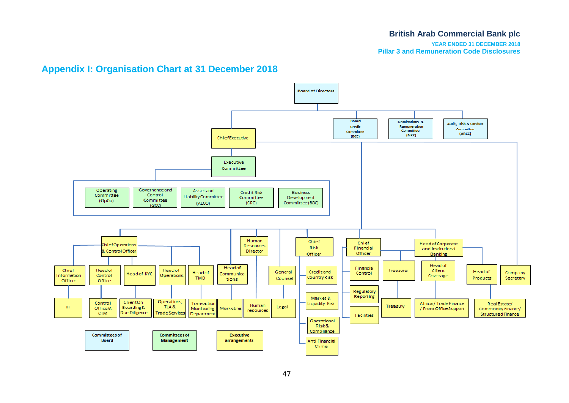#### **YEAR ENDED 31 DECEMBER 2018 Pillar 3 and Remuneration Code Disclosures**

## **Appendix I: Organisation Chart at 31 December 2018**

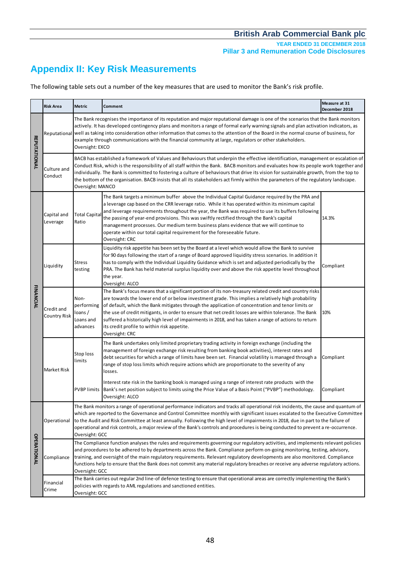**YEAR ENDED 31 DECEMBER 2018 Pillar 3 and Remuneration Code Disclosures**

## **Appendix II: Key Risk Measurements**

The following table sets out a number of the key measures that are used to monitor the Bank's risk profile.

|                    | <b>Risk Area</b>                  | Metric                                                                                                                                                                                                                                                                                                                                                                                                                                                                                                                                                  | Comment                                                                                                                                                                                                                                                                                                                                                                                                                                                                                                                                                                                              | Measure at 31<br>December 2018 |
|--------------------|-----------------------------------|---------------------------------------------------------------------------------------------------------------------------------------------------------------------------------------------------------------------------------------------------------------------------------------------------------------------------------------------------------------------------------------------------------------------------------------------------------------------------------------------------------------------------------------------------------|------------------------------------------------------------------------------------------------------------------------------------------------------------------------------------------------------------------------------------------------------------------------------------------------------------------------------------------------------------------------------------------------------------------------------------------------------------------------------------------------------------------------------------------------------------------------------------------------------|--------------------------------|
| REPUTATIONAL       |                                   | Oversight: EXCO                                                                                                                                                                                                                                                                                                                                                                                                                                                                                                                                         | The Bank recognises the importance of its reputation and major reputational damage is one of the scenarios that the Bank monitors<br>actively. It has developed contingency plans and monitors a range of formal early warning signals and plan activation indicators, as<br>Reputational well as taking into consideration other information that comes to the attention of the Board in the normal course of business, for<br>example through communications with the financial community at large, regulators or other stakeholders.                                                              |                                |
|                    | Culture and<br>Conduct            | Oversight: MANCO                                                                                                                                                                                                                                                                                                                                                                                                                                                                                                                                        | BACB has established a framework of Values and Behaviours that underpin the effective identification, management or escalation of<br>Conduct Risk, which is the responsibility of all staff within the Bank. BACB monitors and evaluates how its people work together and<br>individually. The Bank is committed to fostering a culture of behaviours that drive its vision for sustainable growth, from the top to<br>the bottom of the organisation. BACB insists that all its stakeholders act firmly within the parameters of the regulatory landscape.                                          |                                |
|                    | Capital and<br>Leverage           | <b>Total Capita</b><br>Ratio                                                                                                                                                                                                                                                                                                                                                                                                                                                                                                                            | The Bank targets a minimum buffer above the Individual Capital Guidance required by the PRA and<br>a leverage cap based on the CRR leverage ratio. While it has operated within its minimum capital<br>and leverage requirements throughout the year, the Bank was required to use its buffers following<br>the passing of year-end provisions. This was swiftly rectified through the Bank's capital<br>management processes. Our medium term business plans evidence that we will continue to<br>operate within our total capital requirement for the foreseeable future.<br>Oversight: CRC        | 14.3%                          |
|                    | Liquidity                         | Stress<br>testing                                                                                                                                                                                                                                                                                                                                                                                                                                                                                                                                       | Liquidity risk appetite has been set by the Board at a level which would allow the Bank to survive<br>for 90 days following the start of a range of Board approved liquidity stress scenarios. In addition it<br>has to comply with the Individual Liquidity Guidance which is set and adjusted periodically by the<br>PRA. The Bank has held material surplus liquidity over and above the risk appetite level throughout<br>the year.<br>Oversight: ALCO                                                                                                                                           | Compliant                      |
| <b>FINANCIAL</b>   | Credit and<br><b>Country Risk</b> | Non-<br>performing<br>loans /<br>Loans and<br>advances                                                                                                                                                                                                                                                                                                                                                                                                                                                                                                  | The Bank's focus means that a significant portion of its non-treasury related credit and country risks<br>are towards the lower end of or below investment grade. This implies a relatively high probability<br>of default, which the Bank mitigates through the application of concentration and tenor limits or<br>the use of credit mitigants, in order to ensure that net credit losses are within tolerance. The Bank<br>suffered a historically high level of impairments in 2018, and has taken a range of actions to return<br>its credit profile to within risk appetite.<br>Oversight: CRC | 10%                            |
|                    | Market Risk                       | Stop loss<br>limits                                                                                                                                                                                                                                                                                                                                                                                                                                                                                                                                     | The Bank undertakes only limited proprietary trading activity in foreign exchange (including the<br>management of foreign exchange risk resulting from banking book activities), interest rates and<br>debt securities for which a range of limits have been set. Financial volatility is managed through a<br>range of stop loss limits which require actions which are proportionate to the severity of any<br>losses.                                                                                                                                                                             | Compliant                      |
|                    |                                   |                                                                                                                                                                                                                                                                                                                                                                                                                                                                                                                                                         | Interest rate risk in the banking book is managed using a range of interest rate products with the<br>PVBP limits   Bank's net position subject to limits using the Price Value of a Basis Point ("PVBP") methodology.<br>Oversight: ALCO                                                                                                                                                                                                                                                                                                                                                            | Compliant                      |
| <b>OPERATIONAL</b> | Operational                       | Oversight: GCC                                                                                                                                                                                                                                                                                                                                                                                                                                                                                                                                          | The Bank monitors a range of operational performance indicators and tracks all operational risk incidents, the cause and quantum of<br>which are reported to the Governance and Control Committee monthly with significant issues escalated to the Executive Committee<br>to the Audit and Risk Committee at least annually. Following the high level of impairments in 2018, due in part to the failure of<br>operational and risk controls, a major review of the Bank's controls and procedures is being conducted to prevent a re-occurrence.                                                    |                                |
|                    | Compliance                        | The Compliance function analyses the rules and requirements governing our regulatory activities, and implements relevant policies<br>and procedures to be adhered to by departments across the Bank. Compliance perform on-going monitoring, testing, advisory,<br>training, and oversight of the main regulatory requirements. Relevant regulatory developments are also monitored. Compliance<br>functions help to ensure that the Bank does not commit any material regulatory breaches or receive any adverse regulatory actions.<br>Oversight: GCC |                                                                                                                                                                                                                                                                                                                                                                                                                                                                                                                                                                                                      |                                |
|                    | Financial<br>Crime                | Oversight: GCC                                                                                                                                                                                                                                                                                                                                                                                                                                                                                                                                          | The Bank carries out regular 2nd line-of defence testing to ensure that operational areas are correctly implementing the Bank's<br>policies with regards to AML regulations and sanctioned entities.                                                                                                                                                                                                                                                                                                                                                                                                 |                                |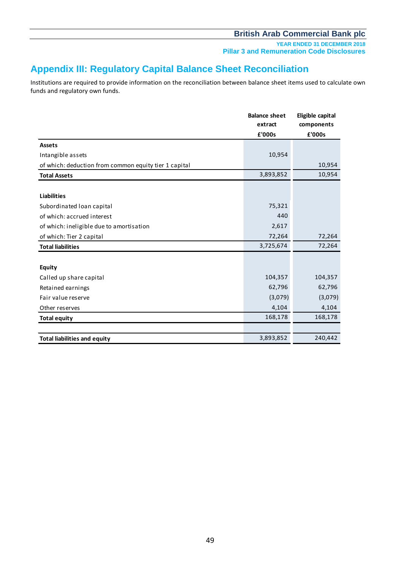**YEAR ENDED 31 DECEMBER 2018 Pillar 3 and Remuneration Code Disclosures**

## **Appendix III: Regulatory Capital Balance Sheet Reconciliation**

Institutions are required to provide information on the reconciliation between balance sheet items used to calculate own funds and regulatory own funds.

|                                                       | <b>Balance sheet</b><br>extract | Eligible capital<br>components |
|-------------------------------------------------------|---------------------------------|--------------------------------|
|                                                       | £'000s                          | £'000s                         |
| <b>Assets</b>                                         |                                 |                                |
| Intangible assets                                     | 10,954                          |                                |
| of which: deduction from common equity tier 1 capital |                                 | 10,954                         |
| <b>Total Assets</b>                                   | 3,893,852                       | 10,954                         |
|                                                       |                                 |                                |
| <b>Liabilities</b>                                    |                                 |                                |
| Subordinated loan capital                             | 75,321                          |                                |
| of which: accrued interest                            | 440                             |                                |
| of which: ineligible due to amortisation              | 2,617                           |                                |
| of which: Tier 2 capital                              | 72,264                          | 72,264                         |
| <b>Total liabilities</b>                              | 3,725,674                       | 72,264                         |
|                                                       |                                 |                                |
| <b>Equity</b>                                         |                                 |                                |
| Called up share capital                               | 104,357                         | 104,357                        |
| Retained earnings                                     | 62,796                          | 62,796                         |
| Fair value reserve                                    | (3,079)                         | (3,079)                        |
| Other reserves                                        | 4,104                           | 4,104                          |
| <b>Total equity</b>                                   | 168,178                         | 168,178                        |
|                                                       |                                 |                                |
| <b>Total liabilities and equity</b>                   | 3,893,852                       | 240,442                        |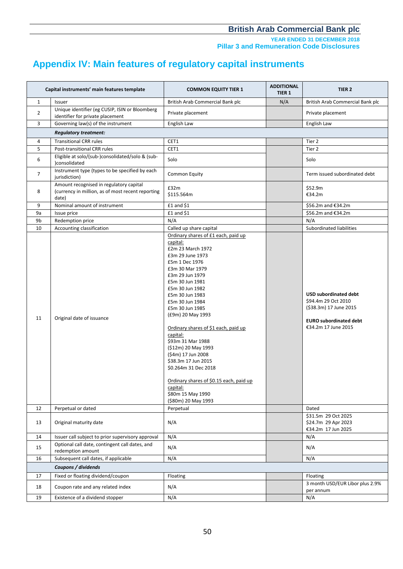**YEAR ENDED 31 DECEMBER 2018 Pillar 3 and Remuneration Code Disclosures**

# **Appendix IV: Main features of regulatory capital instruments**

|                | Capital instruments' main features template                                                           | <b>COMMON EQUITY TIER 1</b>                                                                                                                                                                                                                                                                                                                                                                                                                                                                                                                  | <b>ADDITIONAL</b><br>TIER <sub>1</sub> | TIER <sub>2</sub>                                                                                                                     |
|----------------|-------------------------------------------------------------------------------------------------------|----------------------------------------------------------------------------------------------------------------------------------------------------------------------------------------------------------------------------------------------------------------------------------------------------------------------------------------------------------------------------------------------------------------------------------------------------------------------------------------------------------------------------------------------|----------------------------------------|---------------------------------------------------------------------------------------------------------------------------------------|
| $\mathbf{1}$   | Issuer                                                                                                | British Arab Commercial Bank plc                                                                                                                                                                                                                                                                                                                                                                                                                                                                                                             | N/A                                    | British Arab Commercial Bank plc                                                                                                      |
| $\overline{2}$ | Unique identifier (eg CUSIP, ISIN or Bloomberg<br>identifier for private placement                    | Private placement                                                                                                                                                                                                                                                                                                                                                                                                                                                                                                                            |                                        | Private placement                                                                                                                     |
| 3              | Governing law(s) of the instrument                                                                    | English Law                                                                                                                                                                                                                                                                                                                                                                                                                                                                                                                                  |                                        | English Law                                                                                                                           |
|                | <b>Regulatory treatment:</b>                                                                          |                                                                                                                                                                                                                                                                                                                                                                                                                                                                                                                                              |                                        |                                                                                                                                       |
| 4              | <b>Transitional CRR rules</b>                                                                         | CET1                                                                                                                                                                                                                                                                                                                                                                                                                                                                                                                                         |                                        | Tier 2                                                                                                                                |
| 5              | Post-transitional CRR rules                                                                           | CET1                                                                                                                                                                                                                                                                                                                                                                                                                                                                                                                                         |                                        | Tier 2                                                                                                                                |
| 6              | Eligible at solo/(sub-)consolidated/solo & (sub-<br>)consolidated                                     | Solo                                                                                                                                                                                                                                                                                                                                                                                                                                                                                                                                         |                                        | Solo                                                                                                                                  |
| 7              | Instrument type (types to be specified by each<br>jurisdiction)                                       | <b>Common Equity</b>                                                                                                                                                                                                                                                                                                                                                                                                                                                                                                                         |                                        | Term issued subordinated debt                                                                                                         |
| 8              | Amount recognised in regulatory capital<br>(currency in million, as of most recent reporting<br>date) | £32m<br>\$115.564m                                                                                                                                                                                                                                                                                                                                                                                                                                                                                                                           |                                        | \$52.9m<br>€34.2m                                                                                                                     |
| 9              | Nominal amount of instrument                                                                          | $£1$ and $$1$                                                                                                                                                                                                                                                                                                                                                                                                                                                                                                                                |                                        | \$56.2m and €34.2m                                                                                                                    |
| 9a             | Issue price                                                                                           | $£1$ and $$1$                                                                                                                                                                                                                                                                                                                                                                                                                                                                                                                                |                                        | \$56.2m and €34.2m                                                                                                                    |
| 9b             | Redemption price                                                                                      | N/A                                                                                                                                                                                                                                                                                                                                                                                                                                                                                                                                          |                                        | N/A                                                                                                                                   |
| 10             | Accounting classification                                                                             | Called up share capital                                                                                                                                                                                                                                                                                                                                                                                                                                                                                                                      |                                        | Subordinated liabilities                                                                                                              |
| 11             | Original date of issuance                                                                             | Ordinary shares of £1 each, paid up<br>capital:<br>£2m 23 March 1972<br>£3m 29 June 1973<br>£5m 1 Dec 1976<br>£3m 30 Mar 1979<br>£3m 29 Jun 1979<br>£5m 30 Jun 1981<br>£5m 30 Jun 1982<br>£5m 30 Jun 1983<br>£5m 30 Jun 1984<br>£5m 30 Jun 1985<br>(£9m) 20 May 1993<br>Ordinary shares of \$1 each, paid up<br>capital:<br>\$93m 31 Mar 1988<br>(\$12m) 20 May 1993<br>(\$4m) 17 Jun 2008<br>\$38.3m 17 Jun 2015<br>\$0.264m 31 Dec 2018<br>Ordinary shares of \$0.15 each, paid up<br>capital:<br>\$80m 15 May 1990<br>(\$80m) 20 May 1993 |                                        | <b>USD subordinated debt</b><br>\$94.4m 29 Oct 2010<br>(\$38.3m) 17 June 2015<br><b>EURO subordinated debt</b><br>€34.2m 17 June 2015 |
| 12             | Perpetual or dated                                                                                    | Perpetual                                                                                                                                                                                                                                                                                                                                                                                                                                                                                                                                    |                                        | Dated                                                                                                                                 |
| 13             | Original maturity date                                                                                | N/A                                                                                                                                                                                                                                                                                                                                                                                                                                                                                                                                          |                                        | \$31.5m 29 Oct 2025<br>\$24.7m 29 Apr 2023<br>€34.2m 17 Jun 2025                                                                      |
| 14             | Issuer call subject to prior supervisory approval                                                     | N/A                                                                                                                                                                                                                                                                                                                                                                                                                                                                                                                                          |                                        | N/A                                                                                                                                   |
| 15             | Optional call date, contingent call dates, and<br>redemption amount                                   | N/A                                                                                                                                                                                                                                                                                                                                                                                                                                                                                                                                          |                                        | N/A                                                                                                                                   |
| 16             | Subsequent call dates, if applicable                                                                  | N/A                                                                                                                                                                                                                                                                                                                                                                                                                                                                                                                                          |                                        | N/A                                                                                                                                   |
|                | Coupons / dividends                                                                                   |                                                                                                                                                                                                                                                                                                                                                                                                                                                                                                                                              |                                        |                                                                                                                                       |
| 17             | Fixed or floating dividend/coupon                                                                     | Floating                                                                                                                                                                                                                                                                                                                                                                                                                                                                                                                                     |                                        | Floating                                                                                                                              |
| 18             | Coupon rate and any related index                                                                     | N/A                                                                                                                                                                                                                                                                                                                                                                                                                                                                                                                                          |                                        | 3 month USD/EUR Libor plus 2.9%<br>per annum                                                                                          |
| 19             | Existence of a dividend stopper                                                                       | N/A                                                                                                                                                                                                                                                                                                                                                                                                                                                                                                                                          |                                        | N/A                                                                                                                                   |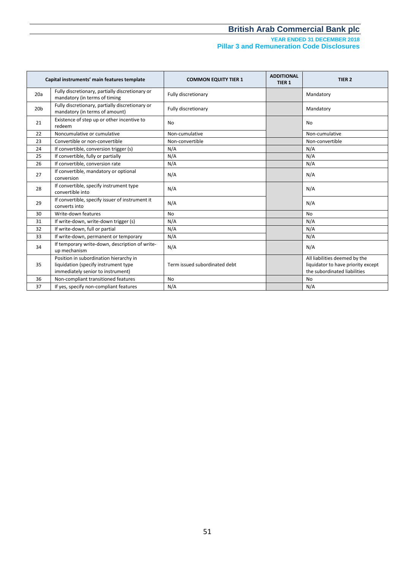#### **YEAR ENDED 31 DECEMBER 2018 Pillar 3 and Remuneration Code Disclosures**

|                 | Capital instruments' main features template                                                                         | <b>COMMON EQUITY TIER 1</b>   | <b>ADDITIONAL</b><br>TIER <sub>1</sub> | TIER <sub>2</sub>                                                                                   |
|-----------------|---------------------------------------------------------------------------------------------------------------------|-------------------------------|----------------------------------------|-----------------------------------------------------------------------------------------------------|
| 20a             | Fully discretionary, partially discretionary or<br>mandatory (in terms of timing                                    | Fully discretionary           |                                        | Mandatory                                                                                           |
| 20 <sub>b</sub> | Fully discretionary, partially discretionary or<br>mandatory (in terms of amount)                                   | Fully discretionary           |                                        | Mandatory                                                                                           |
| 21              | Existence of step up or other incentive to<br>redeem                                                                | No                            |                                        | <b>No</b>                                                                                           |
| 22              | Noncumulative or cumulative                                                                                         | Non-cumulative                |                                        | Non-cumulative                                                                                      |
| 23              | Convertible or non-convertible                                                                                      | Non-convertible               |                                        | Non-convertible                                                                                     |
| 24              | If convertible, conversion trigger (s)                                                                              | N/A                           |                                        | N/A                                                                                                 |
| 25              | If convertible, fully or partially                                                                                  | N/A                           |                                        | N/A                                                                                                 |
| 26              | If convertible, conversion rate                                                                                     | N/A                           |                                        | N/A                                                                                                 |
| 27              | If convertible, mandatory or optional<br>conversion                                                                 | N/A                           |                                        | N/A                                                                                                 |
| 28              | If convertible, specify instrument type<br>convertible into                                                         | N/A                           |                                        | N/A                                                                                                 |
| 29              | If convertible, specify issuer of instrument it<br>converts into                                                    | N/A                           |                                        | N/A                                                                                                 |
| 30              | Write-down features                                                                                                 | <b>No</b>                     |                                        | <b>No</b>                                                                                           |
| 31              | If write-down, write-down trigger (s)                                                                               | N/A                           |                                        | N/A                                                                                                 |
| 32              | If write-down, full or partial                                                                                      | N/A                           |                                        | N/A                                                                                                 |
| 33              | If write-down, permanent or temporary                                                                               | N/A                           |                                        | N/A                                                                                                 |
| 34              | If temporary write-down, description of write-<br>up mechanism                                                      | N/A                           |                                        | N/A                                                                                                 |
| 35              | Position in subordination hierarchy in<br>liquidation (specify instrument type<br>immediately senior to instrument) | Term issued subordinated debt |                                        | All liabilities deemed by the<br>liquidator to have priority except<br>the subordinated liabilities |
| 36              | Non-compliant transitioned features                                                                                 | No                            |                                        | <b>No</b>                                                                                           |
| 37              | If yes, specify non-compliant features                                                                              | N/A                           |                                        | N/A                                                                                                 |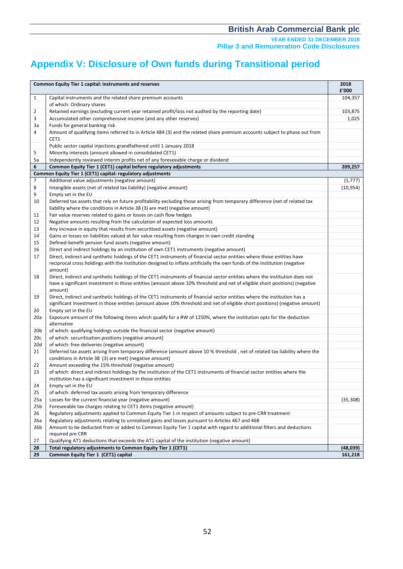**YEAR ENDED 31 DECEMBER 2018 Pillar 3 and Remuneration Code Disclosures**

# **Appendix V: Disclosure of Own funds during Transitional period**

|                 | <b>Common Equity Tier 1 capital: instruments and reserves</b>                                                                                                                                                                                                   | 2018<br>£'000 |
|-----------------|-----------------------------------------------------------------------------------------------------------------------------------------------------------------------------------------------------------------------------------------------------------------|---------------|
| $\mathbf{1}$    | Capital instruments and the related share premium accounts                                                                                                                                                                                                      | 104,357       |
|                 | of which: Ordinary shares                                                                                                                                                                                                                                       |               |
| 2               | Retained earnings (excluding current year retained profit/loss not audited by the reporting date)                                                                                                                                                               | 103,875       |
| 3               | Accumulated other comprehensive income (and any other reserves)                                                                                                                                                                                                 | 1,025         |
| За              | Funds for general banking risk                                                                                                                                                                                                                                  |               |
| 4               | Amount of qualifying items referred to in Article 484 (3) and the related share premium accounts subject to phase out from<br>CET1                                                                                                                              |               |
|                 | Public sector capital injections grandfathered until 1 January 2018                                                                                                                                                                                             |               |
| 5               | Minority interests (amount allowed in consolidated CET1)                                                                                                                                                                                                        |               |
| 5a              | Independently reviewed interim profits net of any foreseeable charge or dividend                                                                                                                                                                                |               |
| 6               | Common Equity Tier 1 (CET1) capital before regulatory adjustments                                                                                                                                                                                               | 209,257       |
|                 | Common Equity Tier 1 (CET1) capital: regulatory adjustments                                                                                                                                                                                                     |               |
| $\overline{7}$  | Additional value adjustments (negative amount)                                                                                                                                                                                                                  | (1, 777)      |
| 8               | Intangible assets (net of related tax liability) (negative amount)                                                                                                                                                                                              | (10, 954)     |
| 9               | Empty set in the EU                                                                                                                                                                                                                                             |               |
| 10              | Deferred tax assets that rely on future profitability excluding those arising from temporary difference (net of related tax<br>liability where the conditions in Article 38 (3) are met) (negative amount)                                                      |               |
| 11              | Fair value reserves related to gains or losses on cash flow hedges                                                                                                                                                                                              |               |
| 12              | Negative amounts resulting from the calculation of expected loss amounts                                                                                                                                                                                        |               |
| 13              | Any increase in equity that results from securitised assets (negative amount)                                                                                                                                                                                   |               |
| 14              | Gains or losses on liabilities valued at fair value resulting from changes in own credit standing                                                                                                                                                               |               |
| 15              | Defined-benefit pension fund assets (negative amount)                                                                                                                                                                                                           |               |
| 16              | Direct and indirect holdings by an institution of own CET1 instruments (negative amount)                                                                                                                                                                        |               |
| 17              | Direct, indirect and synthetic holdings of the CET1 instruments of financial sector entities where those entities have<br>reciprocal cross holdings with the institution designed to inflate artificially the own funds of the institution (negative<br>amount) |               |
| 18              | Direct, indirect and synthetic holdings of the CET1 instruments of financial sector entities where the institution does not                                                                                                                                     |               |
|                 | have a significant investment in those entities (amount above 10% threshold and net of eligible short positions) (negative<br>amount)                                                                                                                           |               |
| 19              | Direct, indirect and synthetic holdings of the CET1 instruments of financial sector entities where the institution has a<br>significant investment in those entities (amount above 10% threshold and net of eligible short positions) (negative amount)         |               |
| 20              | Empty set in the EU                                                                                                                                                                                                                                             |               |
| 20a             | Exposure amount of the following items which qualify for a RW of 1250%, where the institution opts for the deduction<br>alternative                                                                                                                             |               |
| 20 <sub>b</sub> | of which: qualifying holdings outside the financial sector (negative amount)                                                                                                                                                                                    |               |
| 20c             | of which: securitisation positions (negative amount)                                                                                                                                                                                                            |               |
| 20d             | of which: free deliveries (negative amount)                                                                                                                                                                                                                     |               |
| 21              | Deferred tax assets arising from temporary difference (amount above 10 % threshold, net of related tax liability where the<br>conditions in Article 38 (3) are met) (negative amount)                                                                           |               |
| 22              | Amount exceeding the 15% threshold (negative amount)                                                                                                                                                                                                            |               |
| 23              | of which: direct and indirect holdings by the institution of the CET1 instruments of financial sector entities where the<br>institution has a significant investment in those entities                                                                          |               |
| 24              | Empty set in the EU                                                                                                                                                                                                                                             |               |
| 25              | of which: deferred tax assets arising from temporary difference                                                                                                                                                                                                 |               |
| 25a             | Losses for the current financial year (negative amount)                                                                                                                                                                                                         | (35, 308)     |
| 25 <sub>b</sub> | Foreseeable tax charges relating to CET1 items (negative amount)                                                                                                                                                                                                |               |
| 26              | Regulatory adjustments applied to Common Equity Tier 1 in respect of amounts subject to pre-CRR treatment                                                                                                                                                       |               |
| 26a             | Regulatory adjustments relating to unrealised gains and losses pursuant to Articles 467 and 468                                                                                                                                                                 |               |
| 26 <sub>b</sub> | Amount to be deducted from or added to Common Equity Tier 1 capital with regard to additional filters and deductions<br>required pre CRR                                                                                                                        |               |
| 27              | Qualifying AT1 deductions that exceeds the AT1 capital of the institution (negative amount)                                                                                                                                                                     |               |
| 28              | Total regulatory adjustments to Common Equity Tier 1 (CET1)                                                                                                                                                                                                     | (48, 039)     |
| 29              | Common Equity Tier 1 (CET1) capital                                                                                                                                                                                                                             | 161,218       |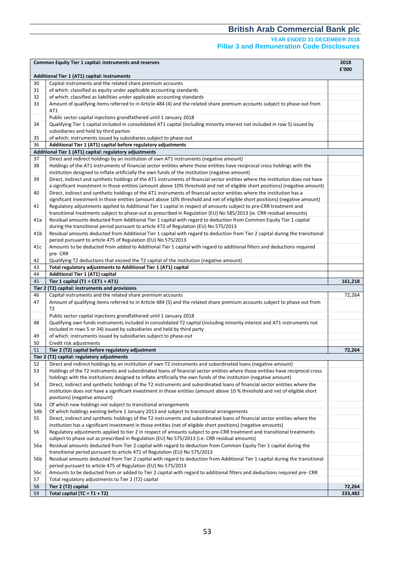**YEAR ENDED 31 DECEMBER 2018 Pillar 3 and Remuneration Code Disclosures**

|          | <b>Common Equity Tier 1 capital: instruments and reserves</b>                                                                                                                                                                                          | 2018              |
|----------|--------------------------------------------------------------------------------------------------------------------------------------------------------------------------------------------------------------------------------------------------------|-------------------|
|          |                                                                                                                                                                                                                                                        | £'000             |
| 30       | Additional Tier 1 (AT1) capital: instruments<br>Capital instruments and the related share premium accounts                                                                                                                                             |                   |
| 31       | of which: classified as equity under applicable accounting standards                                                                                                                                                                                   |                   |
| 32       | of which: classified as liabilities under applicable accounting standards                                                                                                                                                                              |                   |
| 33       | Amount of qualifying items referred to in Article 484 (4) and the related share premium accounts subject to phase out from                                                                                                                             |                   |
|          | AT1                                                                                                                                                                                                                                                    |                   |
|          | Public sector capital injections grandfathered until 1 January 2018                                                                                                                                                                                    |                   |
| 34       | Qualifying Tier 1 capital included in consolidated AT1 capital (including minority interest not included in row 5) issued by                                                                                                                           |                   |
|          | subsidiaries and held by third parties                                                                                                                                                                                                                 |                   |
| 35       | of which: instruments issued by subsidiaries subject to phase-out                                                                                                                                                                                      |                   |
| 36       | Additional Tier 1 (AT1) capital before regulatory adjustments                                                                                                                                                                                          |                   |
|          | Additional Tier 1 (AT1) capital: regulatory adjustments                                                                                                                                                                                                |                   |
| 37       | Direct and indirect holdings by an institution of own AT1 instruments (negative amount)                                                                                                                                                                |                   |
| 38       | Holdings of the AT1 instruments of financial sector entities where those entities have reciprocal cross holdings with the                                                                                                                              |                   |
|          | institution designed to inflate artificially the own funds of the institution (negative amount)                                                                                                                                                        |                   |
| 39       | Direct, indirect and synthetic holdings of the AT1 instruments of financial sector entities where the institution does not have                                                                                                                        |                   |
|          | a significant investment in those entities (amount above 10% threshold and net of eligible short positions) (negative amount)                                                                                                                          |                   |
| 40       | Direct, indirect and synthetic holdings of the AT1 instruments of financial sector entities where the institution has a<br>significant investment in those entities (amount above 10% threshold and net of eligible short positions) (negative amount) |                   |
| 41       |                                                                                                                                                                                                                                                        |                   |
|          | Regulatory adjustments applied to Additional Tier 1 capital in respect of amounts subject to pre-CRR treatment and<br>transitional treatments subject to phase-out as prescribed in Regulation (EU) No 585/2013 (ie. CRR residual amounts)             |                   |
| 41a      | Residual amounts deducted from Additional Tier 1 capital with regard to deduction from Common Equity Tier 1 capital                                                                                                                                    |                   |
|          | during the transitional period pursuant to article 472 of Regulation (EU) No 575/2013                                                                                                                                                                  |                   |
| 41b      | Residual amounts deducted from Additional Tier 1 capital with regard to deduction from Tier 2 capital during the transitional                                                                                                                          |                   |
|          | period pursuant to article 475 of Regulation (EU) No 575/2013                                                                                                                                                                                          |                   |
| 41c      | Amounts to be deducted from added to Additional Tier 1 capital with regard to additional filters and deductions required                                                                                                                               |                   |
|          | pre-CRR                                                                                                                                                                                                                                                |                   |
| 42       | Qualifying T2 deductions that exceed the T2 capital of the institution (negative amount)                                                                                                                                                               |                   |
| 43       | Total regulatory adjustments to Additional Tier 1 (AT1) capital                                                                                                                                                                                        |                   |
| 44       | Additional Tier 1 (AT1) capital                                                                                                                                                                                                                        |                   |
| 45       | Tier 1 capital (T1 = CET1 + AT1)                                                                                                                                                                                                                       |                   |
|          |                                                                                                                                                                                                                                                        | 161,218           |
|          | Tier 2 (T2) capital: instruments and provisions                                                                                                                                                                                                        |                   |
| 46       | Capital instruments and the related share premium accounts                                                                                                                                                                                             | 72,264            |
| 47       | Amount of qualifying items referred to in Article 484 (5) and the related share premium accounts subject to phase out from                                                                                                                             |                   |
|          | T2                                                                                                                                                                                                                                                     |                   |
| 48       | Public sector capital injections grandfathered until 1 January 2018                                                                                                                                                                                    |                   |
|          | Qualifying own funds instruments included in consolidated T2 capital (including minority interest and AT1 instruments not<br>included in rows 5 or 34) issued by subsidiaries and held by third party                                                  |                   |
| 49       | of which: instruments issued by subsidiaries subject to phase-out                                                                                                                                                                                      |                   |
| 50       | Credit risk adjustments                                                                                                                                                                                                                                |                   |
| 51       | Tier 2 (T2) capital before regulatory adjustment                                                                                                                                                                                                       | 72,264            |
|          | Tier 2 (T2) capital: regulatory adjustments                                                                                                                                                                                                            |                   |
| 52       | Direct and indirect holdings by an institution of own T2 instruments and subordinated loans (negative amount)                                                                                                                                          |                   |
| 53       | Holdings of the T2 instruments and subordinated loans of financial sector entities where those entities have reciprocal cross                                                                                                                          |                   |
|          | holdings with the institutions designed to inflate artificially the own funds of the institution (negative amount)                                                                                                                                     |                   |
| 54       | Direct, indirect and synthetic holdings of the T2 instruments and subordinated loans of financial sector entities where the                                                                                                                            |                   |
|          | institution does not have a significant investment in those entities (amount above 10 % threshold and net of eligible short                                                                                                                            |                   |
|          | positions) (negative amount)                                                                                                                                                                                                                           |                   |
| 54a      | Of which new holdings not subject to transitional arrangements                                                                                                                                                                                         |                   |
| 54b      | Of which holdings existing before 1 January 2013 and subject to transitional arrangements                                                                                                                                                              |                   |
| 55       | Direct, indirect and synthetic holdings of the T2 instruments and subordinated loans of financial sector entities where the                                                                                                                            |                   |
| 56       | institution has a significant investment in those entities (net of eligible short positions) (negative amounts)<br>Regulatory adjustments applied to tier 2 in respect of amounts subject to pre-CRR treatment and transitional treatments             |                   |
|          | subject to phase out as prescribed in Regulation (EU) No 575/2013 (i.e. CRR residual amounts)                                                                                                                                                          |                   |
| 56a      | Residual amounts deducted from Tier 2 capital with regard to deduction from Common Equity Tier 1 capital during the                                                                                                                                    |                   |
|          | transitional period pursuant to article 472 of Regulation (EU) No 575/2013                                                                                                                                                                             |                   |
| 56b      | Residual amounts deducted from Tier 2 capital with regard to deduction from Additional Tier 1 capital during the transitional                                                                                                                          |                   |
|          | period pursuant to article 475 of Regulation (EU) No 575/2013                                                                                                                                                                                          |                   |
| 56c      | Amounts to be deducted from or added to Tier 2 capital with regard to additional filters and deductions required pre- CRR                                                                                                                              |                   |
| 57       | Total regulatory adjustments to Tier 2 (T2) capital                                                                                                                                                                                                    |                   |
| 58<br>59 | Tier 2 (T2) capital<br>Total capital (TC = $T1 + T2$ )                                                                                                                                                                                                 | 72,264<br>233,482 |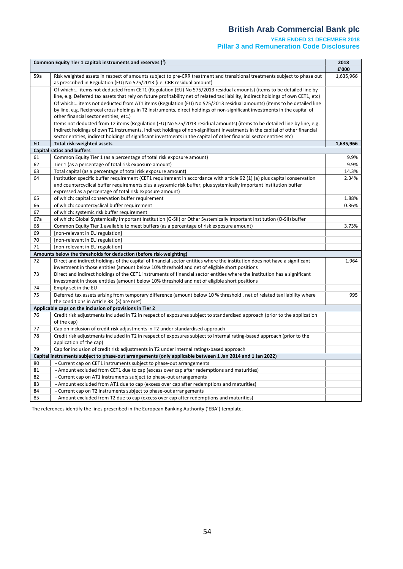#### **YEAR ENDED 31 DECEMBER 2018 Pillar 3 and Remuneration Code Disclosures**

| £'000<br>Risk weighted assets in respect of amounts subject to pre-CRR treatment and transitional treatments subject to phase out<br>59a<br>1,635,966<br>as prescribed in Regulation (EU) No 575/2013 (i.e. CRR residual amount)<br>Of which: items not deducted from CET1 (Regulation (EU) No 575/2013 residual amounts) (items to be detailed line by<br>line, e.g. Deferred tax assets that rely on future profitability net of related tax liability, indirect holdings of own CET1, etc)<br>Of which:items not deducted from AT1 items (Regulation (EU) No 575/2013 residual amounts) (items to be detailed line<br>by line, e.g. Reciprocal cross holdings in T2 instruments, direct holdings of non-significant investments in the capital of<br>other financial sector entities, etc.)<br>Items not deducted from T2 items (Regulation (EU) No 575/2013 residual amounts) (items to be detailed line by line, e.g.<br>Indirect holdings of own T2 instruments, indirect holdings of non-significant investments in the capital of other financial<br>sector entities, indirect holdings of significant investments in the capital of other financial sector entities etc)<br>60<br><b>Total risk-weighted assets</b><br>1,635,966<br><b>Capital ratios and buffers</b><br>Common Equity Tier 1 (as a percentage of total risk exposure amount)<br>9.9%<br>61<br>9.9%<br>62<br>Tier 1 (as a percentage of total risk exposure amount) | Common Equity Tier 1 capital: instruments and reserves $(^1)$ | 2018 |
|----------------------------------------------------------------------------------------------------------------------------------------------------------------------------------------------------------------------------------------------------------------------------------------------------------------------------------------------------------------------------------------------------------------------------------------------------------------------------------------------------------------------------------------------------------------------------------------------------------------------------------------------------------------------------------------------------------------------------------------------------------------------------------------------------------------------------------------------------------------------------------------------------------------------------------------------------------------------------------------------------------------------------------------------------------------------------------------------------------------------------------------------------------------------------------------------------------------------------------------------------------------------------------------------------------------------------------------------------------------------------------------------------------------------------------------------|---------------------------------------------------------------|------|
|                                                                                                                                                                                                                                                                                                                                                                                                                                                                                                                                                                                                                                                                                                                                                                                                                                                                                                                                                                                                                                                                                                                                                                                                                                                                                                                                                                                                                                              |                                                               |      |
|                                                                                                                                                                                                                                                                                                                                                                                                                                                                                                                                                                                                                                                                                                                                                                                                                                                                                                                                                                                                                                                                                                                                                                                                                                                                                                                                                                                                                                              |                                                               |      |
|                                                                                                                                                                                                                                                                                                                                                                                                                                                                                                                                                                                                                                                                                                                                                                                                                                                                                                                                                                                                                                                                                                                                                                                                                                                                                                                                                                                                                                              |                                                               |      |
|                                                                                                                                                                                                                                                                                                                                                                                                                                                                                                                                                                                                                                                                                                                                                                                                                                                                                                                                                                                                                                                                                                                                                                                                                                                                                                                                                                                                                                              |                                                               |      |
|                                                                                                                                                                                                                                                                                                                                                                                                                                                                                                                                                                                                                                                                                                                                                                                                                                                                                                                                                                                                                                                                                                                                                                                                                                                                                                                                                                                                                                              |                                                               |      |
|                                                                                                                                                                                                                                                                                                                                                                                                                                                                                                                                                                                                                                                                                                                                                                                                                                                                                                                                                                                                                                                                                                                                                                                                                                                                                                                                                                                                                                              |                                                               |      |
|                                                                                                                                                                                                                                                                                                                                                                                                                                                                                                                                                                                                                                                                                                                                                                                                                                                                                                                                                                                                                                                                                                                                                                                                                                                                                                                                                                                                                                              |                                                               |      |
|                                                                                                                                                                                                                                                                                                                                                                                                                                                                                                                                                                                                                                                                                                                                                                                                                                                                                                                                                                                                                                                                                                                                                                                                                                                                                                                                                                                                                                              |                                                               |      |
|                                                                                                                                                                                                                                                                                                                                                                                                                                                                                                                                                                                                                                                                                                                                                                                                                                                                                                                                                                                                                                                                                                                                                                                                                                                                                                                                                                                                                                              |                                                               |      |
|                                                                                                                                                                                                                                                                                                                                                                                                                                                                                                                                                                                                                                                                                                                                                                                                                                                                                                                                                                                                                                                                                                                                                                                                                                                                                                                                                                                                                                              |                                                               |      |
|                                                                                                                                                                                                                                                                                                                                                                                                                                                                                                                                                                                                                                                                                                                                                                                                                                                                                                                                                                                                                                                                                                                                                                                                                                                                                                                                                                                                                                              |                                                               |      |
|                                                                                                                                                                                                                                                                                                                                                                                                                                                                                                                                                                                                                                                                                                                                                                                                                                                                                                                                                                                                                                                                                                                                                                                                                                                                                                                                                                                                                                              |                                                               |      |
|                                                                                                                                                                                                                                                                                                                                                                                                                                                                                                                                                                                                                                                                                                                                                                                                                                                                                                                                                                                                                                                                                                                                                                                                                                                                                                                                                                                                                                              |                                                               |      |
|                                                                                                                                                                                                                                                                                                                                                                                                                                                                                                                                                                                                                                                                                                                                                                                                                                                                                                                                                                                                                                                                                                                                                                                                                                                                                                                                                                                                                                              |                                                               |      |
| 63<br>Total capital (as a percentage of total risk exposure amount)<br>14.3%                                                                                                                                                                                                                                                                                                                                                                                                                                                                                                                                                                                                                                                                                                                                                                                                                                                                                                                                                                                                                                                                                                                                                                                                                                                                                                                                                                 |                                                               |      |
| Institution specific buffer requirement (CET1 requirement in accordance with article 92 (1) (a) plus capital conservation<br>64<br>2.34%                                                                                                                                                                                                                                                                                                                                                                                                                                                                                                                                                                                                                                                                                                                                                                                                                                                                                                                                                                                                                                                                                                                                                                                                                                                                                                     |                                                               |      |
| and countercyclical buffer requirements plus a systemic risk buffer, plus systemically important institution buffer                                                                                                                                                                                                                                                                                                                                                                                                                                                                                                                                                                                                                                                                                                                                                                                                                                                                                                                                                                                                                                                                                                                                                                                                                                                                                                                          |                                                               |      |
| expressed as a percentage of total risk exposure amount)                                                                                                                                                                                                                                                                                                                                                                                                                                                                                                                                                                                                                                                                                                                                                                                                                                                                                                                                                                                                                                                                                                                                                                                                                                                                                                                                                                                     |                                                               |      |
| of which: capital conservation buffer requirement<br>1.88%<br>65                                                                                                                                                                                                                                                                                                                                                                                                                                                                                                                                                                                                                                                                                                                                                                                                                                                                                                                                                                                                                                                                                                                                                                                                                                                                                                                                                                             |                                                               |      |
| 66<br>of which: countercyclical buffer requirement<br>0.36%                                                                                                                                                                                                                                                                                                                                                                                                                                                                                                                                                                                                                                                                                                                                                                                                                                                                                                                                                                                                                                                                                                                                                                                                                                                                                                                                                                                  |                                                               |      |
| 67<br>of which: systemic risk buffer requirement                                                                                                                                                                                                                                                                                                                                                                                                                                                                                                                                                                                                                                                                                                                                                                                                                                                                                                                                                                                                                                                                                                                                                                                                                                                                                                                                                                                             |                                                               |      |
| of which: Global Systemically Important Institution (G-SII) or Other Systemically Important Institution (O-SII) buffer<br>67a                                                                                                                                                                                                                                                                                                                                                                                                                                                                                                                                                                                                                                                                                                                                                                                                                                                                                                                                                                                                                                                                                                                                                                                                                                                                                                                |                                                               |      |
| Common Equity Tier 1 available to meet buffers (as a percentage of risk exposure amount)<br>3.73%<br>68                                                                                                                                                                                                                                                                                                                                                                                                                                                                                                                                                                                                                                                                                                                                                                                                                                                                                                                                                                                                                                                                                                                                                                                                                                                                                                                                      |                                                               |      |
| 69<br>[non-relevant in EU regulation]                                                                                                                                                                                                                                                                                                                                                                                                                                                                                                                                                                                                                                                                                                                                                                                                                                                                                                                                                                                                                                                                                                                                                                                                                                                                                                                                                                                                        |                                                               |      |
| 70<br>[non-relevant in EU regulation]                                                                                                                                                                                                                                                                                                                                                                                                                                                                                                                                                                                                                                                                                                                                                                                                                                                                                                                                                                                                                                                                                                                                                                                                                                                                                                                                                                                                        |                                                               |      |
| 71<br>[non-relevant in EU regulation]                                                                                                                                                                                                                                                                                                                                                                                                                                                                                                                                                                                                                                                                                                                                                                                                                                                                                                                                                                                                                                                                                                                                                                                                                                                                                                                                                                                                        |                                                               |      |
| Amounts below the thresholds for deduction (before risk-weighting)                                                                                                                                                                                                                                                                                                                                                                                                                                                                                                                                                                                                                                                                                                                                                                                                                                                                                                                                                                                                                                                                                                                                                                                                                                                                                                                                                                           |                                                               |      |
| Direct and indirect holdings of the capital of financial sector entities where the institution does not have a significant<br>72<br>1,964                                                                                                                                                                                                                                                                                                                                                                                                                                                                                                                                                                                                                                                                                                                                                                                                                                                                                                                                                                                                                                                                                                                                                                                                                                                                                                    |                                                               |      |
| investment in those entities (amount below 10% threshold and net of eligible short positions                                                                                                                                                                                                                                                                                                                                                                                                                                                                                                                                                                                                                                                                                                                                                                                                                                                                                                                                                                                                                                                                                                                                                                                                                                                                                                                                                 |                                                               |      |
| 73<br>Direct and indirect holdings of the CET1 instruments of financial sector entities where the institution has a significant                                                                                                                                                                                                                                                                                                                                                                                                                                                                                                                                                                                                                                                                                                                                                                                                                                                                                                                                                                                                                                                                                                                                                                                                                                                                                                              |                                                               |      |
| investment in those entities (amount below 10% threshold and net of eligible short positions                                                                                                                                                                                                                                                                                                                                                                                                                                                                                                                                                                                                                                                                                                                                                                                                                                                                                                                                                                                                                                                                                                                                                                                                                                                                                                                                                 |                                                               |      |
| 74<br>Empty set in the EU                                                                                                                                                                                                                                                                                                                                                                                                                                                                                                                                                                                                                                                                                                                                                                                                                                                                                                                                                                                                                                                                                                                                                                                                                                                                                                                                                                                                                    |                                                               |      |
| 75<br>Deferred tax assets arising from temporary difference (amount below 10 % threshold, net of related tax liability where<br>995                                                                                                                                                                                                                                                                                                                                                                                                                                                                                                                                                                                                                                                                                                                                                                                                                                                                                                                                                                                                                                                                                                                                                                                                                                                                                                          |                                                               |      |
| the conditions in Article 38 (3) are met)                                                                                                                                                                                                                                                                                                                                                                                                                                                                                                                                                                                                                                                                                                                                                                                                                                                                                                                                                                                                                                                                                                                                                                                                                                                                                                                                                                                                    |                                                               |      |
| Applicable caps on the inclusion of provisions in Tier 2                                                                                                                                                                                                                                                                                                                                                                                                                                                                                                                                                                                                                                                                                                                                                                                                                                                                                                                                                                                                                                                                                                                                                                                                                                                                                                                                                                                     |                                                               |      |
| 76<br>Credit risk adjustments included in T2 in respect of exposures subject to standardised approach (prior to the application                                                                                                                                                                                                                                                                                                                                                                                                                                                                                                                                                                                                                                                                                                                                                                                                                                                                                                                                                                                                                                                                                                                                                                                                                                                                                                              |                                                               |      |
| of the cap)                                                                                                                                                                                                                                                                                                                                                                                                                                                                                                                                                                                                                                                                                                                                                                                                                                                                                                                                                                                                                                                                                                                                                                                                                                                                                                                                                                                                                                  |                                                               |      |
| Cap on inclusion of credit risk adjustments in T2 under standardised approach<br>77                                                                                                                                                                                                                                                                                                                                                                                                                                                                                                                                                                                                                                                                                                                                                                                                                                                                                                                                                                                                                                                                                                                                                                                                                                                                                                                                                          |                                                               |      |
| 78<br>Credit risk adjustments included in T2 in respect of exposures subject to internal rating-based approach (prior to the                                                                                                                                                                                                                                                                                                                                                                                                                                                                                                                                                                                                                                                                                                                                                                                                                                                                                                                                                                                                                                                                                                                                                                                                                                                                                                                 |                                                               |      |
| application of the cap)<br>79                                                                                                                                                                                                                                                                                                                                                                                                                                                                                                                                                                                                                                                                                                                                                                                                                                                                                                                                                                                                                                                                                                                                                                                                                                                                                                                                                                                                                |                                                               |      |
| Cap for inclusion of credit risk adjustments in T2 under internal ratings-based approach<br>Capital instruments subject to phase-out arrangements (only applicable between 1 Jan 2014 and 1 Jan 2022)                                                                                                                                                                                                                                                                                                                                                                                                                                                                                                                                                                                                                                                                                                                                                                                                                                                                                                                                                                                                                                                                                                                                                                                                                                        |                                                               |      |
| - Current cap on CET1 instruments subject to phase-out arrangements<br>80                                                                                                                                                                                                                                                                                                                                                                                                                                                                                                                                                                                                                                                                                                                                                                                                                                                                                                                                                                                                                                                                                                                                                                                                                                                                                                                                                                    |                                                               |      |
| 81<br>- Amount excluded from CET1 due to cap (excess over cap after redemptions and maturities)                                                                                                                                                                                                                                                                                                                                                                                                                                                                                                                                                                                                                                                                                                                                                                                                                                                                                                                                                                                                                                                                                                                                                                                                                                                                                                                                              |                                                               |      |
| 82<br>- Current cap on AT1 instruments subject to phase-out arrangements                                                                                                                                                                                                                                                                                                                                                                                                                                                                                                                                                                                                                                                                                                                                                                                                                                                                                                                                                                                                                                                                                                                                                                                                                                                                                                                                                                     |                                                               |      |
| 83<br>- Amount excluded from AT1 due to cap (excess over cap after redemptions and maturities)                                                                                                                                                                                                                                                                                                                                                                                                                                                                                                                                                                                                                                                                                                                                                                                                                                                                                                                                                                                                                                                                                                                                                                                                                                                                                                                                               |                                                               |      |
| 84<br>- Current cap on T2 instruments subject to phase-out arrangements                                                                                                                                                                                                                                                                                                                                                                                                                                                                                                                                                                                                                                                                                                                                                                                                                                                                                                                                                                                                                                                                                                                                                                                                                                                                                                                                                                      |                                                               |      |
| 85<br>- Amount excluded from T2 due to cap (excess over cap after redemptions and maturities)                                                                                                                                                                                                                                                                                                                                                                                                                                                                                                                                                                                                                                                                                                                                                                                                                                                                                                                                                                                                                                                                                                                                                                                                                                                                                                                                                |                                                               |      |

The references identify the lines prescribed in the European Banking Authority ('EBA') template.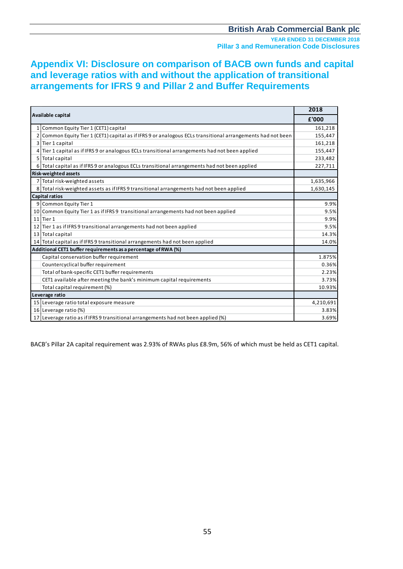## **Appendix VI: Disclosure on comparison of BACB own funds and capital and leverage ratios with and without the application of transitional arrangements for IFRS 9 and Pillar 2 and Buffer Requirements**

|                                                                                                             | 2018      |
|-------------------------------------------------------------------------------------------------------------|-----------|
| Available capital                                                                                           | £'000     |
| 1 Common Equity Tier 1 (CET1) capital                                                                       | 161,218   |
| 2 Common Equity Tier 1 (CET1) capital as if IFRS 9 or analogous ECLs transitional arrangements had not been | 155,447   |
| 3 Tier 1 capital                                                                                            | 161,218   |
| Tier 1 capital as if IFRS 9 or analogous ECLs transitional arrangements had not been applied                | 155,447   |
| 5 Total capital                                                                                             | 233,482   |
| 6 Total capital as if IFRS 9 or analogous ECLs transitional arrangements had not been applied               | 227,711   |
| <b>Risk-weighted assets</b>                                                                                 |           |
| 7 Total risk-weighted assets                                                                                | 1,635,966 |
| 8 Total risk-weighted assets as if IFRS 9 transitional arrangements had not been applied                    | 1,630,145 |
| <b>Capital ratios</b>                                                                                       |           |
| 9 Common Equity Tier 1                                                                                      | 9.9%      |
| 10 Common Equity Tier 1 as if IFRS 9 transitional arrangements had not been applied                         | 9.5%      |
| $11$ Tier 1                                                                                                 | 9.9%      |
| 12 Tier 1 as if IFRS 9 transitional arrangements had not been applied                                       | 9.5%      |
| 13 Total capital                                                                                            | 14.3%     |
| 14 Total capital as if IFRS 9 transitional arrangements had not been applied                                | 14.0%     |
| Additional CET1 buffer requirements as a percentage of RWA (%)                                              |           |
| Capital conservation buffer requirement                                                                     | 1.875%    |
| Countercyclical buffer requirement                                                                          | 0.36%     |
| Total of bank-specific CET1 buffer requirements                                                             | 2.23%     |
| CET1 available after meeting the bank's minimum capital requirements                                        | 3.73%     |
| Total capital requirement (%)                                                                               | 10.93%    |
| Leverage ratio                                                                                              |           |
| 15 Leverage ratio total exposure measure                                                                    | 4,210,691 |
| 16 Leverage ratio (%)                                                                                       | 3.83%     |
| 17 Leverage ratio as if IFRS 9 transitional arrangements had not been applied (%)                           | 3.69%     |

BACB's Pillar 2A capital requirement was 2.93% of RWAs plus £8.9m, 56% of which must be held as CET1 capital.